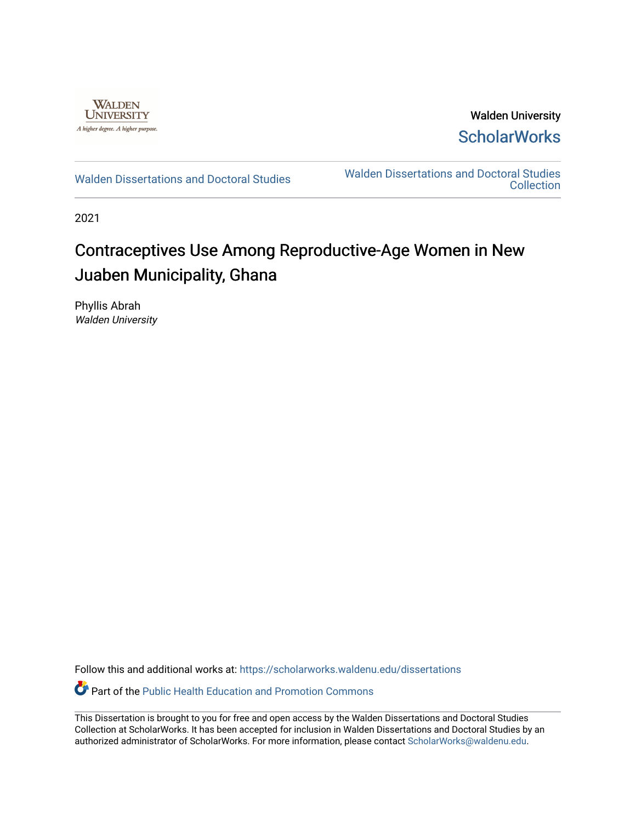

Walden University **ScholarWorks** 

[Walden Dissertations and Doctoral Studies](https://scholarworks.waldenu.edu/dissertations) Walden Dissertations and Doctoral Studies **Collection** 

2021

# Contraceptives Use Among Reproductive-Age Women in New Juaben Municipality, Ghana

Phyllis Abrah Walden University

Follow this and additional works at: [https://scholarworks.waldenu.edu/dissertations](https://scholarworks.waldenu.edu/dissertations?utm_source=scholarworks.waldenu.edu%2Fdissertations%2F10762&utm_medium=PDF&utm_campaign=PDFCoverPages)

Part of the [Public Health Education and Promotion Commons](http://network.bepress.com/hgg/discipline/743?utm_source=scholarworks.waldenu.edu%2Fdissertations%2F10762&utm_medium=PDF&utm_campaign=PDFCoverPages) 

This Dissertation is brought to you for free and open access by the Walden Dissertations and Doctoral Studies Collection at ScholarWorks. It has been accepted for inclusion in Walden Dissertations and Doctoral Studies by an authorized administrator of ScholarWorks. For more information, please contact [ScholarWorks@waldenu.edu](mailto:ScholarWorks@waldenu.edu).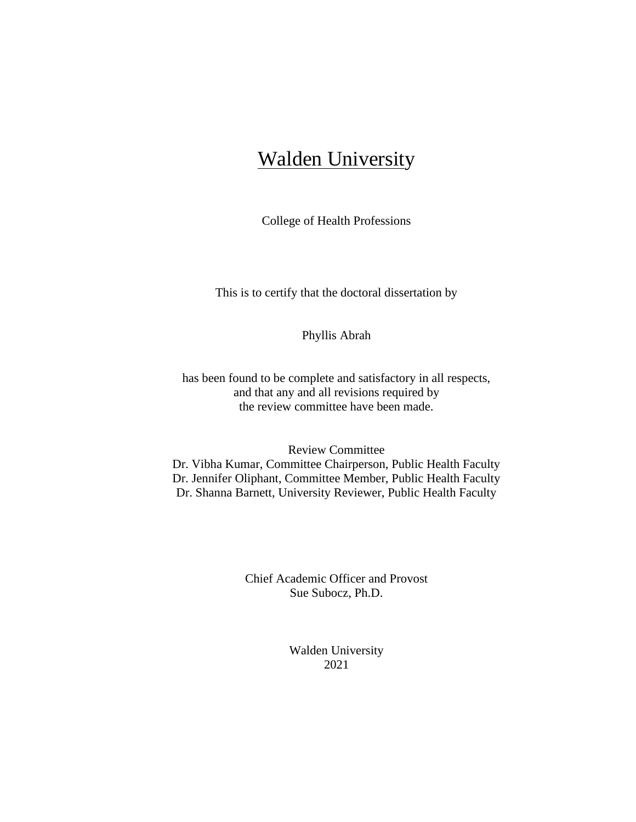# **Walden University**

College of Health Professions

This is to certify that the doctoral dissertation by

Phyllis Abrah

has been found to be complete and satisfactory in all respects, and that any and all revisions required by the review committee have been made.

### Review Committee

Dr. Vibha Kumar, Committee Chairperson, Public Health Faculty Dr. Jennifer Oliphant, Committee Member, Public Health Faculty Dr. Shanna Barnett, University Reviewer, Public Health Faculty

> Chief Academic Officer and Provost Sue Subocz, Ph.D.

> > Walden University 2021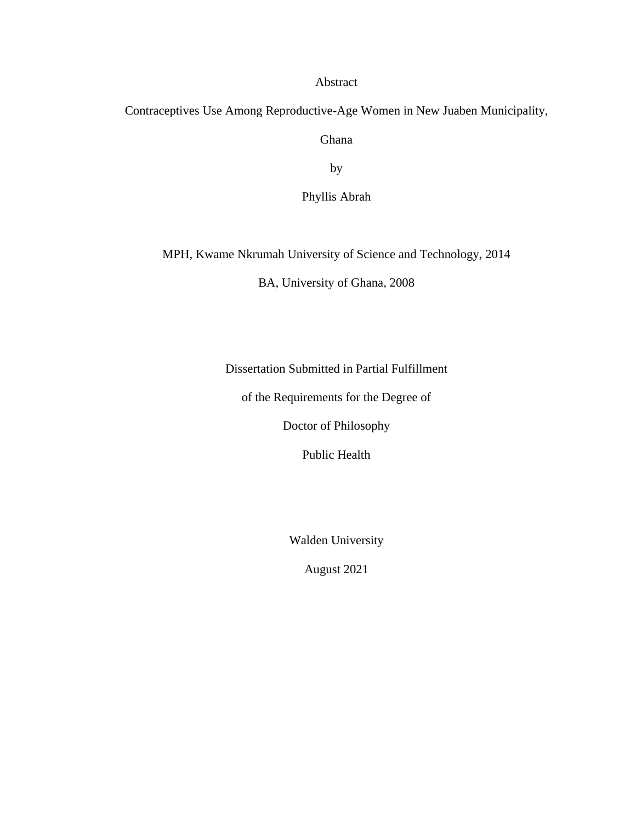## Abstract

Contraceptives Use Among Reproductive-Age Women in New Juaben Municipality,

Ghana

by

Phyllis Abrah

MPH, Kwame Nkrumah University of Science and Technology, 2014

BA, University of Ghana, 2008

Dissertation Submitted in Partial Fulfillment

of the Requirements for the Degree of

Doctor of Philosophy

Public Health

Walden University

August 2021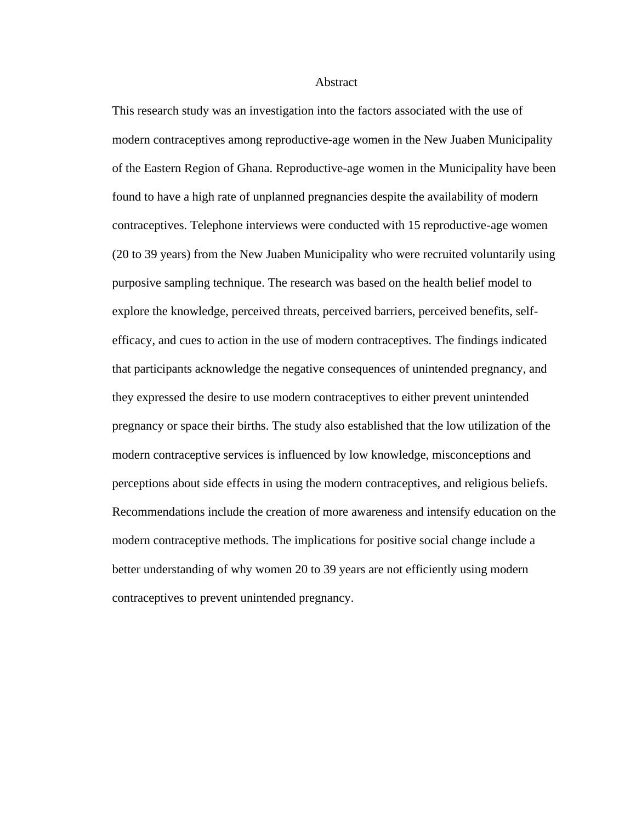#### **Abstract**

<span id="page-3-0"></span>This research study was an investigation into the factors associated with the use of modern contraceptives among reproductive-age women in the New Juaben Municipality of the Eastern Region of Ghana. Reproductive-age women in the Municipality have been found to have a high rate of unplanned pregnancies despite the availability of modern contraceptives. Telephone interviews were conducted with 15 reproductive-age women (20 to 39 years) from the New Juaben Municipality who were recruited voluntarily using purposive sampling technique. The research was based on the health belief model to explore the knowledge, perceived threats, perceived barriers, perceived benefits, selfefficacy, and cues to action in the use of modern contraceptives. The findings indicated that participants acknowledge the negative consequences of unintended pregnancy, and they expressed the desire to use modern contraceptives to either prevent unintended pregnancy or space their births. The study also established that the low utilization of the modern contraceptive services is influenced by low knowledge, misconceptions and perceptions about side effects in using the modern contraceptives, and religious beliefs. Recommendations include the creation of more awareness and intensify education on the modern contraceptive methods. The implications for positive social change include a better understanding of why women 20 to 39 years are not efficiently using modern contraceptives to prevent unintended pregnancy.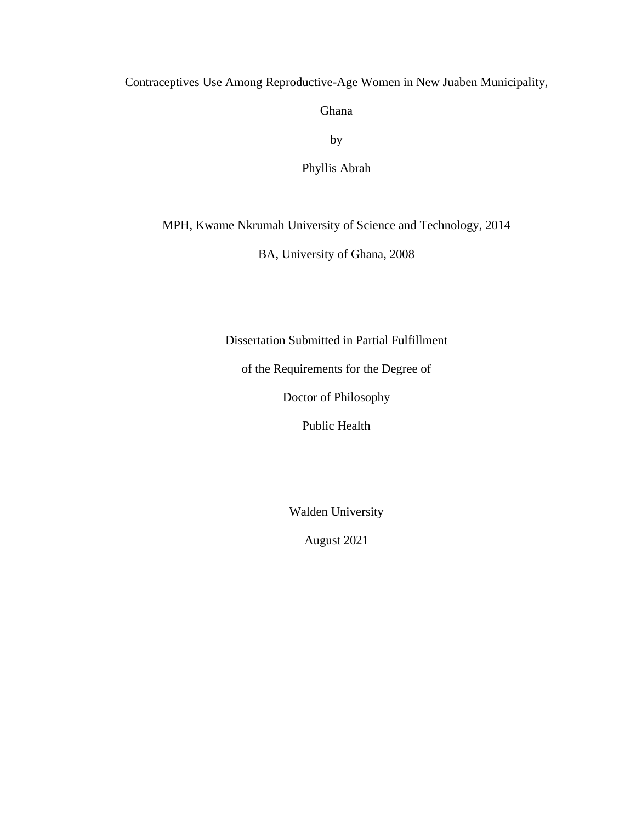Contraceptives Use Among Reproductive-Age Women in New Juaben Municipality,

Ghana

by

Phyllis Abrah

MPH, Kwame Nkrumah University of Science and Technology, 2014

BA, University of Ghana, 2008

Dissertation Submitted in Partial Fulfillment

of the Requirements for the Degree of

Doctor of Philosophy

Public Health

Walden University

August 2021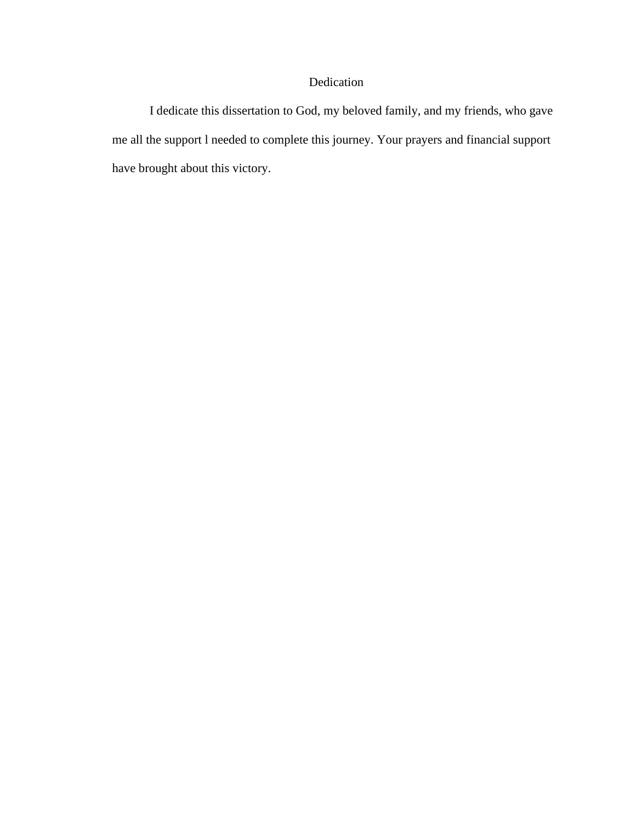## Dedication

I dedicate this dissertation to God, my beloved family, and my friends, who gave me all the support l needed to complete this journey. Your prayers and financial support have brought about this victory.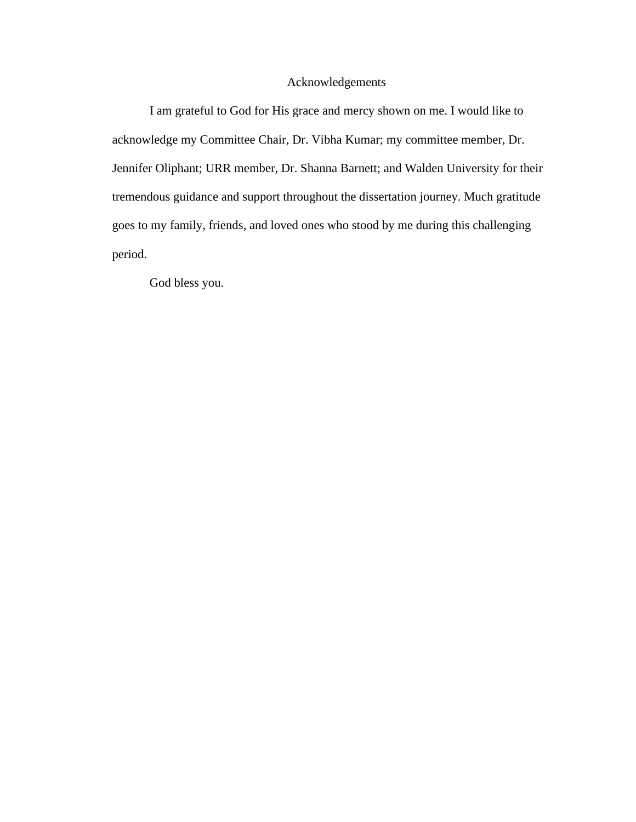## Acknowledgements

I am grateful to God for His grace and mercy shown on me. I would like to acknowledge my Committee Chair, Dr. Vibha Kumar; my committee member, Dr. Jennifer Oliphant; URR member, Dr. Shanna Barnett; and Walden University for their tremendous guidance and support throughout the dissertation journey. Much gratitude goes to my family, friends, and loved ones who stood by me during this challenging period.

God bless you.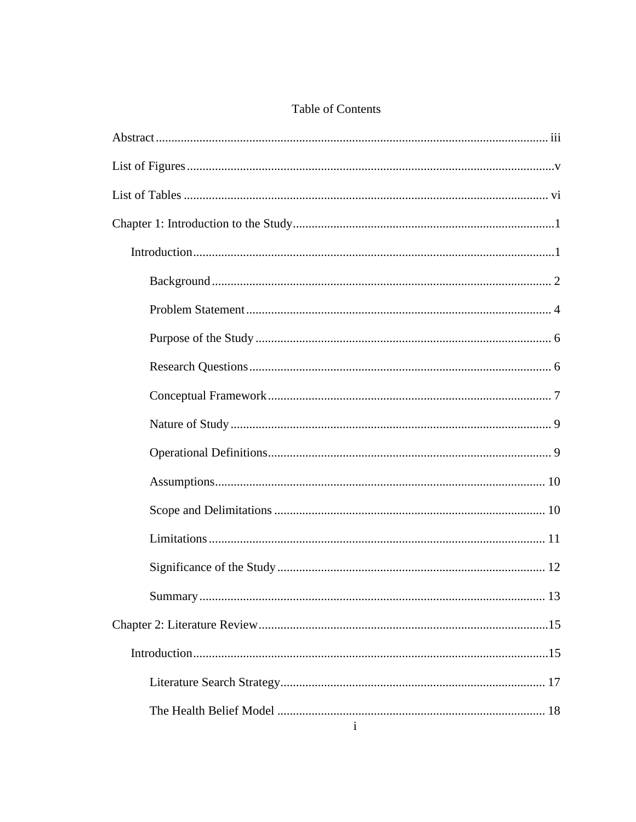## **Table of Contents**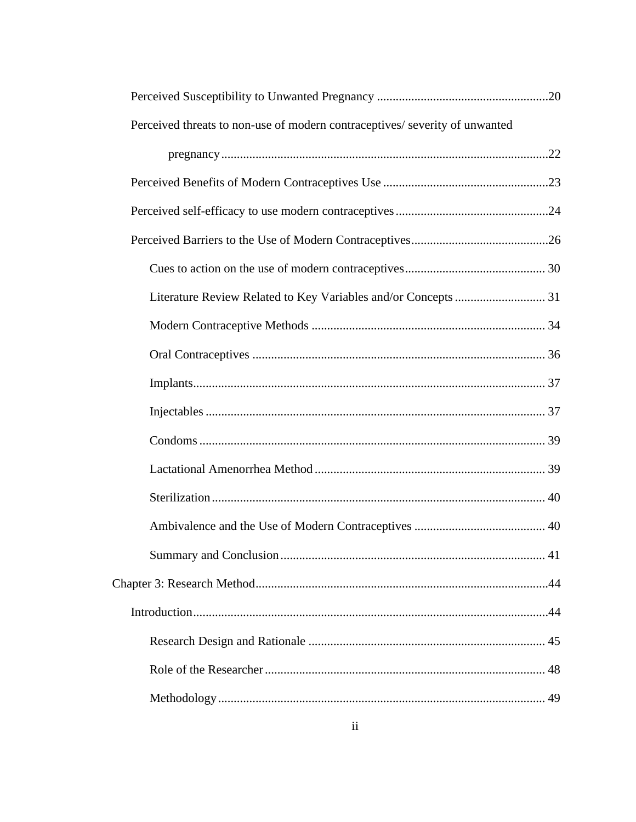| Perceived threats to non-use of modern contraceptives/ severity of unwanted |  |  |  |  |
|-----------------------------------------------------------------------------|--|--|--|--|
|                                                                             |  |  |  |  |
|                                                                             |  |  |  |  |
|                                                                             |  |  |  |  |
|                                                                             |  |  |  |  |
|                                                                             |  |  |  |  |
|                                                                             |  |  |  |  |
|                                                                             |  |  |  |  |
|                                                                             |  |  |  |  |
|                                                                             |  |  |  |  |
|                                                                             |  |  |  |  |
|                                                                             |  |  |  |  |
|                                                                             |  |  |  |  |
|                                                                             |  |  |  |  |
|                                                                             |  |  |  |  |
|                                                                             |  |  |  |  |
|                                                                             |  |  |  |  |
|                                                                             |  |  |  |  |
|                                                                             |  |  |  |  |
|                                                                             |  |  |  |  |
|                                                                             |  |  |  |  |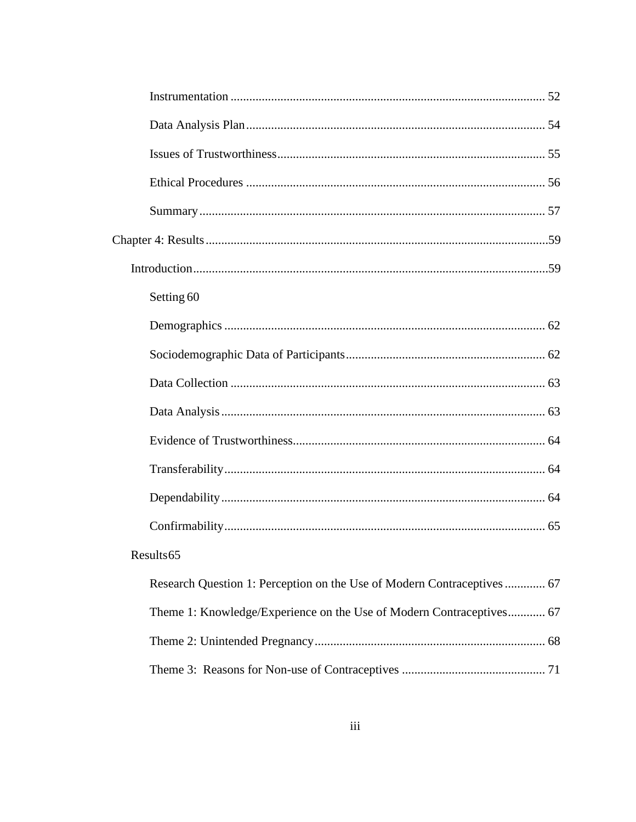| Setting 60                                                              |
|-------------------------------------------------------------------------|
|                                                                         |
|                                                                         |
|                                                                         |
|                                                                         |
|                                                                         |
|                                                                         |
|                                                                         |
|                                                                         |
| Results 65                                                              |
| Research Question 1: Perception on the Use of Modern Contraceptives  67 |
| Theme 1: Knowledge/Experience on the Use of Modern Contraceptives 67    |
|                                                                         |
|                                                                         |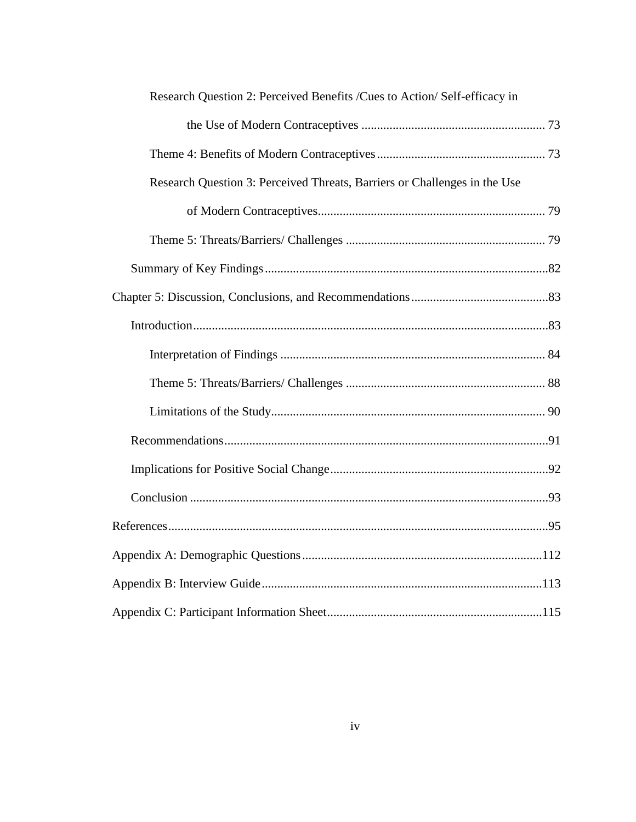| Research Question 2: Perceived Benefits /Cues to Action/ Self-efficacy in |  |  |  |  |
|---------------------------------------------------------------------------|--|--|--|--|
|                                                                           |  |  |  |  |
|                                                                           |  |  |  |  |
| Research Question 3: Perceived Threats, Barriers or Challenges in the Use |  |  |  |  |
|                                                                           |  |  |  |  |
|                                                                           |  |  |  |  |
|                                                                           |  |  |  |  |
|                                                                           |  |  |  |  |
|                                                                           |  |  |  |  |
|                                                                           |  |  |  |  |
|                                                                           |  |  |  |  |
|                                                                           |  |  |  |  |
|                                                                           |  |  |  |  |
|                                                                           |  |  |  |  |
|                                                                           |  |  |  |  |
|                                                                           |  |  |  |  |
|                                                                           |  |  |  |  |
|                                                                           |  |  |  |  |
|                                                                           |  |  |  |  |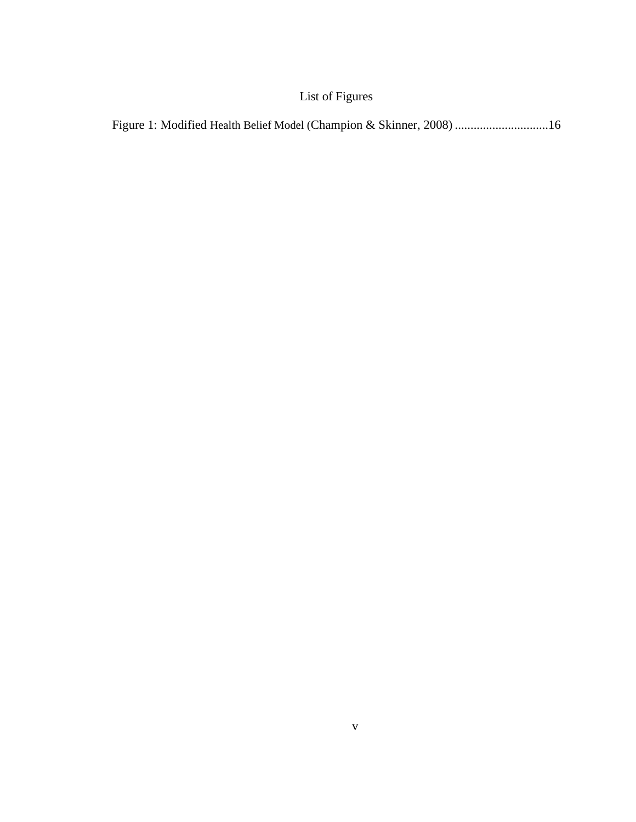## List of Figures

<span id="page-11-0"></span>Figure 1: Modified Health Belief Model (Champion & Skinner, 2008) ..............................16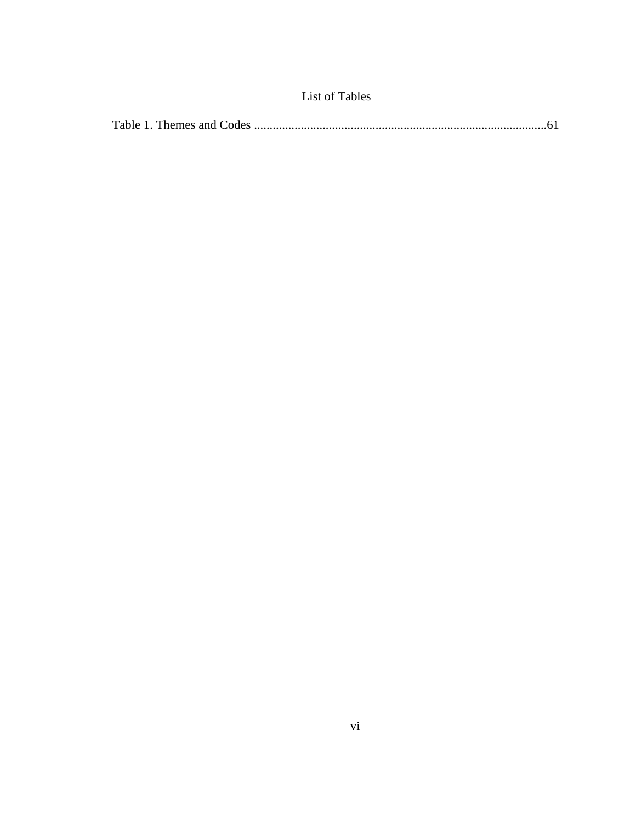<span id="page-12-0"></span>

|--|--|--|--|--|--|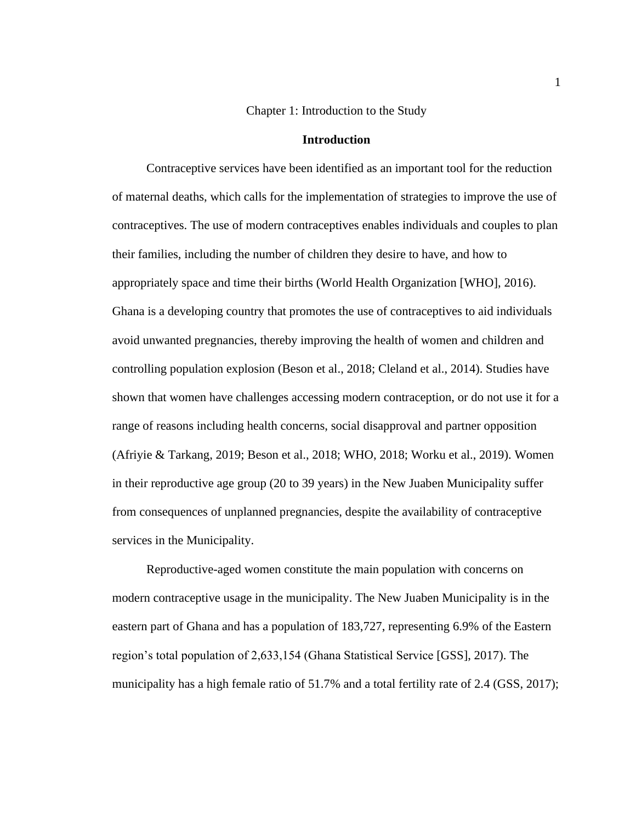#### Chapter 1: Introduction to the Study

#### **Introduction**

<span id="page-13-1"></span><span id="page-13-0"></span> Contraceptive services have been identified as an important tool for the reduction of maternal deaths, which calls for the implementation of strategies to improve the use of contraceptives. The use of modern contraceptives enables individuals and couples to plan their families, including the number of children they desire to have, and how to appropriately space and time their births (World Health Organization [WHO], 2016). Ghana is a developing country that promotes the use of contraceptives to aid individuals avoid unwanted pregnancies, thereby improving the health of women and children and controlling population explosion (Beson et al., 2018; Cleland et al., 2014). Studies have shown that women have challenges accessing modern contraception, or do not use it for a range of reasons including health concerns, social disapproval and partner opposition (Afriyie & Tarkang, 2019; Beson et al., 2018; WHO, 2018; Worku et al., 2019). Women in their reproductive age group (20 to 39 years) in the New Juaben Municipality suffer from consequences of unplanned pregnancies, despite the availability of contraceptive services in the Municipality.

 Reproductive-aged women constitute the main population with concerns on modern contraceptive usage in the municipality. The New Juaben Municipality is in the eastern part of Ghana and has a population of 183,727, representing 6.9% of the Eastern region's total population of 2,633,154 (Ghana Statistical Service [GSS], 2017). The municipality has a high female ratio of 51.7% and a total fertility rate of 2.4 (GSS, 2017);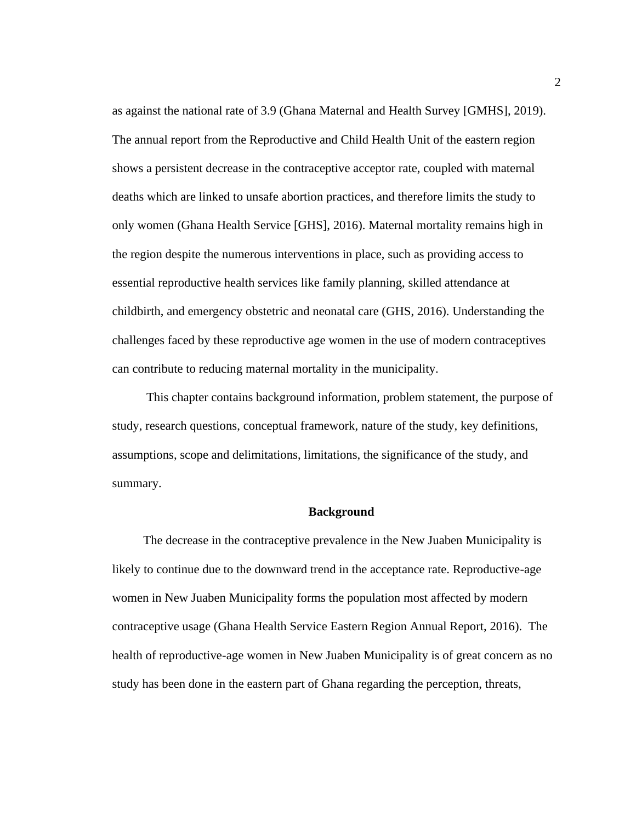as against the national rate of 3.9 (Ghana Maternal and Health Survey [GMHS], 2019). The annual report from the Reproductive and Child Health Unit of the eastern region shows a persistent decrease in the contraceptive acceptor rate, coupled with maternal deaths which are linked to unsafe abortion practices, and therefore limits the study to only women (Ghana Health Service [GHS], 2016). Maternal mortality remains high in the region despite the numerous interventions in place, such as providing access to essential reproductive health services like family planning, skilled attendance at childbirth, and emergency obstetric and neonatal care (GHS, 2016). Understanding the challenges faced by these reproductive age women in the use of modern contraceptives can contribute to reducing maternal mortality in the municipality.

 This chapter contains background information, problem statement, the purpose of study, research questions, conceptual framework, nature of the study, key definitions, assumptions, scope and delimitations, limitations, the significance of the study, and summary.

#### <span id="page-14-0"></span> **Background**

 The decrease in the contraceptive prevalence in the New Juaben Municipality is likely to continue due to the downward trend in the acceptance rate. Reproductive-age women in New Juaben Municipality forms the population most affected by modern contraceptive usage (Ghana Health Service Eastern Region Annual Report, 2016). The health of reproductive-age women in New Juaben Municipality is of great concern as no study has been done in the eastern part of Ghana regarding the perception, threats,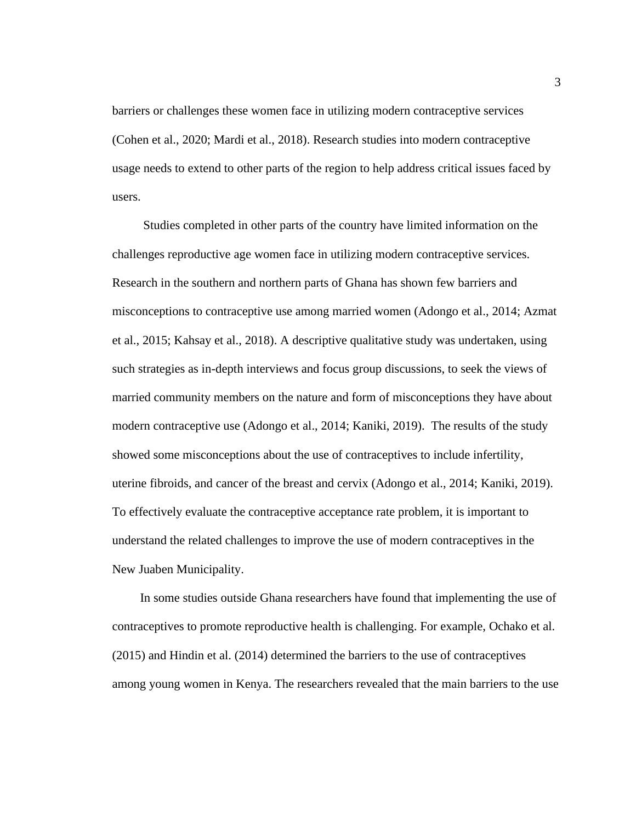barriers or challenges these women face in utilizing modern contraceptive services (Cohen et al., 2020; Mardi et al., 2018). Research studies into modern contraceptive usage needs to extend to other parts of the region to help address critical issues faced by users.

 Studies completed in other parts of the country have limited information on the challenges reproductive age women face in utilizing modern contraceptive services. Research in the southern and northern parts of Ghana has shown few barriers and misconceptions to contraceptive use among married women (Adongo et al., 2014; Azmat et al., 2015; Kahsay et al., 2018). A descriptive qualitative study was undertaken, using such strategies as in-depth interviews and focus group discussions, to seek the views of married community members on the nature and form of misconceptions they have about modern contraceptive use (Adongo et al., 2014; Kaniki, 2019). The results of the study showed some misconceptions about the use of contraceptives to include infertility, uterine fibroids, and cancer of the breast and cervix (Adongo et al., 2014; Kaniki, 2019). To effectively evaluate the contraceptive acceptance rate problem, it is important to understand the related challenges to improve the use of modern contraceptives in the New Juaben Municipality.

 In some studies outside Ghana researchers have found that implementing the use of contraceptives to promote reproductive health is challenging. For example, Ochako et al. (2015) and Hindin et al. (2014) determined the barriers to the use of contraceptives among young women in Kenya. The researchers revealed that the main barriers to the use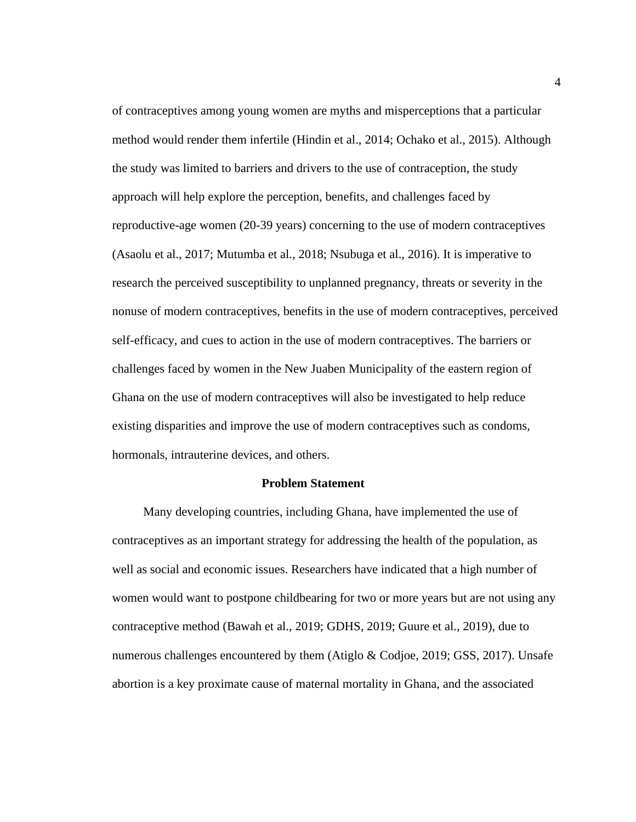of contraceptives among young women are myths and misperceptions that a particular method would render them infertile (Hindin et al., 2014; Ochako et al., 2015). Although the study was limited to barriers and drivers to the use of contraception, the study approach will help explore the perception, benefits, and challenges faced by reproductive-age women (20-39 years) concerning to the use of modern contraceptives (Asaolu et al., 2017; Mutumba et al., 2018; Nsubuga et al., 2016). It is imperative to research the perceived susceptibility to unplanned pregnancy, threats or severity in the nonuse of modern contraceptives, benefits in the use of modern contraceptives, perceived self-efficacy, and cues to action in the use of modern contraceptives. The barriers or challenges faced by women in the New Juaben Municipality of the eastern region of Ghana on the use of modern contraceptives will also be investigated to help reduce existing disparities and improve the use of modern contraceptives such as condoms, hormonals, intrauterine devices, and others.

#### <span id="page-16-0"></span> **Problem Statement**

 Many developing countries, including Ghana, have implemented the use of contraceptives as an important strategy for addressing the health of the population, as well as social and economic issues. Researchers have indicated that a high number of women would want to postpone childbearing for two or more years but are not using any contraceptive method (Bawah et al., 2019; GDHS, 2019; Guure et al., 2019), due to numerous challenges encountered by them (Atiglo & Codjoe, 2019; GSS, 2017). Unsafe abortion is a key proximate cause of maternal mortality in Ghana, and the associated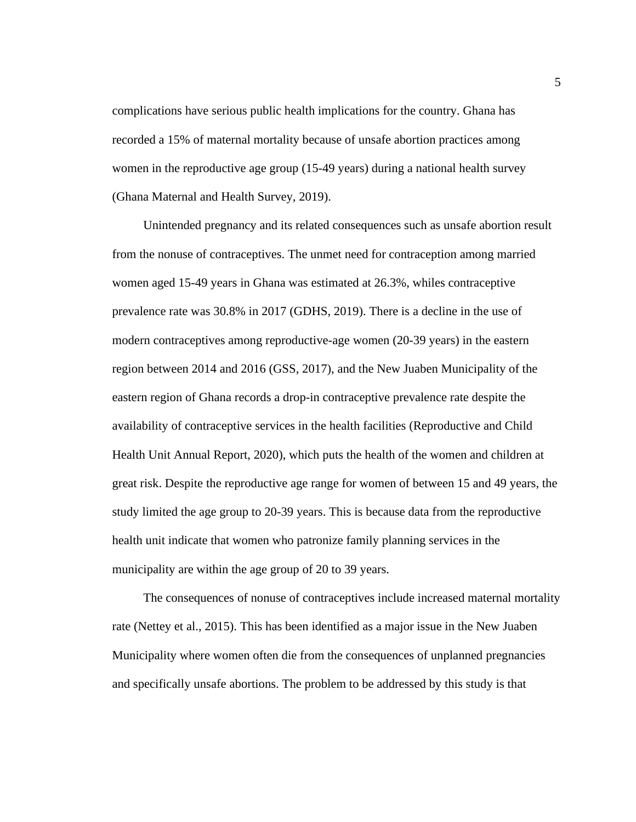complications have serious public health implications for the country. Ghana has recorded a 15% of maternal mortality because of unsafe abortion practices among women in the reproductive age group (15-49 years) during a national health survey (Ghana Maternal and Health Survey, 2019).

 Unintended pregnancy and its related consequences such as unsafe abortion result from the nonuse of contraceptives. The unmet need for contraception among married women aged 15-49 years in Ghana was estimated at 26.3%, whiles contraceptive prevalence rate was 30.8% in 2017 (GDHS, 2019). There is a decline in the use of modern contraceptives among reproductive-age women (20-39 years) in the eastern region between 2014 and 2016 (GSS, 2017), and the New Juaben Municipality of the eastern region of Ghana records a drop-in contraceptive prevalence rate despite the availability of contraceptive services in the health facilities (Reproductive and Child Health Unit Annual Report, 2020), which puts the health of the women and children at great risk. Despite the reproductive age range for women of between 15 and 49 years, the study limited the age group to 20-39 years. This is because data from the reproductive health unit indicate that women who patronize family planning services in the municipality are within the age group of 20 to 39 years.

 The consequences of nonuse of contraceptives include increased maternal mortality rate (Nettey et al., 2015). This has been identified as a major issue in the New Juaben Municipality where women often die from the consequences of unplanned pregnancies and specifically unsafe abortions. The problem to be addressed by this study is that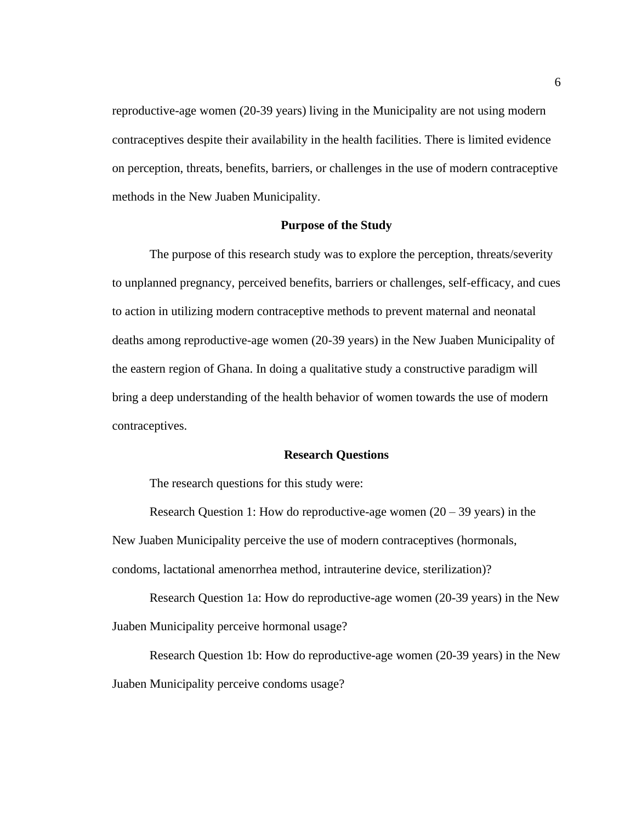reproductive-age women (20-39 years) living in the Municipality are not using modern contraceptives despite their availability in the health facilities. There is limited evidence on perception, threats, benefits, barriers, or challenges in the use of modern contraceptive methods in the New Juaben Municipality.

#### **Purpose of the Study**

<span id="page-18-0"></span>The purpose of this research study was to explore the perception, threats/severity to unplanned pregnancy, perceived benefits, barriers or challenges, self-efficacy, and cues to action in utilizing modern contraceptive methods to prevent maternal and neonatal deaths among reproductive-age women (20-39 years) in the New Juaben Municipality of the eastern region of Ghana. In doing a qualitative study a constructive paradigm will bring a deep understanding of the health behavior of women towards the use of modern contraceptives.

#### **Research Questions**

<span id="page-18-1"></span>The research questions for this study were:

Research Question 1: How do reproductive-age women  $(20 – 39$  years) in the New Juaben Municipality perceive the use of modern contraceptives (hormonals, condoms, lactational amenorrhea method, intrauterine device, sterilization)?

Research Question 1a: How do reproductive-age women (20-39 years) in the New Juaben Municipality perceive hormonal usage?

Research Question 1b: How do reproductive-age women (20-39 years) in the New Juaben Municipality perceive condoms usage?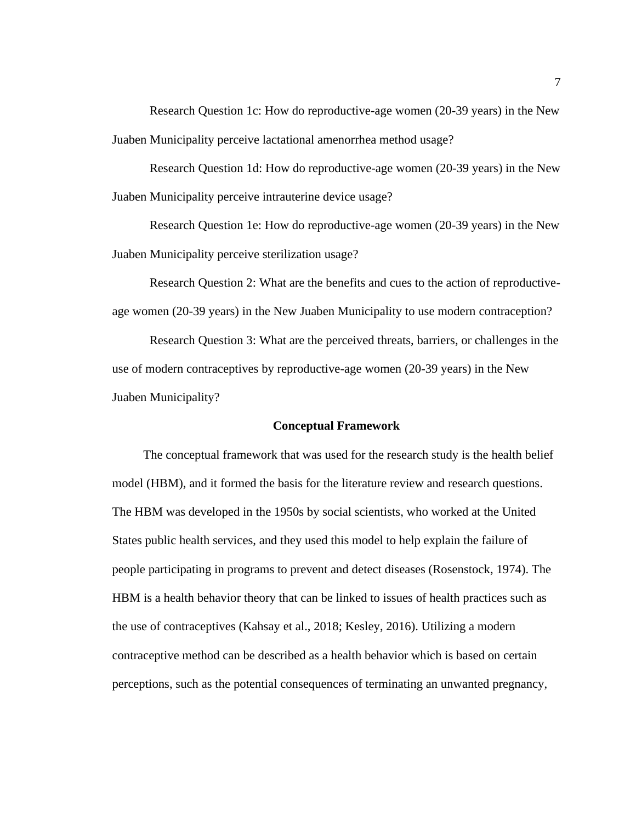Research Question 1c: How do reproductive-age women (20-39 years) in the New Juaben Municipality perceive lactational amenorrhea method usage?

Research Question 1d: How do reproductive-age women (20-39 years) in the New Juaben Municipality perceive intrauterine device usage?

Research Question 1e: How do reproductive-age women (20-39 years) in the New Juaben Municipality perceive sterilization usage?

Research Question 2: What are the benefits and cues to the action of reproductiveage women (20-39 years) in the New Juaben Municipality to use modern contraception?

Research Question 3: What are the perceived threats, barriers, or challenges in the use of modern contraceptives by reproductive-age women (20-39 years) in the New Juaben Municipality?

#### **Conceptual Framework**

<span id="page-19-0"></span> The conceptual framework that was used for the research study is the health belief model (HBM), and it formed the basis for the literature review and research questions. The HBM was developed in the 1950s by social scientists, who worked at the United States public health services, and they used this model to help explain the failure of people participating in programs to prevent and detect diseases (Rosenstock, 1974). The HBM is a health behavior theory that can be linked to issues of health practices such as the use of contraceptives (Kahsay et al., 2018; Kesley, 2016). Utilizing a modern contraceptive method can be described as a health behavior which is based on certain perceptions, such as the potential consequences of terminating an unwanted pregnancy,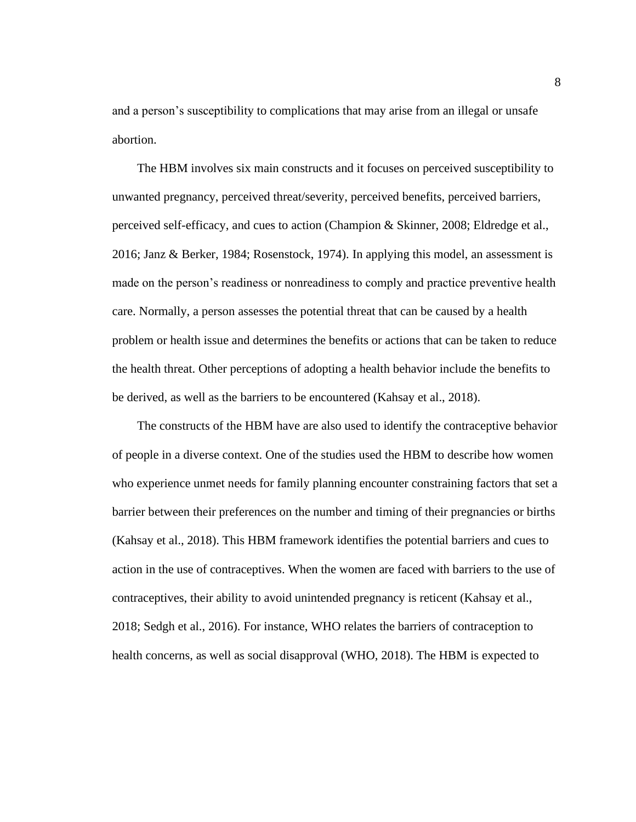and a person's susceptibility to complications that may arise from an illegal or unsafe abortion.

 The HBM involves six main constructs and it focuses on perceived susceptibility to unwanted pregnancy, perceived threat/severity, perceived benefits, perceived barriers, perceived self-efficacy, and cues to action (Champion & Skinner, 2008; Eldredge et al., 2016; Janz & Berker, 1984; Rosenstock, 1974). In applying this model, an assessment is made on the person's readiness or nonreadiness to comply and practice preventive health care. Normally, a person assesses the potential threat that can be caused by a health problem or health issue and determines the benefits or actions that can be taken to reduce the health threat. Other perceptions of adopting a health behavior include the benefits to be derived, as well as the barriers to be encountered (Kahsay et al., 2018).

 The constructs of the HBM have are also used to identify the contraceptive behavior of people in a diverse context. One of the studies used the HBM to describe how women who experience unmet needs for family planning encounter constraining factors that set a barrier between their preferences on the number and timing of their pregnancies or births (Kahsay et al., 2018). This HBM framework identifies the potential barriers and cues to action in the use of contraceptives. When the women are faced with barriers to the use of contraceptives, their ability to avoid unintended pregnancy is reticent (Kahsay et al., 2018; Sedgh et al., 2016). For instance, WHO relates the barriers of contraception to health concerns, as well as social disapproval (WHO, 2018). The HBM is expected to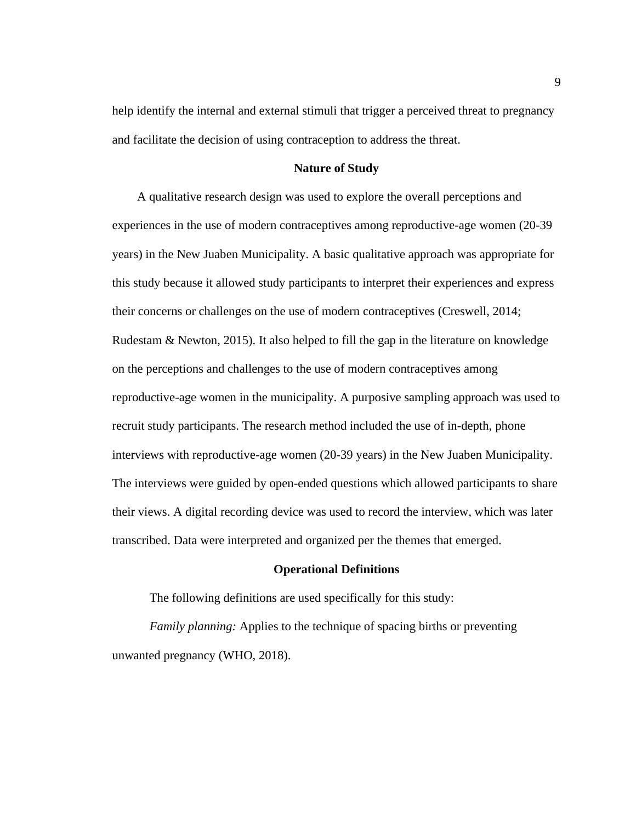help identify the internal and external stimuli that trigger a perceived threat to pregnancy and facilitate the decision of using contraception to address the threat.

#### **Nature of Study**

<span id="page-21-0"></span> A qualitative research design was used to explore the overall perceptions and experiences in the use of modern contraceptives among reproductive-age women (20-39 years) in the New Juaben Municipality. A basic qualitative approach was appropriate for this study because it allowed study participants to interpret their experiences and express their concerns or challenges on the use of modern contraceptives (Creswell, 2014; Rudestam & Newton, 2015). It also helped to fill the gap in the literature on knowledge on the perceptions and challenges to the use of modern contraceptives among reproductive-age women in the municipality. A purposive sampling approach was used to recruit study participants. The research method included the use of in-depth, phone interviews with reproductive-age women (20-39 years) in the New Juaben Municipality. The interviews were guided by open-ended questions which allowed participants to share their views. A digital recording device was used to record the interview, which was later transcribed. Data were interpreted and organized per the themes that emerged.

#### **Operational Definitions**

<span id="page-21-1"></span>The following definitions are used specifically for this study:

*Family planning:* Applies to the technique of spacing births or preventing unwanted pregnancy (WHO, 2018).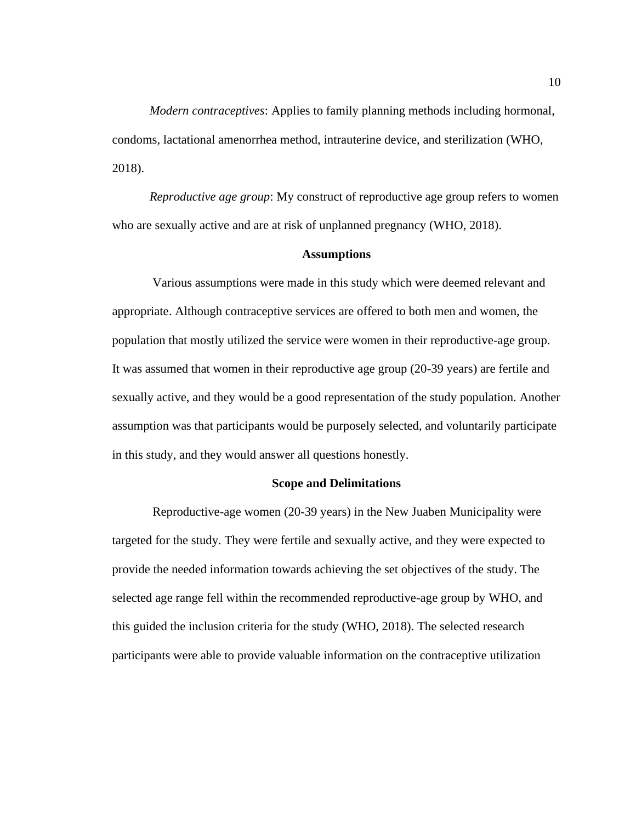*Modern contraceptives*: Applies to family planning methods including hormonal, condoms, lactational amenorrhea method, intrauterine device, and sterilization (WHO, 2018).

*Reproductive age group*: My construct of reproductive age group refers to women who are sexually active and are at risk of unplanned pregnancy (WHO, 2018).

#### **Assumptions**

<span id="page-22-0"></span> Various assumptions were made in this study which were deemed relevant and appropriate. Although contraceptive services are offered to both men and women, the population that mostly utilized the service were women in their reproductive-age group. It was assumed that women in their reproductive age group (20-39 years) are fertile and sexually active, and they would be a good representation of the study population. Another assumption was that participants would be purposely selected, and voluntarily participate in this study, and they would answer all questions honestly.

#### **Scope and Delimitations**

<span id="page-22-1"></span> Reproductive-age women (20-39 years) in the New Juaben Municipality were targeted for the study. They were fertile and sexually active, and they were expected to provide the needed information towards achieving the set objectives of the study. The selected age range fell within the recommended reproductive-age group by WHO, and this guided the inclusion criteria for the study (WHO, 2018). The selected research participants were able to provide valuable information on the contraceptive utilization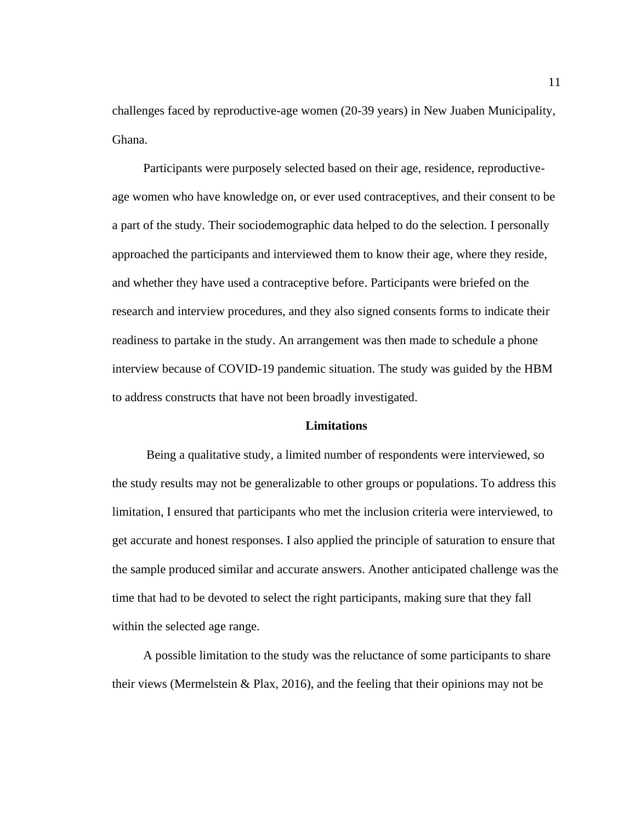challenges faced by reproductive-age women (20-39 years) in New Juaben Municipality, Ghana.

 Participants were purposely selected based on their age, residence, reproductiveage women who have knowledge on, or ever used contraceptives, and their consent to be a part of the study. Their sociodemographic data helped to do the selection. I personally approached the participants and interviewed them to know their age, where they reside, and whether they have used a contraceptive before. Participants were briefed on the research and interview procedures, and they also signed consents forms to indicate their readiness to partake in the study. An arrangement was then made to schedule a phone interview because of COVID-19 pandemic situation. The study was guided by the HBM to address constructs that have not been broadly investigated.

#### **Limitations**

<span id="page-23-0"></span> Being a qualitative study, a limited number of respondents were interviewed, so the study results may not be generalizable to other groups or populations. To address this limitation, I ensured that participants who met the inclusion criteria were interviewed, to get accurate and honest responses. I also applied the principle of saturation to ensure that the sample produced similar and accurate answers. Another anticipated challenge was the time that had to be devoted to select the right participants, making sure that they fall within the selected age range.

 A possible limitation to the study was the reluctance of some participants to share their views (Mermelstein & Plax, 2016), and the feeling that their opinions may not be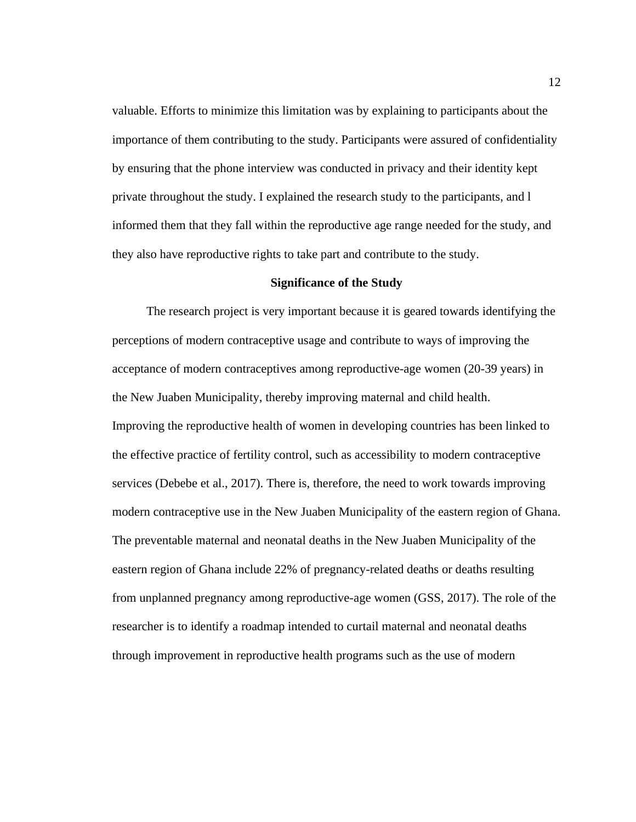valuable. Efforts to minimize this limitation was by explaining to participants about the importance of them contributing to the study. Participants were assured of confidentiality by ensuring that the phone interview was conducted in privacy and their identity kept private throughout the study. I explained the research study to the participants, and l informed them that they fall within the reproductive age range needed for the study, and they also have reproductive rights to take part and contribute to the study.

#### **Significance of the Study**

<span id="page-24-0"></span> The research project is very important because it is geared towards identifying the perceptions of modern contraceptive usage and contribute to ways of improving the acceptance of modern contraceptives among reproductive-age women (20-39 years) in the New Juaben Municipality, thereby improving maternal and child health. Improving the reproductive health of women in developing countries has been linked to the effective practice of fertility control, such as accessibility to modern contraceptive services (Debebe et al., 2017). There is, therefore, the need to work towards improving modern contraceptive use in the New Juaben Municipality of the eastern region of Ghana. The preventable maternal and neonatal deaths in the New Juaben Municipality of the eastern region of Ghana include 22% of pregnancy-related deaths or deaths resulting from unplanned pregnancy among reproductive-age women (GSS, 2017). The role of the researcher is to identify a roadmap intended to curtail maternal and neonatal deaths through improvement in reproductive health programs such as the use of modern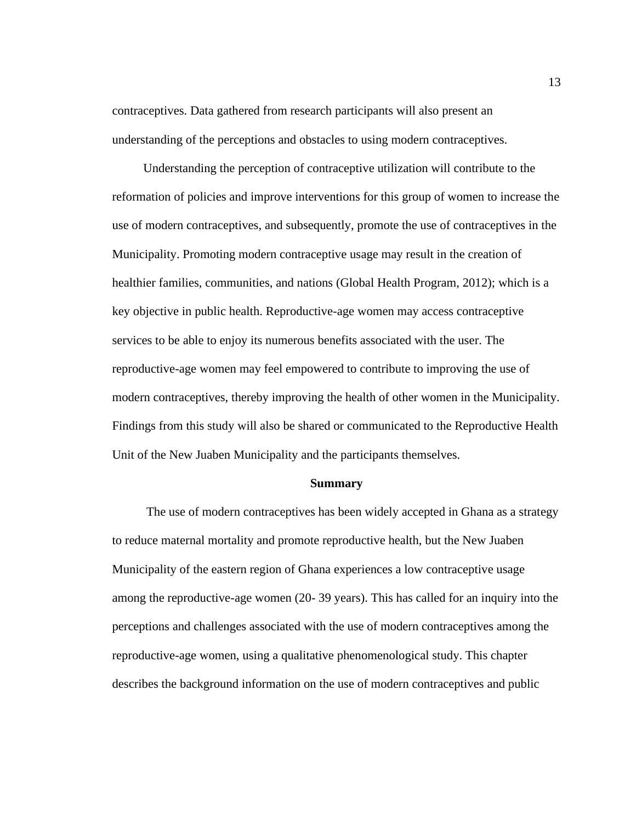contraceptives. Data gathered from research participants will also present an understanding of the perceptions and obstacles to using modern contraceptives.

 Understanding the perception of contraceptive utilization will contribute to the reformation of policies and improve interventions for this group of women to increase the use of modern contraceptives, and subsequently, promote the use of contraceptives in the Municipality. Promoting modern contraceptive usage may result in the creation of healthier families, communities, and nations (Global Health Program, 2012); which is a key objective in public health. Reproductive-age women may access contraceptive services to be able to enjoy its numerous benefits associated with the user. The reproductive-age women may feel empowered to contribute to improving the use of modern contraceptives, thereby improving the health of other women in the Municipality. Findings from this study will also be shared or communicated to the Reproductive Health Unit of the New Juaben Municipality and the participants themselves.

#### **Summary**

<span id="page-25-0"></span> The use of modern contraceptives has been widely accepted in Ghana as a strategy to reduce maternal mortality and promote reproductive health, but the New Juaben Municipality of the eastern region of Ghana experiences a low contraceptive usage among the reproductive-age women (20- 39 years). This has called for an inquiry into the perceptions and challenges associated with the use of modern contraceptives among the reproductive-age women, using a qualitative phenomenological study. This chapter describes the background information on the use of modern contraceptives and public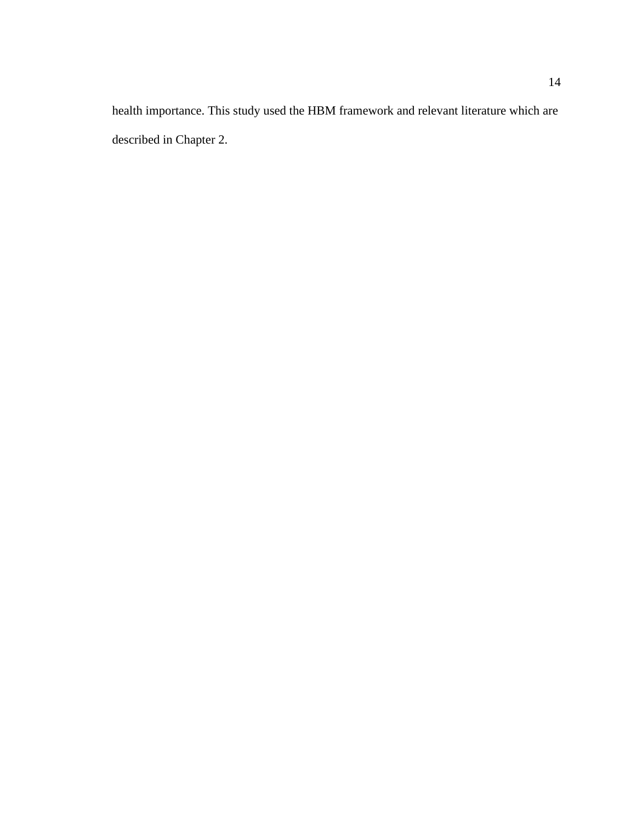health importance. This study used the HBM framework and relevant literature which are described in Chapter 2.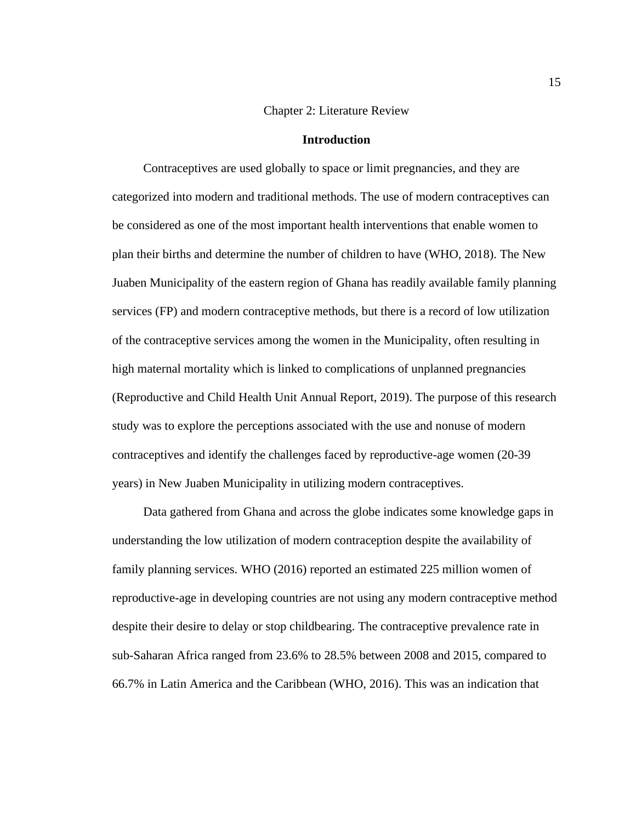#### Chapter 2: Literature Review

#### **Introduction**

<span id="page-27-1"></span><span id="page-27-0"></span> Contraceptives are used globally to space or limit pregnancies, and they are categorized into modern and traditional methods. The use of modern contraceptives can be considered as one of the most important health interventions that enable women to plan their births and determine the number of children to have (WHO, 2018). The New Juaben Municipality of the eastern region of Ghana has readily available family planning services (FP) and modern contraceptive methods, but there is a record of low utilization of the contraceptive services among the women in the Municipality, often resulting in high maternal mortality which is linked to complications of unplanned pregnancies (Reproductive and Child Health Unit Annual Report, 2019). The purpose of this research study was to explore the perceptions associated with the use and nonuse of modern contraceptives and identify the challenges faced by reproductive-age women (20-39 years) in New Juaben Municipality in utilizing modern contraceptives.

 Data gathered from Ghana and across the globe indicates some knowledge gaps in understanding the low utilization of modern contraception despite the availability of family planning services. WHO (2016) reported an estimated 225 million women of reproductive-age in developing countries are not using any modern contraceptive method despite their desire to delay or stop childbearing. The contraceptive prevalence rate in sub-Saharan Africa ranged from 23.6% to 28.5% between 2008 and 2015, compared to 66.7% in Latin America and the Caribbean (WHO, 2016). This was an indication that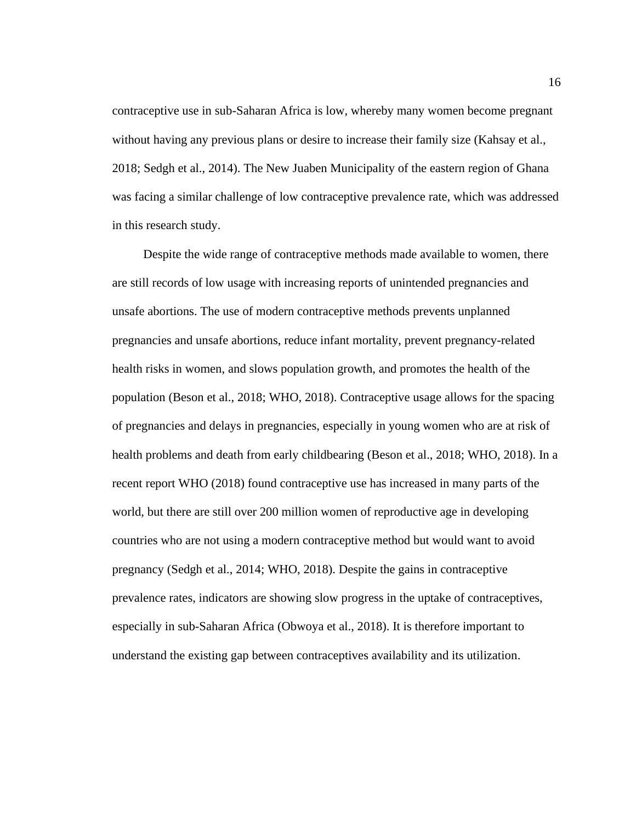contraceptive use in sub-Saharan Africa is low, whereby many women become pregnant without having any previous plans or desire to increase their family size (Kahsay et al., 2018; Sedgh et al., 2014). The New Juaben Municipality of the eastern region of Ghana was facing a similar challenge of low contraceptive prevalence rate, which was addressed in this research study.

 Despite the wide range of contraceptive methods made available to women, there are still records of low usage with increasing reports of unintended pregnancies and unsafe abortions. The use of modern contraceptive methods prevents unplanned pregnancies and unsafe abortions, reduce infant mortality, prevent pregnancy-related health risks in women, and slows population growth, and promotes the health of the population (Beson et al., 2018; WHO, 2018). Contraceptive usage allows for the spacing of pregnancies and delays in pregnancies, especially in young women who are at risk of health problems and death from early childbearing (Beson et al., 2018; WHO, 2018). In a recent report WHO (2018) found contraceptive use has increased in many parts of the world, but there are still over 200 million women of reproductive age in developing countries who are not using a modern contraceptive method but would want to avoid pregnancy (Sedgh et al., 2014; WHO, 2018). Despite the gains in contraceptive prevalence rates, indicators are showing slow progress in the uptake of contraceptives, especially in sub-Saharan Africa (Obwoya et al., 2018). It is therefore important to understand the existing gap between contraceptives availability and its utilization.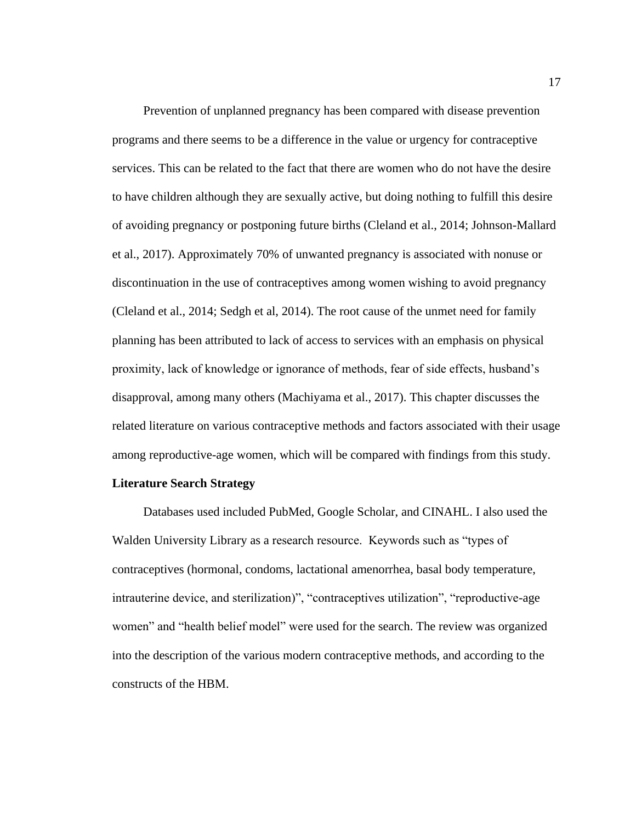Prevention of unplanned pregnancy has been compared with disease prevention programs and there seems to be a difference in the value or urgency for contraceptive services. This can be related to the fact that there are women who do not have the desire to have children although they are sexually active, but doing nothing to fulfill this desire of avoiding pregnancy or postponing future births (Cleland et al., 2014; Johnson-Mallard et al., 2017). Approximately 70% of unwanted pregnancy is associated with nonuse or discontinuation in the use of contraceptives among women wishing to avoid pregnancy (Cleland et al., 2014; Sedgh et al, 2014). The root cause of the unmet need for family planning has been attributed to lack of access to services with an emphasis on physical proximity, lack of knowledge or ignorance of methods, fear of side effects, husband's disapproval, among many others (Machiyama et al., 2017). This chapter discusses the related literature on various contraceptive methods and factors associated with their usage among reproductive-age women, which will be compared with findings from this study.

#### <span id="page-29-0"></span>**Literature Search Strategy**

 Databases used included PubMed, Google Scholar, and CINAHL. I also used the Walden University Library as a research resource. Keywords such as "types of contraceptives (hormonal, condoms, lactational amenorrhea, basal body temperature, intrauterine device, and sterilization)", "contraceptives utilization", "reproductive-age women" and "health belief model" were used for the search. The review was organized into the description of the various modern contraceptive methods, and according to the constructs of the HBM.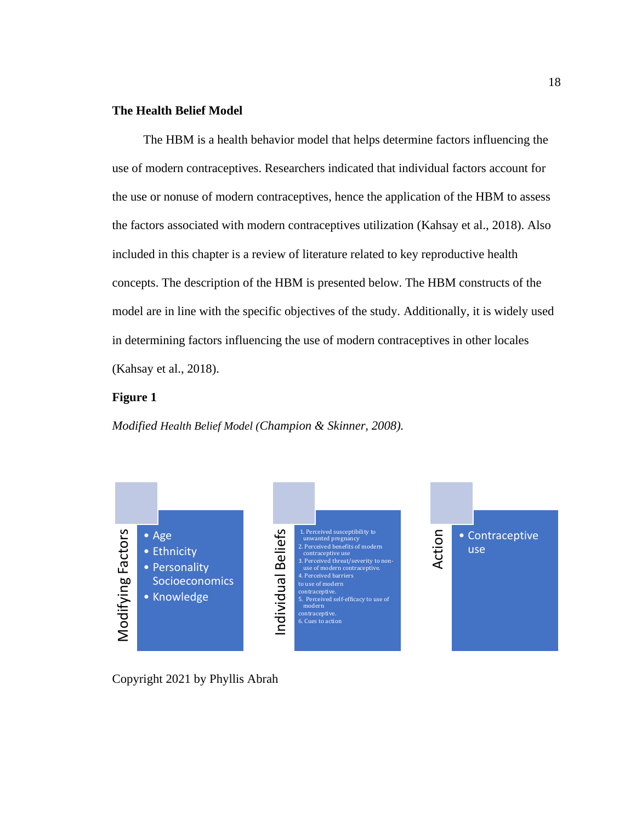## <span id="page-30-0"></span>**The Health Belief Model**

 The HBM is a health behavior model that helps determine factors influencing the use of modern contraceptives. Researchers indicated that individual factors account for the use or nonuse of modern contraceptives, hence the application of the HBM to assess the factors associated with modern contraceptives utilization (Kahsay et al., 2018). Also included in this chapter is a review of literature related to key reproductive health concepts. The description of the HBM is presented below. The HBM constructs of the model are in line with the specific objectives of the study. Additionally, it is widely used in determining factors influencing the use of modern contraceptives in other locales (Kahsay et al., 2018).

### **Figure 1**

*Modified Health Belief Model (Champion & Skinner, 2008).* 

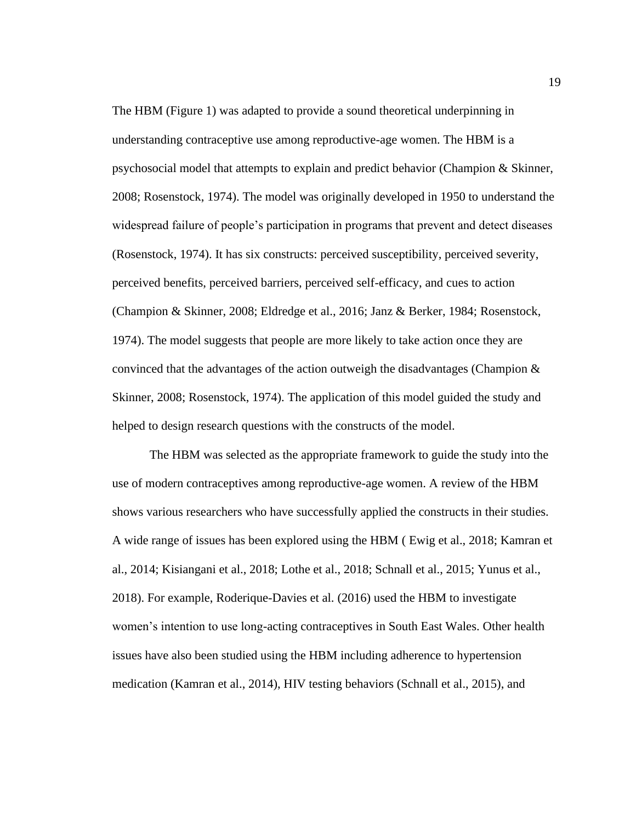The HBM (Figure 1) was adapted to provide a sound theoretical underpinning in understanding contraceptive use among reproductive-age women. The HBM is a psychosocial model that attempts to explain and predict behavior (Champion & Skinner, 2008; Rosenstock, 1974). The model was originally developed in 1950 to understand the widespread failure of people's participation in programs that prevent and detect diseases (Rosenstock, 1974). It has six constructs: perceived susceptibility, perceived severity, perceived benefits, perceived barriers, perceived self-efficacy, and cues to action (Champion & Skinner, 2008; Eldredge et al., 2016; Janz & Berker, 1984; Rosenstock, 1974). The model suggests that people are more likely to take action once they are convinced that the advantages of the action outweigh the disadvantages (Champion  $\&$ Skinner, 2008; Rosenstock, 1974). The application of this model guided the study and helped to design research questions with the constructs of the model.

The HBM was selected as the appropriate framework to guide the study into the use of modern contraceptives among reproductive-age women. A review of the HBM shows various researchers who have successfully applied the constructs in their studies. A wide range of issues has been explored using the HBM ( Ewig et al., 2018; Kamran et al., 2014; Kisiangani et al., 2018; Lothe et al., 2018; Schnall et al., 2015; Yunus et al., 2018). For example, Roderique-Davies et al. (2016) used the HBM to investigate women's intention to use long-acting contraceptives in South East Wales. Other health issues have also been studied using the HBM including adherence to hypertension medication (Kamran et al., 2014), HIV testing behaviors (Schnall et al., 2015), and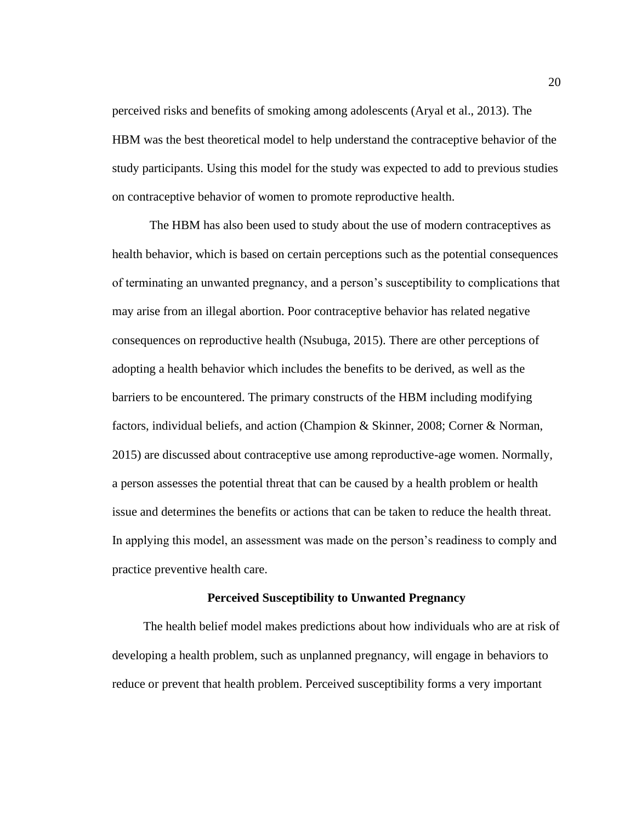perceived risks and benefits of smoking among adolescents (Aryal et al., 2013). The HBM was the best theoretical model to help understand the contraceptive behavior of the study participants. Using this model for the study was expected to add to previous studies on contraceptive behavior of women to promote reproductive health.

The HBM has also been used to study about the use of modern contraceptives as health behavior, which is based on certain perceptions such as the potential consequences of terminating an unwanted pregnancy, and a person's susceptibility to complications that may arise from an illegal abortion. Poor contraceptive behavior has related negative consequences on reproductive health (Nsubuga, 2015). There are other perceptions of adopting a health behavior which includes the benefits to be derived, as well as the barriers to be encountered. The primary constructs of the HBM including modifying factors, individual beliefs, and action (Champion & Skinner, 2008; Corner & Norman, 2015) are discussed about contraceptive use among reproductive-age women. Normally, a person assesses the potential threat that can be caused by a health problem or health issue and determines the benefits or actions that can be taken to reduce the health threat. In applying this model, an assessment was made on the person's readiness to comply and practice preventive health care.

#### **Perceived Susceptibility to Unwanted Pregnancy**

<span id="page-32-0"></span> The health belief model makes predictions about how individuals who are at risk of developing a health problem, such as unplanned pregnancy, will engage in behaviors to reduce or prevent that health problem. Perceived susceptibility forms a very important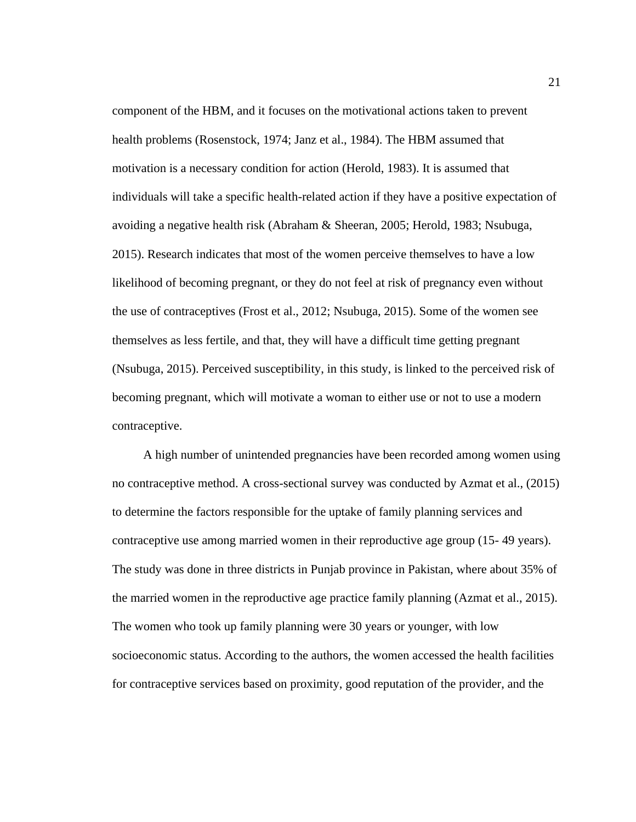component of the HBM, and it focuses on the motivational actions taken to prevent health problems (Rosenstock, 1974; Janz et al., 1984). The HBM assumed that motivation is a necessary condition for action (Herold, 1983). It is assumed that individuals will take a specific health-related action if they have a positive expectation of avoiding a negative health risk (Abraham & Sheeran, 2005; Herold, 1983; Nsubuga, 2015). Research indicates that most of the women perceive themselves to have a low likelihood of becoming pregnant, or they do not feel at risk of pregnancy even without the use of contraceptives (Frost et al., 2012; Nsubuga, 2015). Some of the women see themselves as less fertile, and that, they will have a difficult time getting pregnant (Nsubuga, 2015). Perceived susceptibility, in this study, is linked to the perceived risk of becoming pregnant, which will motivate a woman to either use or not to use a modern contraceptive.

 A high number of unintended pregnancies have been recorded among women using no contraceptive method. A cross-sectional survey was conducted by Azmat et al., (2015) to determine the factors responsible for the uptake of family planning services and contraceptive use among married women in their reproductive age group (15- 49 years). The study was done in three districts in Punjab province in Pakistan, where about 35% of the married women in the reproductive age practice family planning (Azmat et al., 2015). The women who took up family planning were 30 years or younger, with low socioeconomic status. According to the authors, the women accessed the health facilities for contraceptive services based on proximity, good reputation of the provider, and the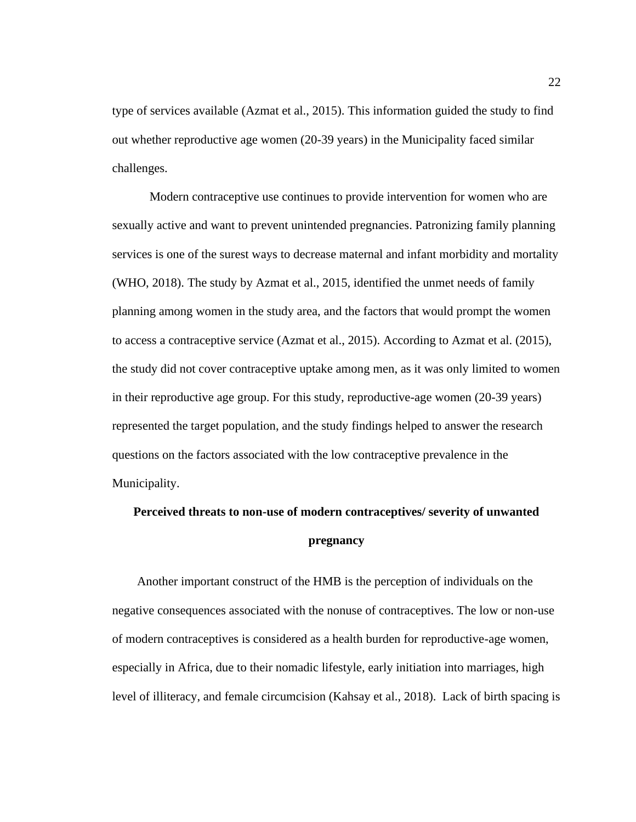type of services available (Azmat et al., 2015). This information guided the study to find out whether reproductive age women (20-39 years) in the Municipality faced similar challenges.

 Modern contraceptive use continues to provide intervention for women who are sexually active and want to prevent unintended pregnancies. Patronizing family planning services is one of the surest ways to decrease maternal and infant morbidity and mortality (WHO, 2018). The study by Azmat et al., 2015, identified the unmet needs of family planning among women in the study area, and the factors that would prompt the women to access a contraceptive service (Azmat et al., 2015). According to Azmat et al. (2015), the study did not cover contraceptive uptake among men, as it was only limited to women in their reproductive age group. For this study, reproductive-age women (20-39 years) represented the target population, and the study findings helped to answer the research questions on the factors associated with the low contraceptive prevalence in the Municipality.

## <span id="page-34-0"></span>**Perceived threats to non-use of modern contraceptives/ severity of unwanted pregnancy**

 Another important construct of the HMB is the perception of individuals on the negative consequences associated with the nonuse of contraceptives. The low or non-use of modern contraceptives is considered as a health burden for reproductive-age women, especially in Africa, due to their nomadic lifestyle, early initiation into marriages, high level of illiteracy, and female circumcision (Kahsay et al., 2018). Lack of birth spacing is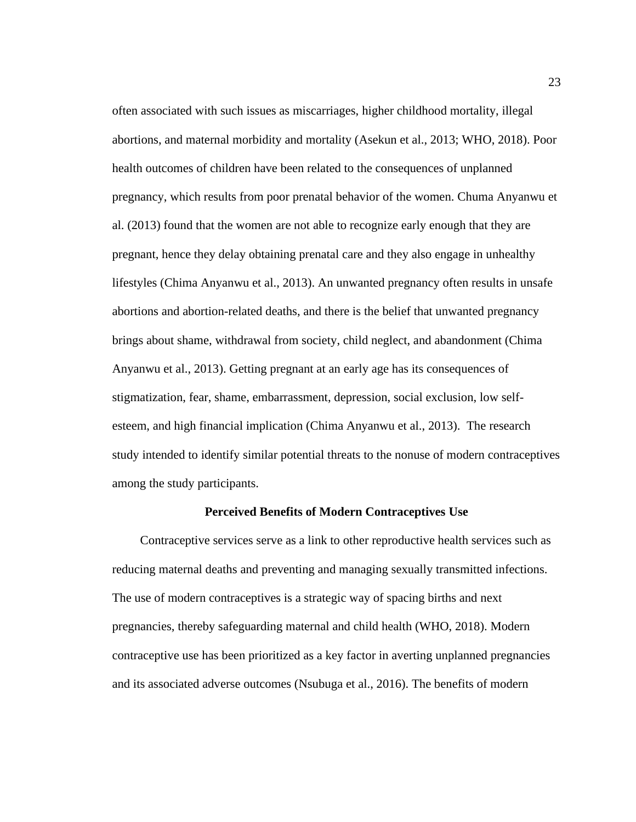often associated with such issues as miscarriages, higher childhood mortality, illegal abortions, and maternal morbidity and mortality (Asekun et al., 2013; WHO, 2018). Poor health outcomes of children have been related to the consequences of unplanned pregnancy, which results from poor prenatal behavior of the women. Chuma Anyanwu et al. (2013) found that the women are not able to recognize early enough that they are pregnant, hence they delay obtaining prenatal care and they also engage in unhealthy lifestyles (Chima Anyanwu et al., 2013). An unwanted pregnancy often results in unsafe abortions and abortion-related deaths, and there is the belief that unwanted pregnancy brings about shame, withdrawal from society, child neglect, and abandonment (Chima Anyanwu et al., 2013). Getting pregnant at an early age has its consequences of stigmatization, fear, shame, embarrassment, depression, social exclusion, low selfesteem, and high financial implication (Chima Anyanwu et al., 2013). The research study intended to identify similar potential threats to the nonuse of modern contraceptives among the study participants.

#### **Perceived Benefits of Modern Contraceptives Use**

<span id="page-35-0"></span> Contraceptive services serve as a link to other reproductive health services such as reducing maternal deaths and preventing and managing sexually transmitted infections. The use of modern contraceptives is a strategic way of spacing births and next pregnancies, thereby safeguarding maternal and child health (WHO, 2018). Modern contraceptive use has been prioritized as a key factor in averting unplanned pregnancies and its associated adverse outcomes (Nsubuga et al., 2016). The benefits of modern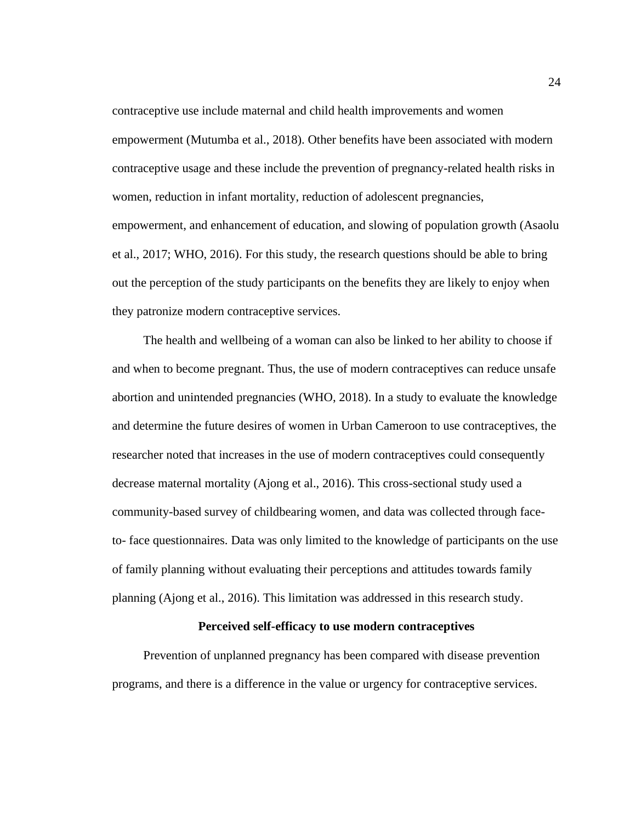contraceptive use include maternal and child health improvements and women empowerment (Mutumba et al., 2018). Other benefits have been associated with modern contraceptive usage and these include the prevention of pregnancy-related health risks in women, reduction in infant mortality, reduction of adolescent pregnancies, empowerment, and enhancement of education, and slowing of population growth (Asaolu et al., 2017; WHO, 2016). For this study, the research questions should be able to bring out the perception of the study participants on the benefits they are likely to enjoy when they patronize modern contraceptive services.

 The health and wellbeing of a woman can also be linked to her ability to choose if and when to become pregnant. Thus, the use of modern contraceptives can reduce unsafe abortion and unintended pregnancies (WHO, 2018). In a study to evaluate the knowledge and determine the future desires of women in Urban Cameroon to use contraceptives, the researcher noted that increases in the use of modern contraceptives could consequently decrease maternal mortality (Ajong et al., 2016). This cross-sectional study used a community-based survey of childbearing women, and data was collected through faceto- face questionnaires. Data was only limited to the knowledge of participants on the use of family planning without evaluating their perceptions and attitudes towards family planning (Ajong et al., 2016). This limitation was addressed in this research study.

### **Perceived self-efficacy to use modern contraceptives**

 Prevention of unplanned pregnancy has been compared with disease prevention programs, and there is a difference in the value or urgency for contraceptive services.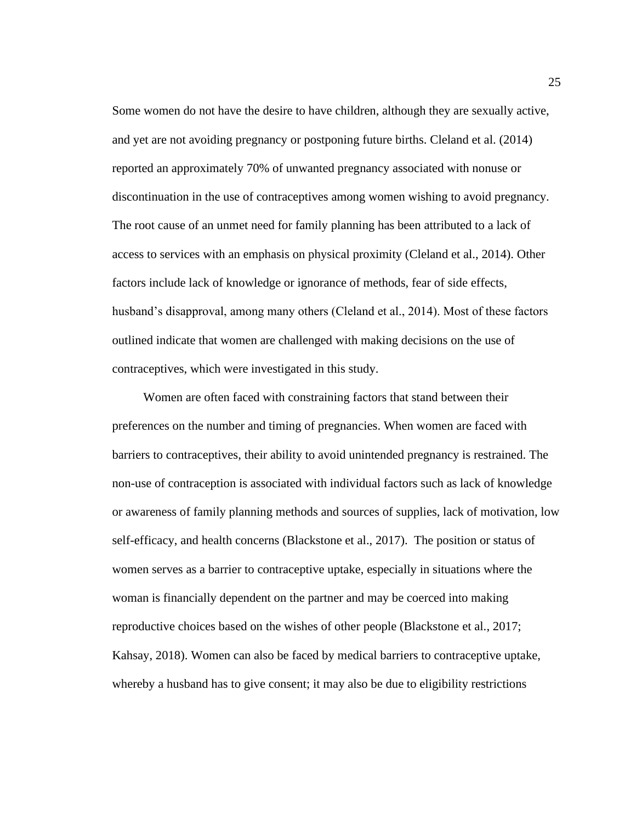Some women do not have the desire to have children, although they are sexually active, and yet are not avoiding pregnancy or postponing future births. Cleland et al. (2014) reported an approximately 70% of unwanted pregnancy associated with nonuse or discontinuation in the use of contraceptives among women wishing to avoid pregnancy. The root cause of an unmet need for family planning has been attributed to a lack of access to services with an emphasis on physical proximity (Cleland et al., 2014). Other factors include lack of knowledge or ignorance of methods, fear of side effects, husband's disapproval, among many others (Cleland et al., 2014). Most of these factors outlined indicate that women are challenged with making decisions on the use of contraceptives, which were investigated in this study.

 Women are often faced with constraining factors that stand between their preferences on the number and timing of pregnancies. When women are faced with barriers to contraceptives, their ability to avoid unintended pregnancy is restrained. The non-use of contraception is associated with individual factors such as lack of knowledge or awareness of family planning methods and sources of supplies, lack of motivation, low self-efficacy, and health concerns (Blackstone et al., 2017). The position or status of women serves as a barrier to contraceptive uptake, especially in situations where the woman is financially dependent on the partner and may be coerced into making reproductive choices based on the wishes of other people (Blackstone et al., 2017; Kahsay, 2018). Women can also be faced by medical barriers to contraceptive uptake, whereby a husband has to give consent; it may also be due to eligibility restrictions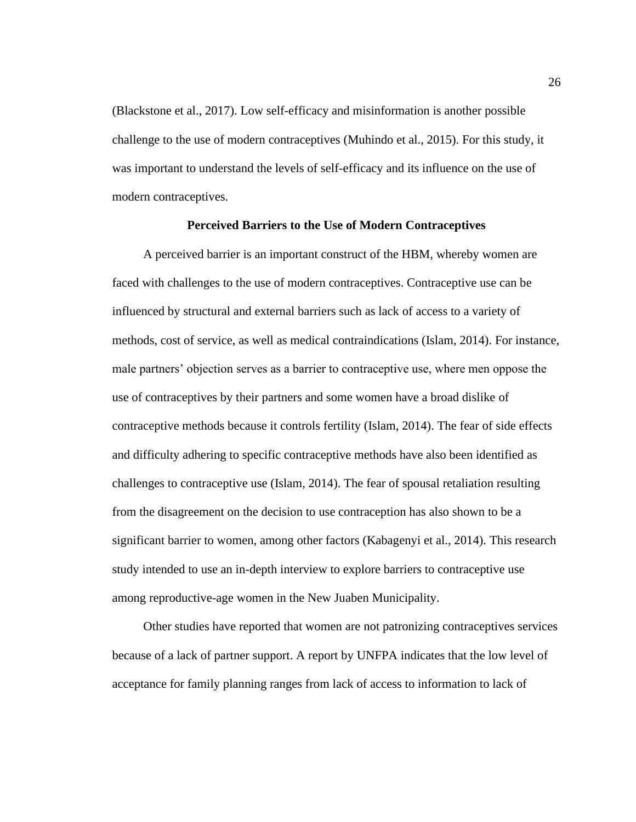(Blackstone et al., 2017). Low self-efficacy and misinformation is another possible challenge to the use of modern contraceptives (Muhindo et al., 2015). For this study, it was important to understand the levels of self-efficacy and its influence on the use of modern contraceptives.

# **Perceived Barriers to the Use of Modern Contraceptives**

 A perceived barrier is an important construct of the HBM, whereby women are faced with challenges to the use of modern contraceptives. Contraceptive use can be influenced by structural and external barriers such as lack of access to a variety of methods, cost of service, as well as medical contraindications (Islam, 2014). For instance, male partners' objection serves as a barrier to contraceptive use, where men oppose the use of contraceptives by their partners and some women have a broad dislike of contraceptive methods because it controls fertility (Islam, 2014). The fear of side effects and difficulty adhering to specific contraceptive methods have also been identified as challenges to contraceptive use (Islam, 2014). The fear of spousal retaliation resulting from the disagreement on the decision to use contraception has also shown to be a significant barrier to women, among other factors (Kabagenyi et al., 2014). This research study intended to use an in-depth interview to explore barriers to contraceptive use among reproductive-age women in the New Juaben Municipality.

 Other studies have reported that women are not patronizing contraceptives services because of a lack of partner support. A report by UNFPA indicates that the low level of acceptance for family planning ranges from lack of access to information to lack of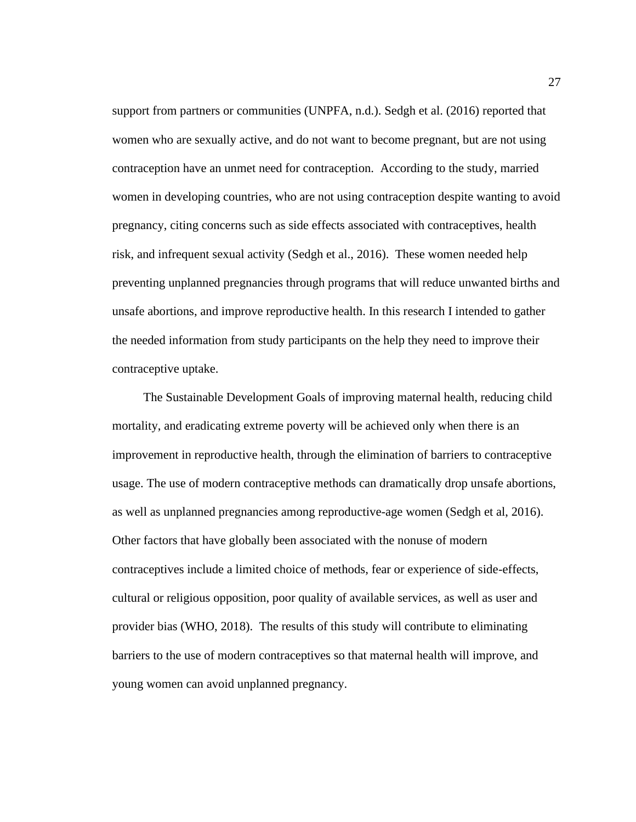support from partners or communities (UNPFA, n.d.). Sedgh et al. (2016) reported that women who are sexually active, and do not want to become pregnant, but are not using contraception have an unmet need for contraception. According to the study, married women in developing countries, who are not using contraception despite wanting to avoid pregnancy, citing concerns such as side effects associated with contraceptives, health risk, and infrequent sexual activity (Sedgh et al., 2016). These women needed help preventing unplanned pregnancies through programs that will reduce unwanted births and unsafe abortions, and improve reproductive health. In this research I intended to gather the needed information from study participants on the help they need to improve their contraceptive uptake.

 The Sustainable Development Goals of improving maternal health, reducing child mortality, and eradicating extreme poverty will be achieved only when there is an improvement in reproductive health, through the elimination of barriers to contraceptive usage. The use of modern contraceptive methods can dramatically drop unsafe abortions, as well as unplanned pregnancies among reproductive-age women (Sedgh et al, 2016). Other factors that have globally been associated with the nonuse of modern contraceptives include a limited choice of methods, fear or experience of side-effects, cultural or religious opposition, poor quality of available services, as well as user and provider bias (WHO, 2018). The results of this study will contribute to eliminating barriers to the use of modern contraceptives so that maternal health will improve, and young women can avoid unplanned pregnancy.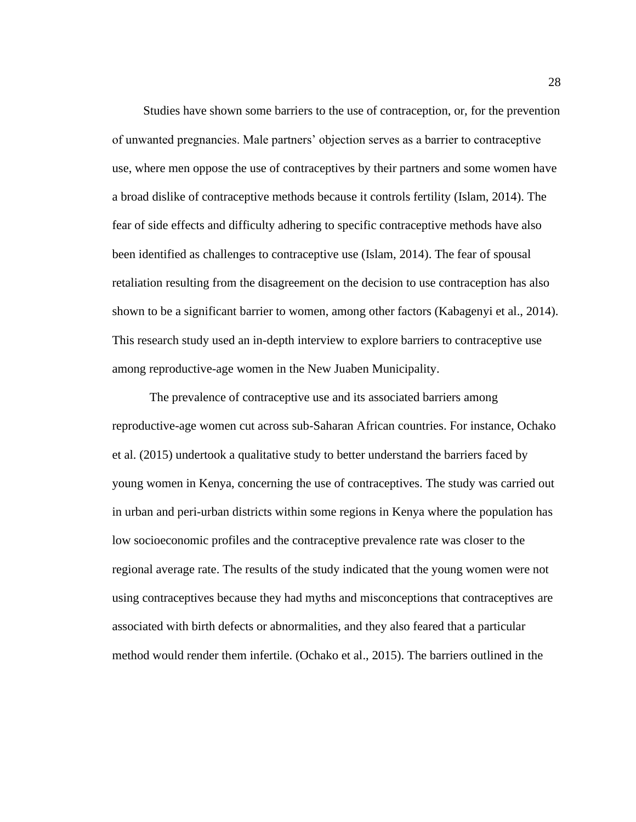Studies have shown some barriers to the use of contraception, or, for the prevention of unwanted pregnancies. Male partners' objection serves as a barrier to contraceptive use, where men oppose the use of contraceptives by their partners and some women have a broad dislike of contraceptive methods because it controls fertility (Islam, 2014). The fear of side effects and difficulty adhering to specific contraceptive methods have also been identified as challenges to contraceptive use (Islam, 2014). The fear of spousal retaliation resulting from the disagreement on the decision to use contraception has also shown to be a significant barrier to women, among other factors (Kabagenyi et al., 2014). This research study used an in-depth interview to explore barriers to contraceptive use among reproductive-age women in the New Juaben Municipality.

 The prevalence of contraceptive use and its associated barriers among reproductive-age women cut across sub-Saharan African countries. For instance, Ochako et al. (2015) undertook a qualitative study to better understand the barriers faced by young women in Kenya, concerning the use of contraceptives. The study was carried out in urban and peri-urban districts within some regions in Kenya where the population has low socioeconomic profiles and the contraceptive prevalence rate was closer to the regional average rate. The results of the study indicated that the young women were not using contraceptives because they had myths and misconceptions that contraceptives are associated with birth defects or abnormalities, and they also feared that a particular method would render them infertile. (Ochako et al., 2015). The barriers outlined in the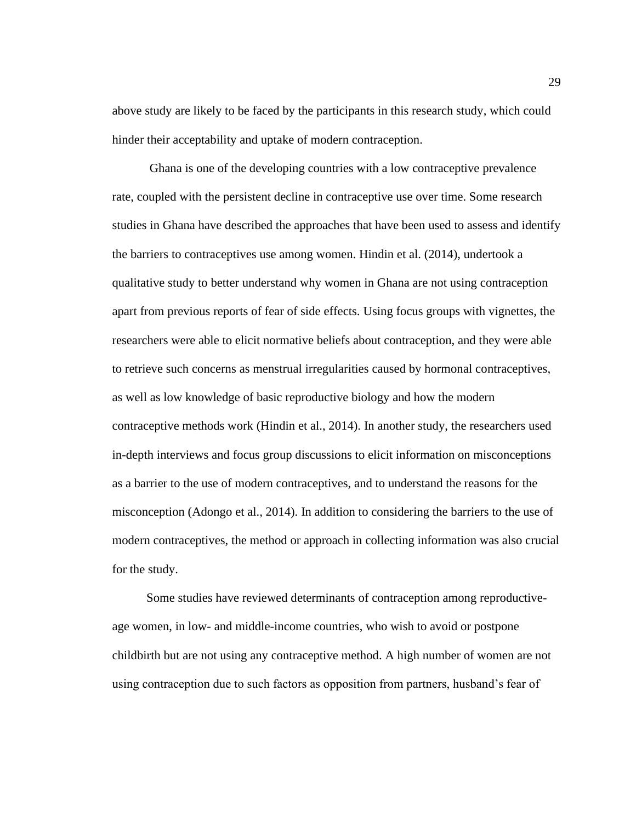above study are likely to be faced by the participants in this research study, which could hinder their acceptability and uptake of modern contraception.

 Ghana is one of the developing countries with a low contraceptive prevalence rate, coupled with the persistent decline in contraceptive use over time. Some research studies in Ghana have described the approaches that have been used to assess and identify the barriers to contraceptives use among women. Hindin et al. (2014), undertook a qualitative study to better understand why women in Ghana are not using contraception apart from previous reports of fear of side effects. Using focus groups with vignettes, the researchers were able to elicit normative beliefs about contraception, and they were able to retrieve such concerns as menstrual irregularities caused by hormonal contraceptives, as well as low knowledge of basic reproductive biology and how the modern contraceptive methods work (Hindin et al., 2014). In another study, the researchers used in-depth interviews and focus group discussions to elicit information on misconceptions as a barrier to the use of modern contraceptives, and to understand the reasons for the misconception (Adongo et al., 2014). In addition to considering the barriers to the use of modern contraceptives, the method or approach in collecting information was also crucial for the study.

 Some studies have reviewed determinants of contraception among reproductiveage women, in low- and middle-income countries, who wish to avoid or postpone childbirth but are not using any contraceptive method. A high number of women are not using contraception due to such factors as opposition from partners, husband's fear of

29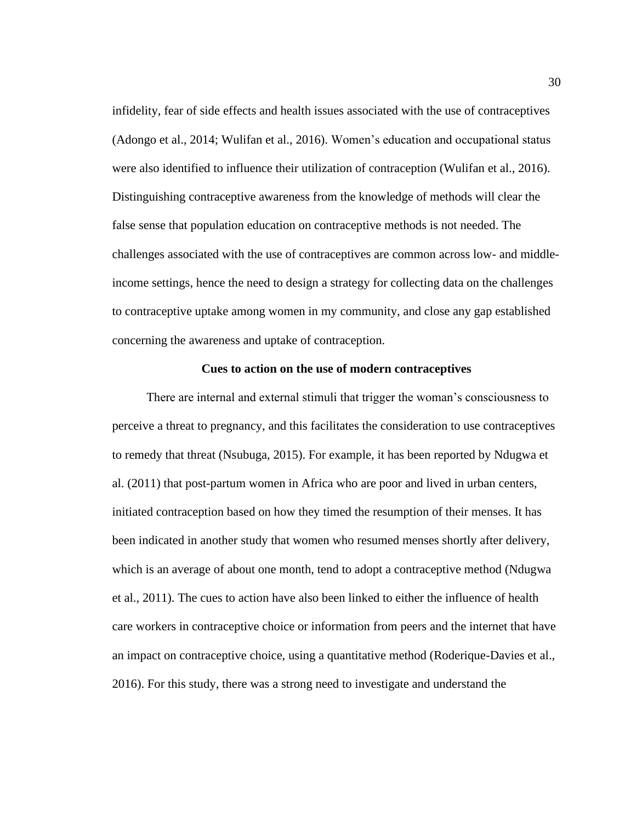infidelity, fear of side effects and health issues associated with the use of contraceptives (Adongo et al., 2014; Wulifan et al., 2016). Women's education and occupational status were also identified to influence their utilization of contraception (Wulifan et al., 2016). Distinguishing contraceptive awareness from the knowledge of methods will clear the false sense that population education on contraceptive methods is not needed. The challenges associated with the use of contraceptives are common across low- and middleincome settings, hence the need to design a strategy for collecting data on the challenges to contraceptive uptake among women in my community, and close any gap established concerning the awareness and uptake of contraception.

### **Cues to action on the use of modern contraceptives**

 There are internal and external stimuli that trigger the woman's consciousness to perceive a threat to pregnancy, and this facilitates the consideration to use contraceptives to remedy that threat (Nsubuga, 2015). For example, it has been reported by Ndugwa et al. (2011) that post-partum women in Africa who are poor and lived in urban centers, initiated contraception based on how they timed the resumption of their menses. It has been indicated in another study that women who resumed menses shortly after delivery, which is an average of about one month, tend to adopt a contraceptive method (Ndugwa et al., 2011). The cues to action have also been linked to either the influence of health care workers in contraceptive choice or information from peers and the internet that have an impact on contraceptive choice, using a quantitative method (Roderique-Davies et al., 2016). For this study, there was a strong need to investigate and understand the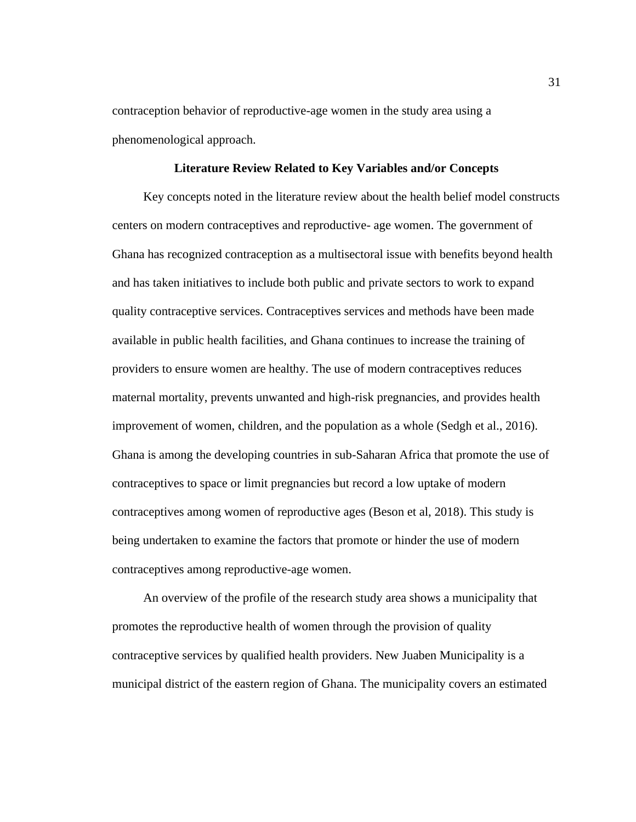contraception behavior of reproductive-age women in the study area using a phenomenological approach.

# **Literature Review Related to Key Variables and/or Concepts**

Key concepts noted in the literature review about the health belief model constructs centers on modern contraceptives and reproductive- age women. The government of Ghana has recognized contraception as a multisectoral issue with benefits beyond health and has taken initiatives to include both public and private sectors to work to expand quality contraceptive services. Contraceptives services and methods have been made available in public health facilities, and Ghana continues to increase the training of providers to ensure women are healthy. The use of modern contraceptives reduces maternal mortality, prevents unwanted and high-risk pregnancies, and provides health improvement of women, children, and the population as a whole (Sedgh et al., 2016). Ghana is among the developing countries in sub-Saharan Africa that promote the use of contraceptives to space or limit pregnancies but record a low uptake of modern contraceptives among women of reproductive ages (Beson et al, 2018). This study is being undertaken to examine the factors that promote or hinder the use of modern contraceptives among reproductive-age women.

 An overview of the profile of the research study area shows a municipality that promotes the reproductive health of women through the provision of quality contraceptive services by qualified health providers. New Juaben Municipality is a municipal district of the eastern region of Ghana. The municipality covers an estimated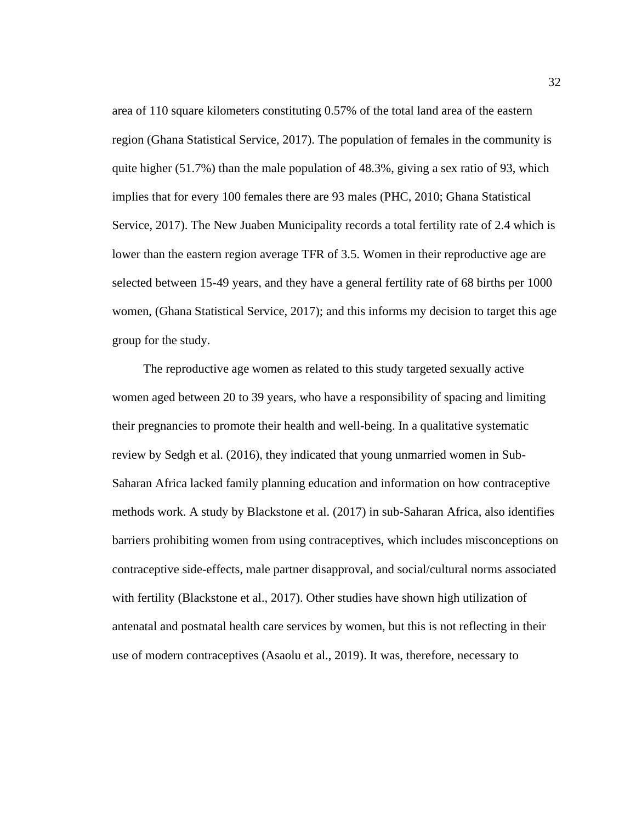area of 110 square kilometers constituting 0.57% of the total land area of the eastern region (Ghana Statistical Service, 2017). The population of females in the community is quite higher (51.7%) than the male population of 48.3%, giving a sex ratio of 93, which implies that for every 100 females there are 93 males (PHC, 2010; Ghana Statistical Service, 2017). The New Juaben Municipality records a total fertility rate of 2.4 which is lower than the eastern region average TFR of 3.5. Women in their reproductive age are selected between 15-49 years, and they have a general fertility rate of 68 births per 1000 women, (Ghana Statistical Service, 2017); and this informs my decision to target this age group for the study.

 The reproductive age women as related to this study targeted sexually active women aged between 20 to 39 years, who have a responsibility of spacing and limiting their pregnancies to promote their health and well-being. In a qualitative systematic review by Sedgh et al. (2016), they indicated that young unmarried women in Sub-Saharan Africa lacked family planning education and information on how contraceptive methods work. A study by Blackstone et al. (2017) in sub-Saharan Africa, also identifies barriers prohibiting women from using contraceptives, which includes misconceptions on contraceptive side-effects, male partner disapproval, and social/cultural norms associated with fertility (Blackstone et al., 2017). Other studies have shown high utilization of antenatal and postnatal health care services by women, but this is not reflecting in their use of modern contraceptives (Asaolu et al., 2019). It was, therefore, necessary to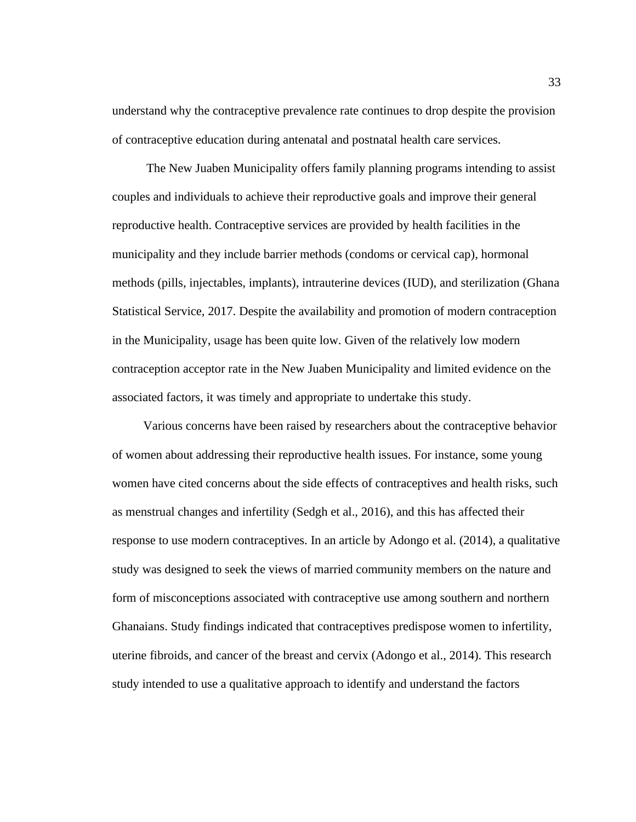understand why the contraceptive prevalence rate continues to drop despite the provision of contraceptive education during antenatal and postnatal health care services.

 The New Juaben Municipality offers family planning programs intending to assist couples and individuals to achieve their reproductive goals and improve their general reproductive health. Contraceptive services are provided by health facilities in the municipality and they include barrier methods (condoms or cervical cap), hormonal methods (pills, injectables, implants), intrauterine devices (IUD), and sterilization (Ghana Statistical Service, 2017. Despite the availability and promotion of modern contraception in the Municipality, usage has been quite low. Given of the relatively low modern contraception acceptor rate in the New Juaben Municipality and limited evidence on the associated factors, it was timely and appropriate to undertake this study.

 Various concerns have been raised by researchers about the contraceptive behavior of women about addressing their reproductive health issues. For instance, some young women have cited concerns about the side effects of contraceptives and health risks, such as menstrual changes and infertility (Sedgh et al., 2016), and this has affected their response to use modern contraceptives. In an article by Adongo et al. (2014), a qualitative study was designed to seek the views of married community members on the nature and form of misconceptions associated with contraceptive use among southern and northern Ghanaians. Study findings indicated that contraceptives predispose women to infertility, uterine fibroids, and cancer of the breast and cervix (Adongo et al., 2014). This research study intended to use a qualitative approach to identify and understand the factors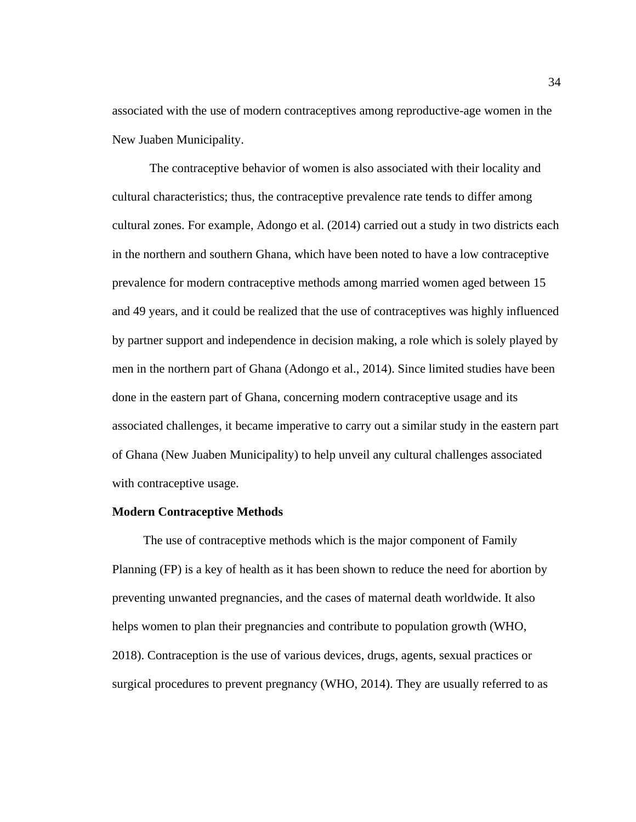associated with the use of modern contraceptives among reproductive-age women in the New Juaben Municipality.

 The contraceptive behavior of women is also associated with their locality and cultural characteristics; thus, the contraceptive prevalence rate tends to differ among cultural zones. For example, Adongo et al. (2014) carried out a study in two districts each in the northern and southern Ghana, which have been noted to have a low contraceptive prevalence for modern contraceptive methods among married women aged between 15 and 49 years, and it could be realized that the use of contraceptives was highly influenced by partner support and independence in decision making, a role which is solely played by men in the northern part of Ghana (Adongo et al., 2014). Since limited studies have been done in the eastern part of Ghana, concerning modern contraceptive usage and its associated challenges, it became imperative to carry out a similar study in the eastern part of Ghana (New Juaben Municipality) to help unveil any cultural challenges associated with contraceptive usage.

#### **Modern Contraceptive Methods**

 The use of contraceptive methods which is the major component of Family Planning (FP) is a key of health as it has been shown to reduce the need for abortion by preventing unwanted pregnancies, and the cases of maternal death worldwide. It also helps women to plan their pregnancies and contribute to population growth (WHO, 2018). Contraception is the use of various devices, drugs, agents, sexual practices or surgical procedures to prevent pregnancy (WHO, 2014). They are usually referred to as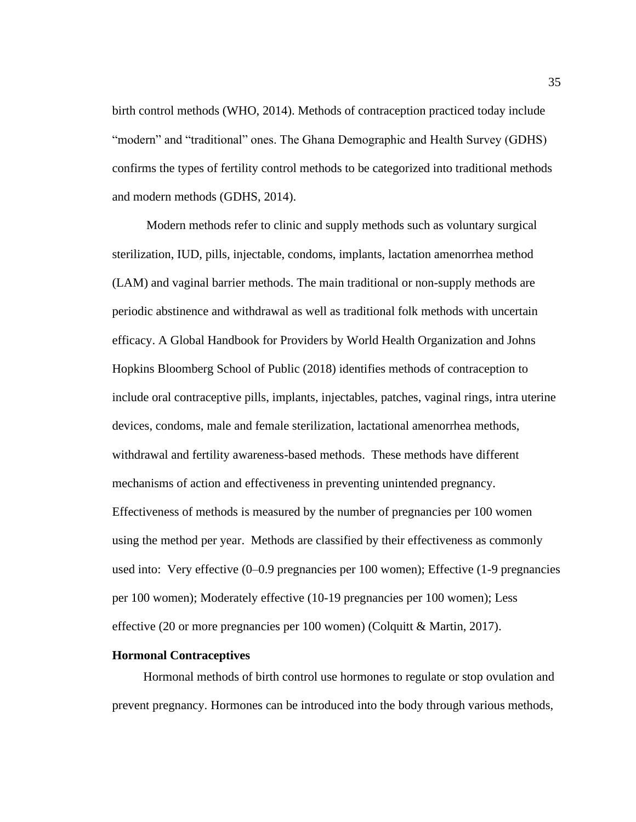birth control methods (WHO, 2014). Methods of contraception practiced today include "modern" and "traditional" ones. The Ghana Demographic and Health Survey (GDHS) confirms the types of fertility control methods to be categorized into traditional methods and modern methods (GDHS, 2014).

 Modern methods refer to clinic and supply methods such as voluntary surgical sterilization, IUD, pills, injectable, condoms, implants, lactation amenorrhea method (LAM) and vaginal barrier methods. The main traditional or non-supply methods are periodic abstinence and withdrawal as well as traditional folk methods with uncertain efficacy. A Global Handbook for Providers by World Health Organization and Johns Hopkins Bloomberg School of Public (2018) identifies methods of contraception to include oral contraceptive pills, implants, injectables, patches, vaginal rings, intra uterine devices, condoms, male and female sterilization, lactational amenorrhea methods, withdrawal and fertility awareness-based methods. These methods have different mechanisms of action and effectiveness in preventing unintended pregnancy. Effectiveness of methods is measured by the number of pregnancies per 100 women using the method per year. Methods are classified by their effectiveness as commonly used into: Very effective (0–0.9 pregnancies per 100 women); Effective (1-9 pregnancies per 100 women); Moderately effective (10-19 pregnancies per 100 women); Less effective (20 or more pregnancies per 100 women) (Colquitt & Martin, 2017).

### **Hormonal Contraceptives**

 Hormonal methods of birth control use hormones to regulate or stop ovulation and prevent pregnancy. Hormones can be introduced into the body through various methods,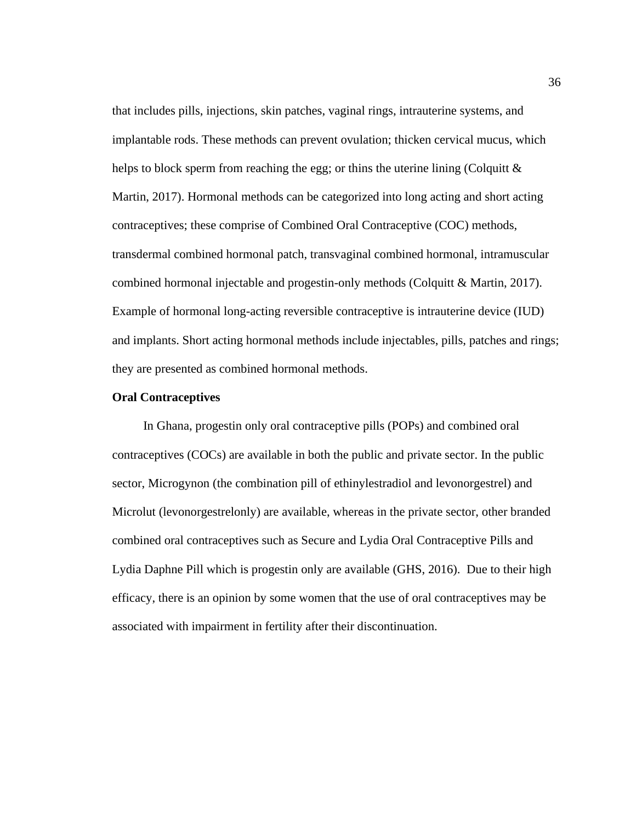that includes pills, injections, skin patches, vaginal rings, intrauterine systems, and implantable rods. These methods can prevent ovulation; thicken cervical mucus, which helps to block sperm from reaching the egg; or thins the uterine lining (Colquitt  $\&$ Martin, 2017). Hormonal methods can be categorized into long acting and short acting contraceptives; these comprise of Combined Oral Contraceptive (COC) methods, transdermal combined hormonal patch, transvaginal combined hormonal, intramuscular combined hormonal injectable and progestin-only methods (Colquitt & Martin, 2017). Example of hormonal long-acting reversible contraceptive is intrauterine device (IUD) and implants. Short acting hormonal methods include injectables, pills, patches and rings; they are presented as combined hormonal methods.

# **Oral Contraceptives**

 In Ghana, progestin only oral contraceptive pills (POPs) and combined oral contraceptives (COCs) are available in both the public and private sector. In the public sector, Microgynon (the combination pill of ethinylestradiol and levonorgestrel) and Microlut (levonorgestrelonly) are available, whereas in the private sector, other branded combined oral contraceptives such as Secure and Lydia Oral Contraceptive Pills and Lydia Daphne Pill which is progestin only are available (GHS, 2016). Due to their high efficacy, there is an opinion by some women that the use of oral contraceptives may be associated with impairment in fertility after their discontinuation.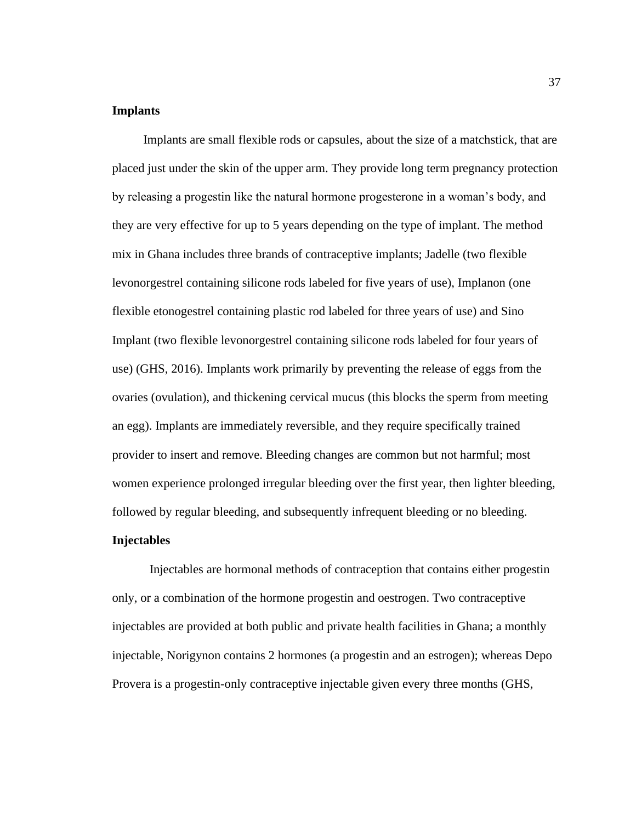# **Implants**

 Implants are small flexible rods or capsules, about the size of a matchstick, that are placed just under the skin of the upper arm. They provide long term pregnancy protection by releasing a progestin like the natural hormone progesterone in a woman's body, and they are very effective for up to 5 years depending on the type of implant. The method mix in Ghana includes three brands of contraceptive implants; Jadelle (two flexible levonorgestrel containing silicone rods labeled for five years of use), Implanon (one flexible etonogestrel containing plastic rod labeled for three years of use) and Sino Implant (two flexible levonorgestrel containing silicone rods labeled for four years of use) (GHS, 2016). Implants work primarily by preventing the release of eggs from the ovaries (ovulation), and thickening cervical mucus (this blocks the sperm from meeting an egg). Implants are immediately reversible, and they require specifically trained provider to insert and remove. Bleeding changes are common but not harmful; most women experience prolonged irregular bleeding over the first year, then lighter bleeding, followed by regular bleeding, and subsequently infrequent bleeding or no bleeding.

# **Injectables**

Injectables are hormonal methods of contraception that contains either progestin only, or a combination of the hormone progestin and oestrogen. Two contraceptive injectables are provided at both public and private health facilities in Ghana; a monthly injectable, Norigynon contains 2 hormones (a progestin and an estrogen); whereas Depo Provera is a progestin-only contraceptive injectable given every three months (GHS,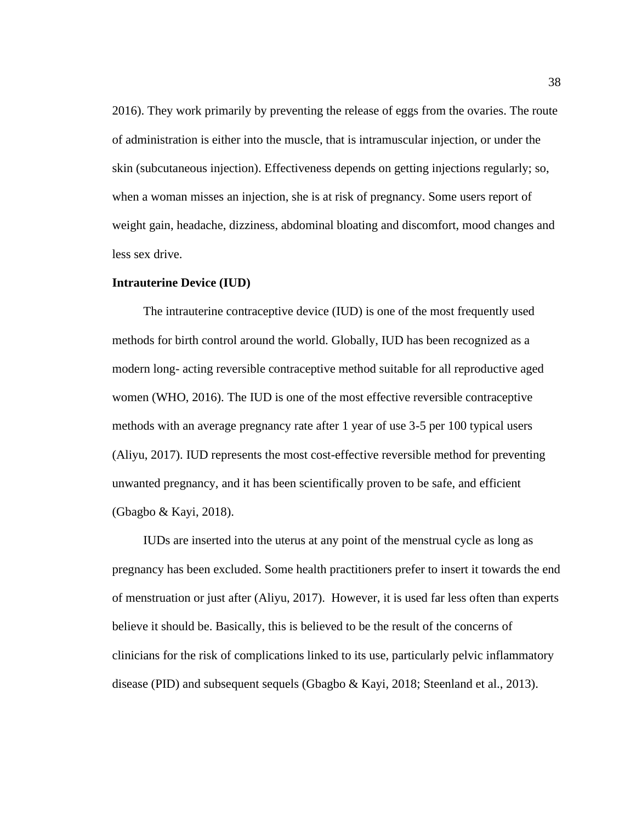2016). They work primarily by preventing the release of eggs from the ovaries. The route of administration is either into the muscle, that is intramuscular injection, or under the skin (subcutaneous injection). Effectiveness depends on getting injections regularly; so, when a woman misses an injection, she is at risk of pregnancy. Some users report of weight gain, headache, dizziness, abdominal bloating and discomfort, mood changes and less sex drive.

### **Intrauterine Device (IUD)**

 The intrauterine contraceptive device (IUD) is one of the most frequently used methods for birth control around the world. Globally, IUD has been recognized as a modern long- acting reversible contraceptive method suitable for all reproductive aged women (WHO, 2016). The IUD is one of the most effective reversible contraceptive methods with an average pregnancy rate after 1 year of use 3-5 per 100 typical users (Aliyu, 2017). IUD represents the most cost-effective reversible method for preventing unwanted pregnancy, and it has been scientifically proven to be safe, and efficient (Gbagbo & Kayi, 2018).

 IUDs are inserted into the uterus at any point of the menstrual cycle as long as pregnancy has been excluded. Some health practitioners prefer to insert it towards the end of menstruation or just after (Aliyu, 2017). However, it is used far less often than experts believe it should be. Basically, this is believed to be the result of the concerns of clinicians for the risk of complications linked to its use, particularly pelvic inflammatory disease (PID) and subsequent sequels (Gbagbo & Kayi, 2018; Steenland et al., 2013).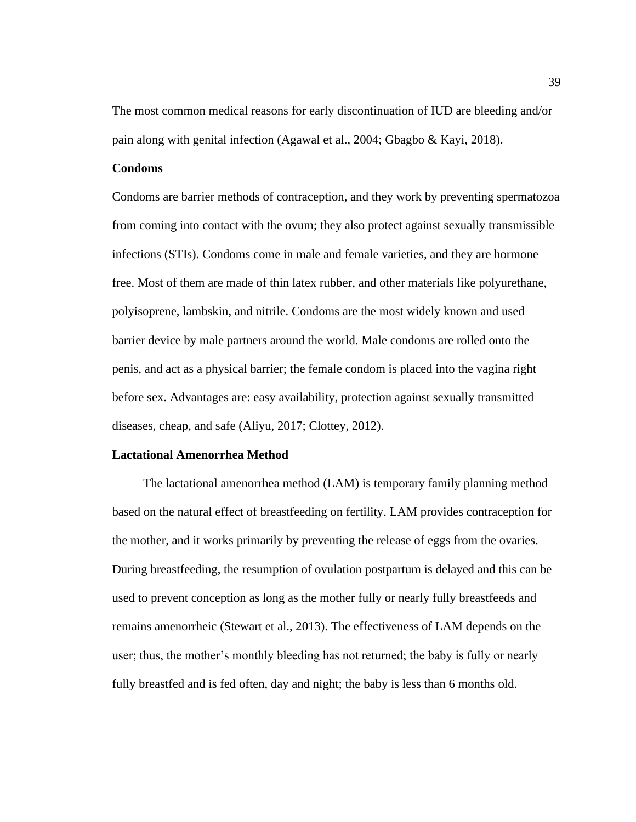The most common medical reasons for early discontinuation of IUD are bleeding and/or pain along with genital infection (Agawal et al., 2004; Gbagbo & Kayi, 2018).

# **Condoms**

Condoms are barrier methods of contraception, and they work by preventing spermatozoa from coming into contact with the ovum; they also protect against sexually transmissible infections (STIs). Condoms come in male and female varieties, and they are hormone free. Most of them are made of thin latex rubber, and other materials like polyurethane, polyisoprene, lambskin, and nitrile. Condoms are the most widely known and used barrier device by male partners around the world. Male condoms are rolled onto the penis, and act as a physical barrier; the female condom is placed into the vagina right before sex. Advantages are: easy availability, protection against sexually transmitted diseases, cheap, and safe (Aliyu, 2017; Clottey, 2012).

#### **Lactational Amenorrhea Method**

 The lactational amenorrhea method (LAM) is temporary family planning method based on the natural effect of breastfeeding on fertility. LAM provides contraception for the mother, and it works primarily by preventing the release of eggs from the ovaries. During breastfeeding, the resumption of ovulation postpartum is delayed and this can be used to prevent conception as long as the mother fully or nearly fully breastfeeds and remains amenorrheic (Stewart et al., 2013). The effectiveness of LAM depends on the user; thus, the mother's monthly bleeding has not returned; the baby is fully or nearly fully breastfed and is fed often, day and night; the baby is less than 6 months old.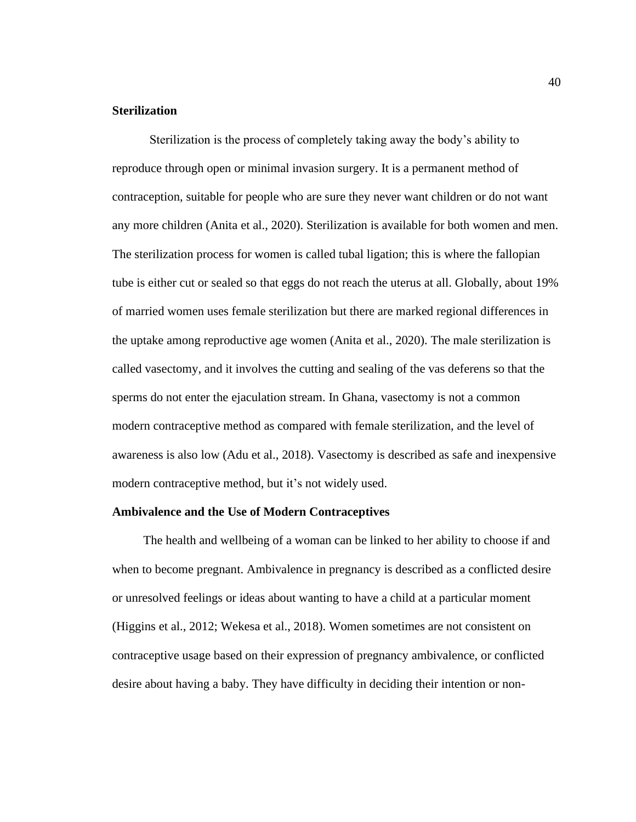# **Sterilization**

Sterilization is the process of completely taking away the body's ability to reproduce through open or minimal invasion surgery. It is a permanent method of contraception, suitable for people who are sure they never want children or do not want any more children (Anita et al., 2020). Sterilization is available for both women and men. The sterilization process for women is called tubal ligation; this is where the fallopian tube is either cut or sealed so that eggs do not reach the uterus at all. Globally, about 19% of married women uses female sterilization but there are marked regional differences in the uptake among reproductive age women (Anita et al., 2020). The male sterilization is called vasectomy, and it involves the cutting and sealing of the vas deferens so that the sperms do not enter the ejaculation stream. In Ghana, vasectomy is not a common modern contraceptive method as compared with female sterilization, and the level of awareness is also low (Adu et al., 2018). Vasectomy is described as safe and inexpensive modern contraceptive method, but it's not widely used.

### **Ambivalence and the Use of Modern Contraceptives**

 The health and wellbeing of a woman can be linked to her ability to choose if and when to become pregnant. Ambivalence in pregnancy is described as a conflicted desire or unresolved feelings or ideas about wanting to have a child at a particular moment (Higgins et al., 2012; Wekesa et al., 2018). Women sometimes are not consistent on contraceptive usage based on their expression of pregnancy ambivalence, or conflicted desire about having a baby. They have difficulty in deciding their intention or non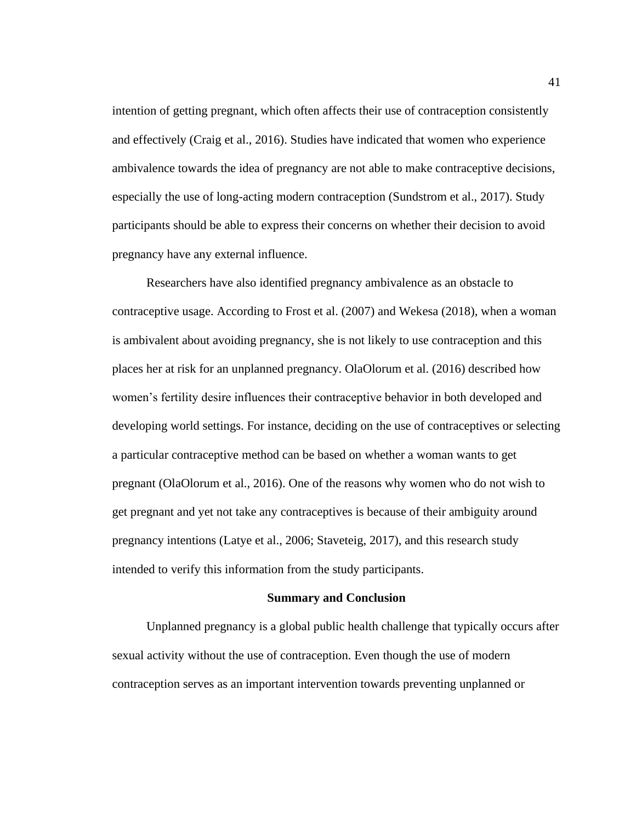intention of getting pregnant, which often affects their use of contraception consistently and effectively (Craig et al., 2016). Studies have indicated that women who experience ambivalence towards the idea of pregnancy are not able to make contraceptive decisions, especially the use of long-acting modern contraception (Sundstrom et al., 2017). Study participants should be able to express their concerns on whether their decision to avoid pregnancy have any external influence.

 Researchers have also identified pregnancy ambivalence as an obstacle to contraceptive usage. According to Frost et al. (2007) and Wekesa (2018), when a woman is ambivalent about avoiding pregnancy, she is not likely to use contraception and this places her at risk for an unplanned pregnancy. OlaOlorum et al. (2016) described how women's fertility desire influences their contraceptive behavior in both developed and developing world settings. For instance, deciding on the use of contraceptives or selecting a particular contraceptive method can be based on whether a woman wants to get pregnant (OlaOlorum et al., 2016). One of the reasons why women who do not wish to get pregnant and yet not take any contraceptives is because of their ambiguity around pregnancy intentions (Latye et al., 2006; Staveteig, 2017), and this research study intended to verify this information from the study participants.

#### **Summary and Conclusion**

 Unplanned pregnancy is a global public health challenge that typically occurs after sexual activity without the use of contraception. Even though the use of modern contraception serves as an important intervention towards preventing unplanned or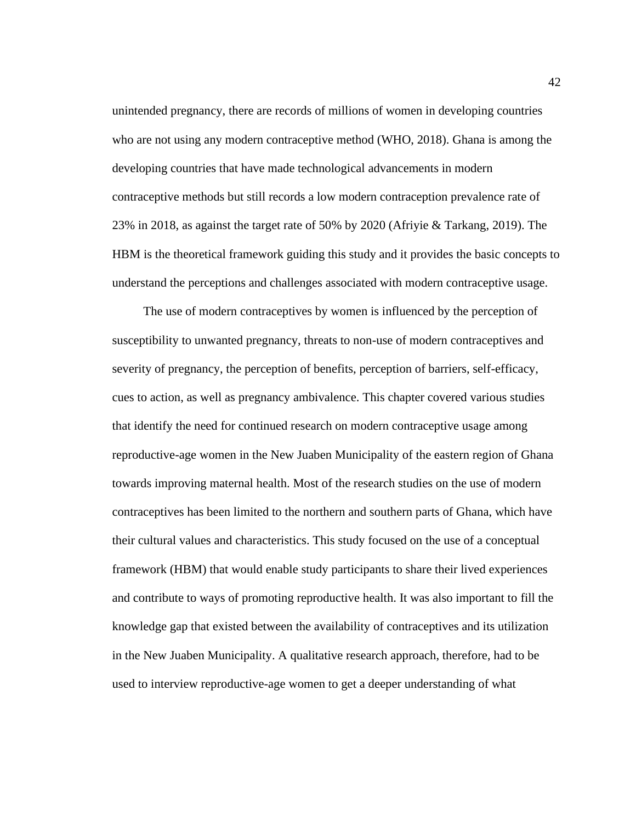unintended pregnancy, there are records of millions of women in developing countries who are not using any modern contraceptive method (WHO, 2018). Ghana is among the developing countries that have made technological advancements in modern contraceptive methods but still records a low modern contraception prevalence rate of 23% in 2018, as against the target rate of 50% by 2020 (Afriyie & Tarkang, 2019). The HBM is the theoretical framework guiding this study and it provides the basic concepts to understand the perceptions and challenges associated with modern contraceptive usage.

 The use of modern contraceptives by women is influenced by the perception of susceptibility to unwanted pregnancy, threats to non-use of modern contraceptives and severity of pregnancy, the perception of benefits, perception of barriers, self-efficacy, cues to action, as well as pregnancy ambivalence. This chapter covered various studies that identify the need for continued research on modern contraceptive usage among reproductive-age women in the New Juaben Municipality of the eastern region of Ghana towards improving maternal health. Most of the research studies on the use of modern contraceptives has been limited to the northern and southern parts of Ghana, which have their cultural values and characteristics. This study focused on the use of a conceptual framework (HBM) that would enable study participants to share their lived experiences and contribute to ways of promoting reproductive health. It was also important to fill the knowledge gap that existed between the availability of contraceptives and its utilization in the New Juaben Municipality. A qualitative research approach, therefore, had to be used to interview reproductive-age women to get a deeper understanding of what

42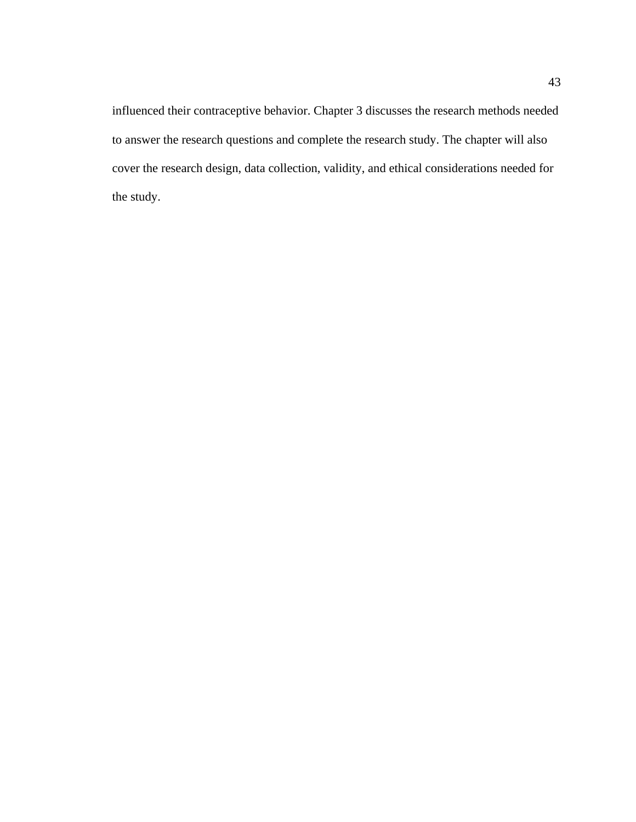influenced their contraceptive behavior. Chapter 3 discusses the research methods needed to answer the research questions and complete the research study. The chapter will also cover the research design, data collection, validity, and ethical considerations needed for the study.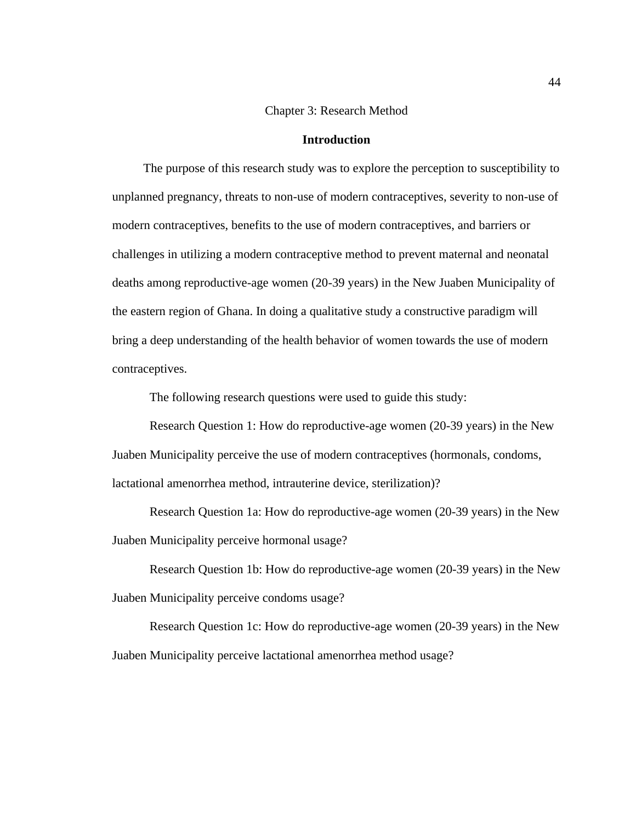# Chapter 3: Research Method

### **Introduction**

 The purpose of this research study was to explore the perception to susceptibility to unplanned pregnancy, threats to non-use of modern contraceptives, severity to non-use of modern contraceptives, benefits to the use of modern contraceptives, and barriers or challenges in utilizing a modern contraceptive method to prevent maternal and neonatal deaths among reproductive-age women (20-39 years) in the New Juaben Municipality of the eastern region of Ghana. In doing a qualitative study a constructive paradigm will bring a deep understanding of the health behavior of women towards the use of modern contraceptives.

The following research questions were used to guide this study:

Research Question 1: How do reproductive-age women (20-39 years) in the New Juaben Municipality perceive the use of modern contraceptives (hormonals, condoms, lactational amenorrhea method, intrauterine device, sterilization)?

Research Question 1a: How do reproductive-age women (20-39 years) in the New Juaben Municipality perceive hormonal usage?

Research Question 1b: How do reproductive-age women (20-39 years) in the New Juaben Municipality perceive condoms usage?

Research Question 1c: How do reproductive-age women (20-39 years) in the New Juaben Municipality perceive lactational amenorrhea method usage?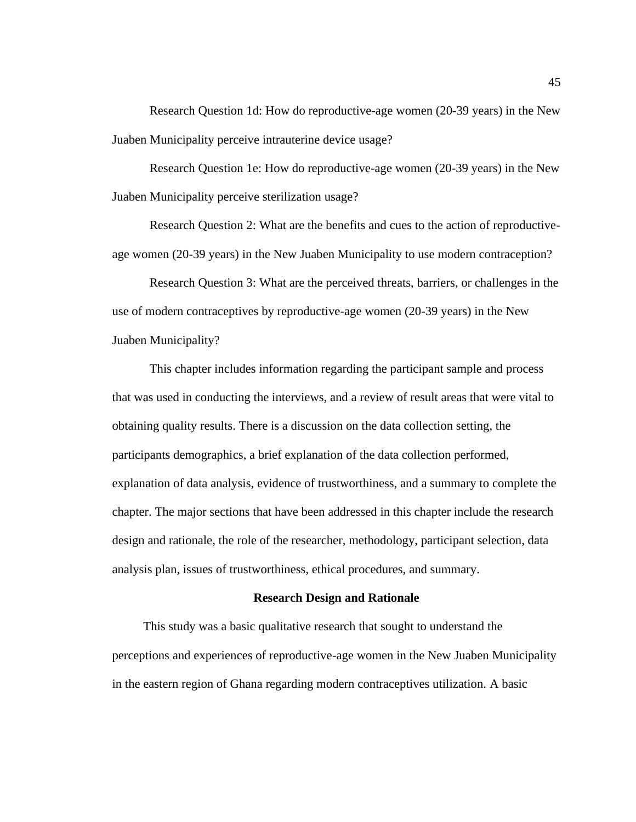Research Question 1d: How do reproductive-age women (20-39 years) in the New Juaben Municipality perceive intrauterine device usage?

Research Question 1e: How do reproductive-age women (20-39 years) in the New Juaben Municipality perceive sterilization usage?

Research Question 2: What are the benefits and cues to the action of reproductiveage women (20-39 years) in the New Juaben Municipality to use modern contraception?

Research Question 3: What are the perceived threats, barriers, or challenges in the use of modern contraceptives by reproductive-age women (20-39 years) in the New Juaben Municipality?

This chapter includes information regarding the participant sample and process that was used in conducting the interviews, and a review of result areas that were vital to obtaining quality results. There is a discussion on the data collection setting, the participants demographics, a brief explanation of the data collection performed, explanation of data analysis, evidence of trustworthiness, and a summary to complete the chapter. The major sections that have been addressed in this chapter include the research design and rationale, the role of the researcher, methodology, participant selection, data analysis plan, issues of trustworthiness, ethical procedures, and summary.

#### **Research Design and Rationale**

 This study was a basic qualitative research that sought to understand the perceptions and experiences of reproductive-age women in the New Juaben Municipality in the eastern region of Ghana regarding modern contraceptives utilization. A basic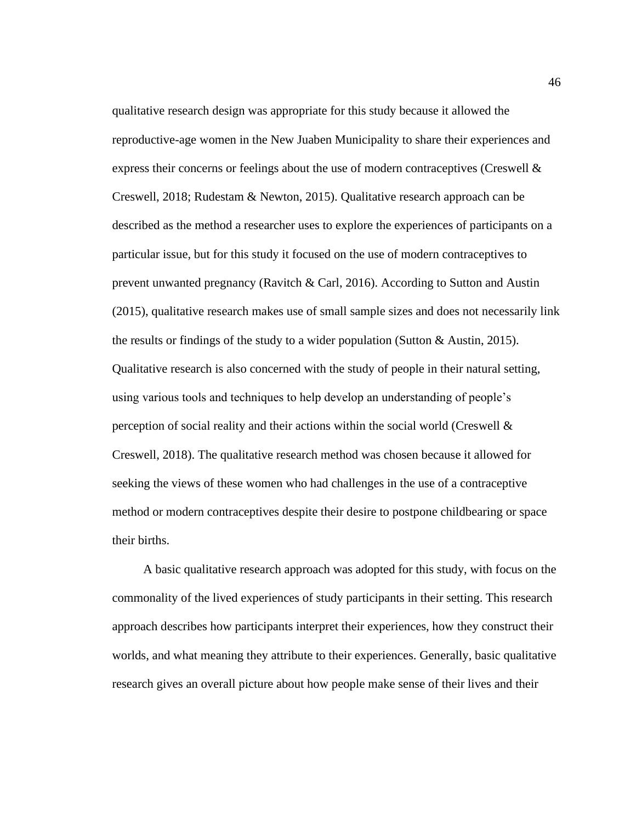qualitative research design was appropriate for this study because it allowed the reproductive-age women in the New Juaben Municipality to share their experiences and express their concerns or feelings about the use of modern contraceptives (Creswell  $\&$ Creswell, 2018; Rudestam & Newton, 2015). Qualitative research approach can be described as the method a researcher uses to explore the experiences of participants on a particular issue, but for this study it focused on the use of modern contraceptives to prevent unwanted pregnancy (Ravitch & Carl, 2016). According to Sutton and Austin (2015), qualitative research makes use of small sample sizes and does not necessarily link the results or findings of the study to a wider population (Sutton & Austin, 2015). Qualitative research is also concerned with the study of people in their natural setting, using various tools and techniques to help develop an understanding of people's perception of social reality and their actions within the social world (Creswell  $\&$ Creswell, 2018). The qualitative research method was chosen because it allowed for seeking the views of these women who had challenges in the use of a contraceptive method or modern contraceptives despite their desire to postpone childbearing or space their births.

 A basic qualitative research approach was adopted for this study, with focus on the commonality of the lived experiences of study participants in their setting. This research approach describes how participants interpret their experiences, how they construct their worlds, and what meaning they attribute to their experiences. Generally, basic qualitative research gives an overall picture about how people make sense of their lives and their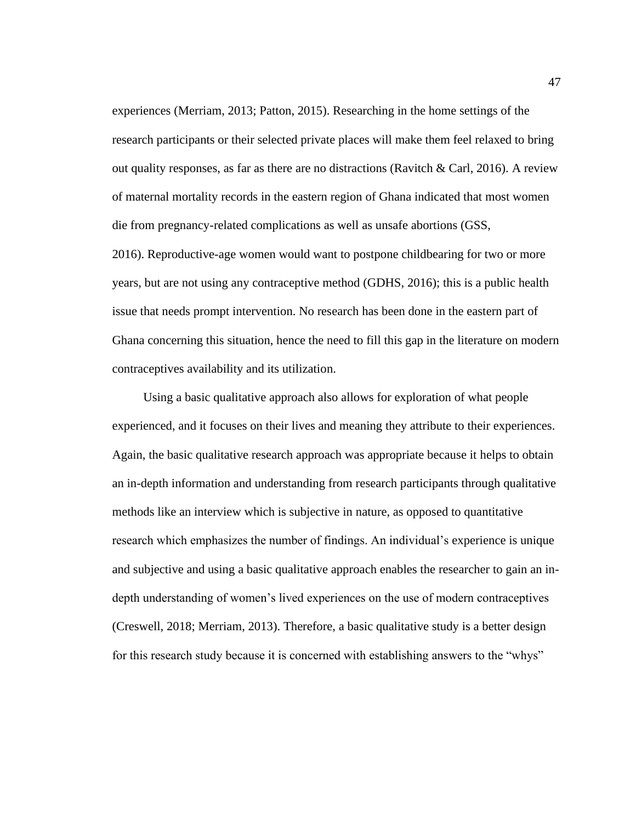experiences (Merriam, 2013; Patton, 2015). Researching in the home settings of the research participants or their selected private places will make them feel relaxed to bring out quality responses, as far as there are no distractions (Ravitch & Carl, 2016). A review of maternal mortality records in the eastern region of Ghana indicated that most women die from pregnancy-related complications as well as unsafe abortions (GSS,

2016). Reproductive-age women would want to postpone childbearing for two or more years, but are not using any contraceptive method (GDHS, 2016); this is a public health issue that needs prompt intervention. No research has been done in the eastern part of Ghana concerning this situation, hence the need to fill this gap in the literature on modern contraceptives availability and its utilization.

 Using a basic qualitative approach also allows for exploration of what people experienced, and it focuses on their lives and meaning they attribute to their experiences. Again, the basic qualitative research approach was appropriate because it helps to obtain an in-depth information and understanding from research participants through qualitative methods like an interview which is subjective in nature, as opposed to quantitative research which emphasizes the number of findings. An individual's experience is unique and subjective and using a basic qualitative approach enables the researcher to gain an indepth understanding of women's lived experiences on the use of modern contraceptives (Creswell, 2018; Merriam, 2013). Therefore, a basic qualitative study is a better design for this research study because it is concerned with establishing answers to the "whys"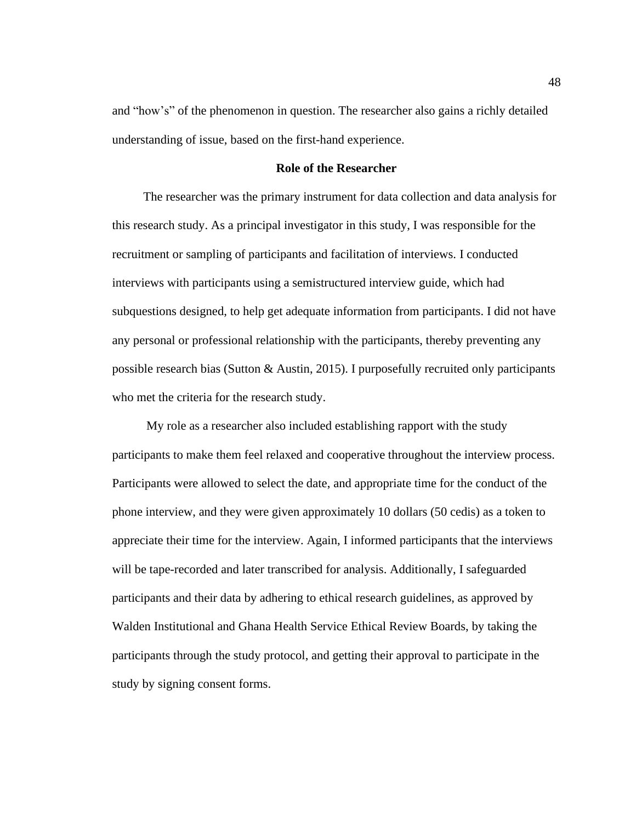and "how's" of the phenomenon in question. The researcher also gains a richly detailed understanding of issue, based on the first-hand experience.

# **Role of the Researcher**

 The researcher was the primary instrument for data collection and data analysis for this research study. As a principal investigator in this study, I was responsible for the recruitment or sampling of participants and facilitation of interviews. I conducted interviews with participants using a semistructured interview guide, which had subquestions designed, to help get adequate information from participants. I did not have any personal or professional relationship with the participants, thereby preventing any possible research bias (Sutton & Austin, 2015). I purposefully recruited only participants who met the criteria for the research study.

 My role as a researcher also included establishing rapport with the study participants to make them feel relaxed and cooperative throughout the interview process. Participants were allowed to select the date, and appropriate time for the conduct of the phone interview, and they were given approximately 10 dollars (50 cedis) as a token to appreciate their time for the interview. Again, I informed participants that the interviews will be tape-recorded and later transcribed for analysis. Additionally, I safeguarded participants and their data by adhering to ethical research guidelines, as approved by Walden Institutional and Ghana Health Service Ethical Review Boards, by taking the participants through the study protocol, and getting their approval to participate in the study by signing consent forms.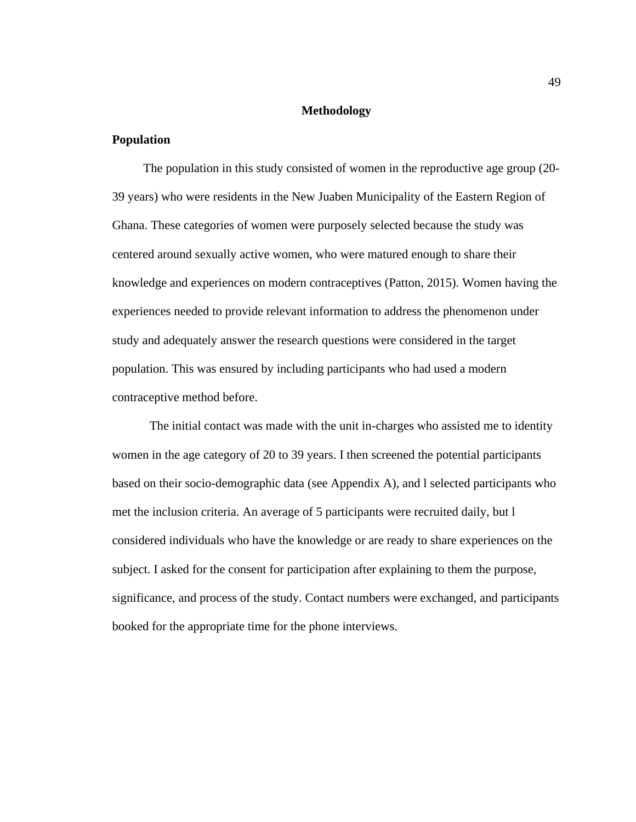# **Methodology**

# **Population**

 The population in this study consisted of women in the reproductive age group (20- 39 years) who were residents in the New Juaben Municipality of the Eastern Region of Ghana. These categories of women were purposely selected because the study was centered around sexually active women, who were matured enough to share their knowledge and experiences on modern contraceptives (Patton, 2015). Women having the experiences needed to provide relevant information to address the phenomenon under study and adequately answer the research questions were considered in the target population. This was ensured by including participants who had used a modern contraceptive method before.

 The initial contact was made with the unit in-charges who assisted me to identity women in the age category of 20 to 39 years. I then screened the potential participants based on their socio-demographic data (see Appendix A), and l selected participants who met the inclusion criteria. An average of 5 participants were recruited daily, but l considered individuals who have the knowledge or are ready to share experiences on the subject. I asked for the consent for participation after explaining to them the purpose, significance, and process of the study. Contact numbers were exchanged, and participants booked for the appropriate time for the phone interviews.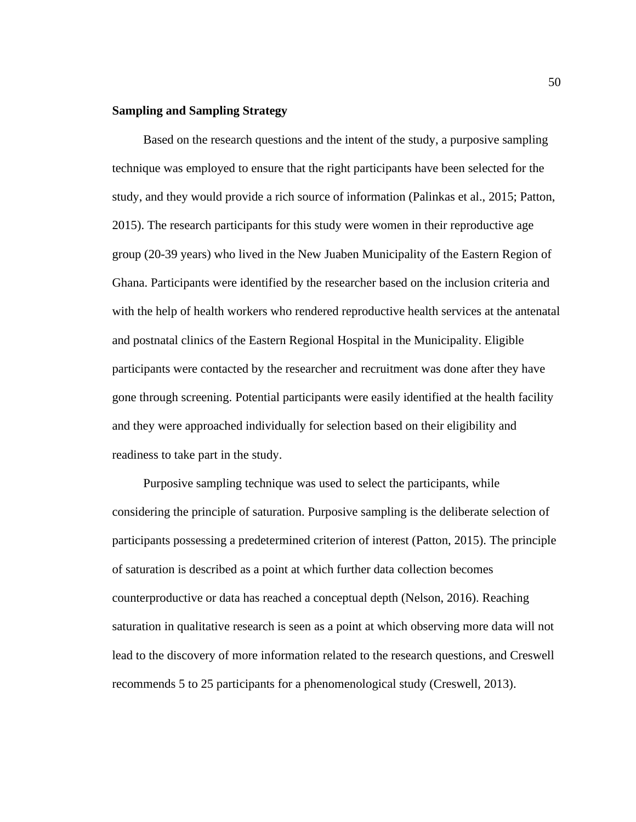# **Sampling and Sampling Strategy**

Based on the research questions and the intent of the study, a purposive sampling technique was employed to ensure that the right participants have been selected for the study, and they would provide a rich source of information (Palinkas et al., 2015; Patton, 2015). The research participants for this study were women in their reproductive age group (20-39 years) who lived in the New Juaben Municipality of the Eastern Region of Ghana. Participants were identified by the researcher based on the inclusion criteria and with the help of health workers who rendered reproductive health services at the antenatal and postnatal clinics of the Eastern Regional Hospital in the Municipality. Eligible participants were contacted by the researcher and recruitment was done after they have gone through screening. Potential participants were easily identified at the health facility and they were approached individually for selection based on their eligibility and readiness to take part in the study.

 Purposive sampling technique was used to select the participants, while considering the principle of saturation. Purposive sampling is the deliberate selection of participants possessing a predetermined criterion of interest (Patton, 2015). The principle of saturation is described as a point at which further data collection becomes counterproductive or data has reached a conceptual depth (Nelson, 2016). Reaching saturation in qualitative research is seen as a point at which observing more data will not lead to the discovery of more information related to the research questions, and Creswell recommends 5 to 25 participants for a phenomenological study (Creswell, 2013).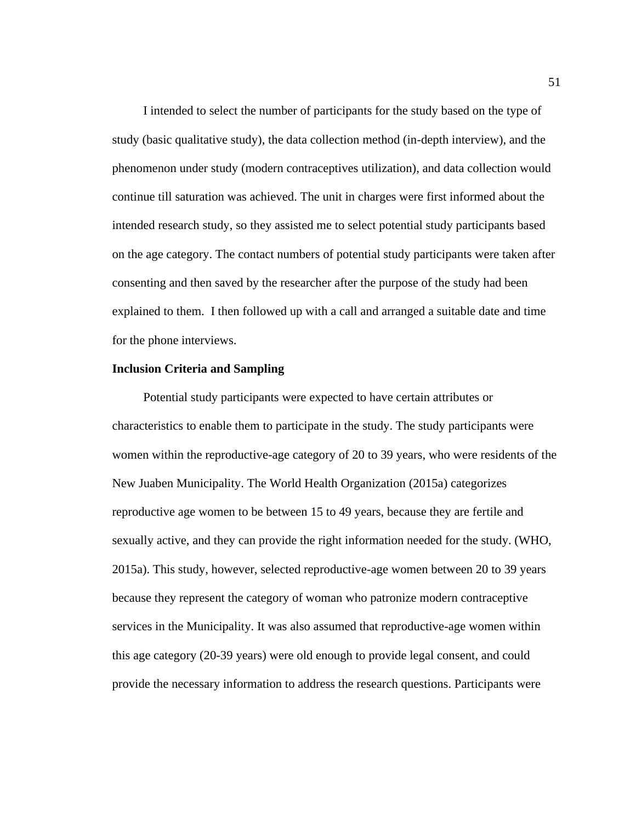I intended to select the number of participants for the study based on the type of study (basic qualitative study), the data collection method (in-depth interview), and the phenomenon under study (modern contraceptives utilization), and data collection would continue till saturation was achieved. The unit in charges were first informed about the intended research study, so they assisted me to select potential study participants based on the age category. The contact numbers of potential study participants were taken after consenting and then saved by the researcher after the purpose of the study had been explained to them. I then followed up with a call and arranged a suitable date and time for the phone interviews.

### **Inclusion Criteria and Sampling**

 Potential study participants were expected to have certain attributes or characteristics to enable them to participate in the study. The study participants were women within the reproductive-age category of 20 to 39 years, who were residents of the New Juaben Municipality. The World Health Organization (2015a) categorizes reproductive age women to be between 15 to 49 years, because they are fertile and sexually active, and they can provide the right information needed for the study. (WHO, 2015a). This study, however, selected reproductive-age women between 20 to 39 years because they represent the category of woman who patronize modern contraceptive services in the Municipality. It was also assumed that reproductive-age women within this age category (20-39 years) were old enough to provide legal consent, and could provide the necessary information to address the research questions. Participants were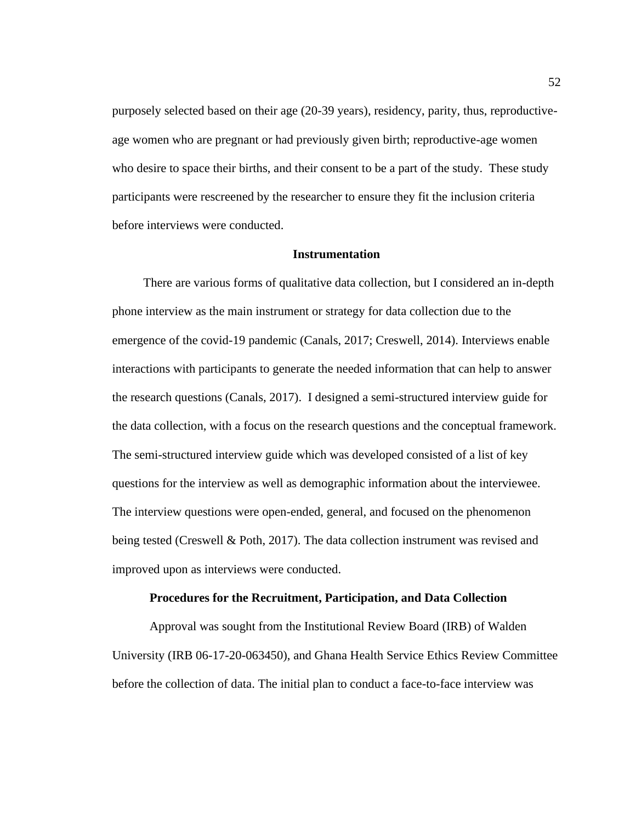purposely selected based on their age (20-39 years), residency, parity, thus, reproductiveage women who are pregnant or had previously given birth; reproductive-age women who desire to space their births, and their consent to be a part of the study. These study participants were rescreened by the researcher to ensure they fit the inclusion criteria before interviews were conducted.

### **Instrumentation**

 There are various forms of qualitative data collection, but I considered an in-depth phone interview as the main instrument or strategy for data collection due to the emergence of the covid-19 pandemic (Canals, 2017; Creswell, 2014). Interviews enable interactions with participants to generate the needed information that can help to answer the research questions (Canals, 2017). I designed a semi-structured interview guide for the data collection, with a focus on the research questions and the conceptual framework. The semi-structured interview guide which was developed consisted of a list of key questions for the interview as well as demographic information about the interviewee. The interview questions were open-ended, general, and focused on the phenomenon being tested (Creswell & Poth, 2017). The data collection instrument was revised and improved upon as interviews were conducted.

### **Procedures for the Recruitment, Participation, and Data Collection**

 Approval was sought from the Institutional Review Board (IRB) of Walden University (IRB 06-17-20-063450), and Ghana Health Service Ethics Review Committee before the collection of data. The initial plan to conduct a face-to-face interview was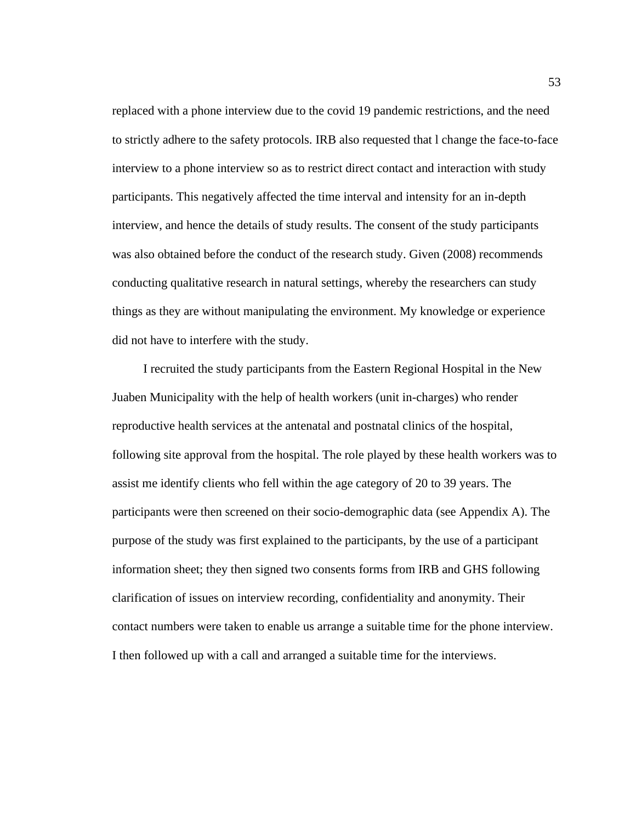replaced with a phone interview due to the covid 19 pandemic restrictions, and the need to strictly adhere to the safety protocols. IRB also requested that l change the face-to-face interview to a phone interview so as to restrict direct contact and interaction with study participants. This negatively affected the time interval and intensity for an in-depth interview, and hence the details of study results. The consent of the study participants was also obtained before the conduct of the research study. Given (2008) recommends conducting qualitative research in natural settings, whereby the researchers can study things as they are without manipulating the environment. My knowledge or experience did not have to interfere with the study.

 I recruited the study participants from the Eastern Regional Hospital in the New Juaben Municipality with the help of health workers (unit in-charges) who render reproductive health services at the antenatal and postnatal clinics of the hospital, following site approval from the hospital. The role played by these health workers was to assist me identify clients who fell within the age category of 20 to 39 years. The participants were then screened on their socio-demographic data (see Appendix A). The purpose of the study was first explained to the participants, by the use of a participant information sheet; they then signed two consents forms from IRB and GHS following clarification of issues on interview recording, confidentiality and anonymity. Their contact numbers were taken to enable us arrange a suitable time for the phone interview. I then followed up with a call and arranged a suitable time for the interviews.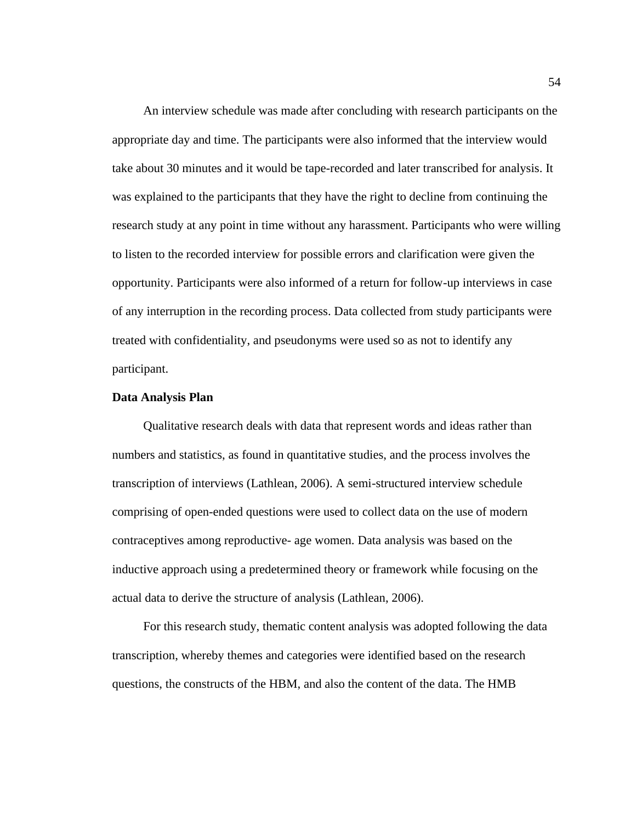An interview schedule was made after concluding with research participants on the appropriate day and time. The participants were also informed that the interview would take about 30 minutes and it would be tape-recorded and later transcribed for analysis. It was explained to the participants that they have the right to decline from continuing the research study at any point in time without any harassment. Participants who were willing to listen to the recorded interview for possible errors and clarification were given the opportunity. Participants were also informed of a return for follow-up interviews in case of any interruption in the recording process. Data collected from study participants were treated with confidentiality, and pseudonyms were used so as not to identify any participant.

### **Data Analysis Plan**

 Qualitative research deals with data that represent words and ideas rather than numbers and statistics, as found in quantitative studies, and the process involves the transcription of interviews (Lathlean, 2006). A semi-structured interview schedule comprising of open-ended questions were used to collect data on the use of modern contraceptives among reproductive- age women. Data analysis was based on the inductive approach using a predetermined theory or framework while focusing on the actual data to derive the structure of analysis (Lathlean, 2006).

 For this research study, thematic content analysis was adopted following the data transcription, whereby themes and categories were identified based on the research questions, the constructs of the HBM, and also the content of the data. The HMB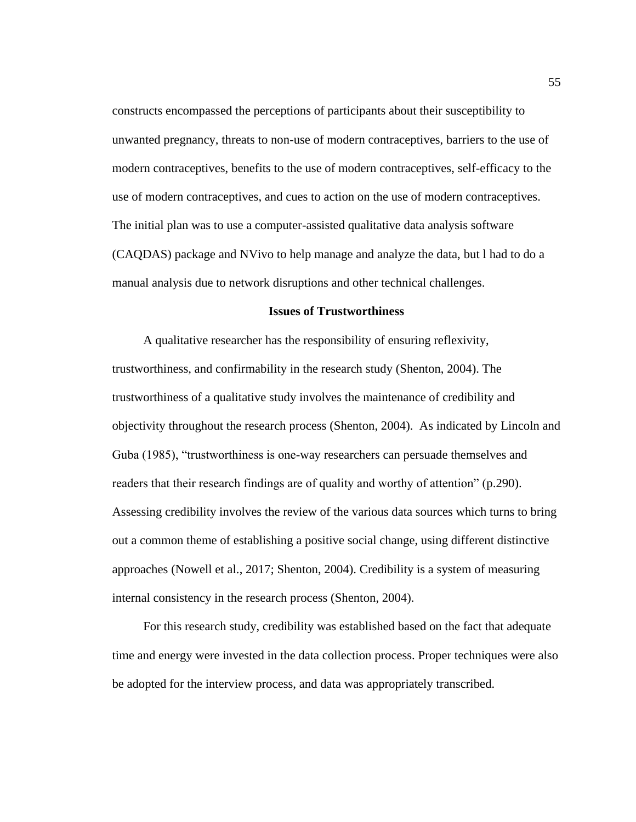constructs encompassed the perceptions of participants about their susceptibility to unwanted pregnancy, threats to non-use of modern contraceptives, barriers to the use of modern contraceptives, benefits to the use of modern contraceptives, self-efficacy to the use of modern contraceptives, and cues to action on the use of modern contraceptives. The initial plan was to use a computer-assisted qualitative data analysis software (CAQDAS) package and NVivo to help manage and analyze the data, but l had to do a manual analysis due to network disruptions and other technical challenges.

### **Issues of Trustworthiness**

 A qualitative researcher has the responsibility of ensuring reflexivity, trustworthiness, and confirmability in the research study (Shenton, 2004). The trustworthiness of a qualitative study involves the maintenance of credibility and objectivity throughout the research process (Shenton, 2004). As indicated by Lincoln and Guba (1985), "trustworthiness is one-way researchers can persuade themselves and readers that their research findings are of quality and worthy of attention" (p.290). Assessing credibility involves the review of the various data sources which turns to bring out a common theme of establishing a positive social change, using different distinctive approaches (Nowell et al., 2017; Shenton, 2004). Credibility is a system of measuring internal consistency in the research process (Shenton, 2004).

 For this research study, credibility was established based on the fact that adequate time and energy were invested in the data collection process. Proper techniques were also be adopted for the interview process, and data was appropriately transcribed.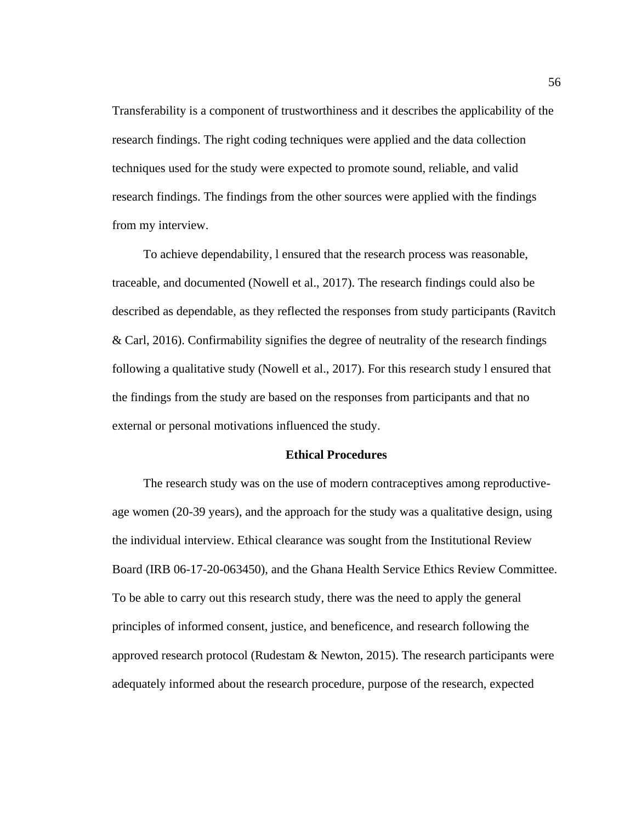Transferability is a component of trustworthiness and it describes the applicability of the research findings. The right coding techniques were applied and the data collection techniques used for the study were expected to promote sound, reliable, and valid research findings. The findings from the other sources were applied with the findings from my interview.

 To achieve dependability, l ensured that the research process was reasonable, traceable, and documented (Nowell et al., 2017). The research findings could also be described as dependable, as they reflected the responses from study participants (Ravitch & Carl, 2016). Confirmability signifies the degree of neutrality of the research findings following a qualitative study (Nowell et al., 2017). For this research study l ensured that the findings from the study are based on the responses from participants and that no external or personal motivations influenced the study.

#### **Ethical Procedures**

 The research study was on the use of modern contraceptives among reproductiveage women (20-39 years), and the approach for the study was a qualitative design, using the individual interview. Ethical clearance was sought from the Institutional Review Board (IRB 06-17-20-063450), and the Ghana Health Service Ethics Review Committee. To be able to carry out this research study, there was the need to apply the general principles of informed consent, justice, and beneficence, and research following the approved research protocol (Rudestam & Newton, 2015). The research participants were adequately informed about the research procedure, purpose of the research, expected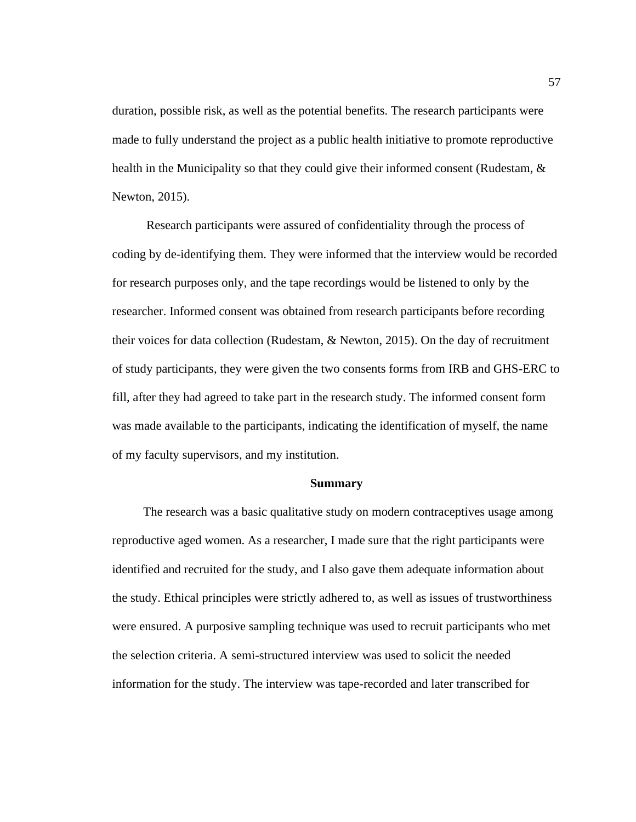duration, possible risk, as well as the potential benefits. The research participants were made to fully understand the project as a public health initiative to promote reproductive health in the Municipality so that they could give their informed consent (Rudestam,  $\&$ Newton, 2015).

 Research participants were assured of confidentiality through the process of coding by de-identifying them. They were informed that the interview would be recorded for research purposes only, and the tape recordings would be listened to only by the researcher. Informed consent was obtained from research participants before recording their voices for data collection (Rudestam, & Newton, 2015). On the day of recruitment of study participants, they were given the two consents forms from IRB and GHS-ERC to fill, after they had agreed to take part in the research study. The informed consent form was made available to the participants, indicating the identification of myself, the name of my faculty supervisors, and my institution.

#### **Summary**

 The research was a basic qualitative study on modern contraceptives usage among reproductive aged women. As a researcher, I made sure that the right participants were identified and recruited for the study, and I also gave them adequate information about the study. Ethical principles were strictly adhered to, as well as issues of trustworthiness were ensured. A purposive sampling technique was used to recruit participants who met the selection criteria. A semi-structured interview was used to solicit the needed information for the study. The interview was tape-recorded and later transcribed for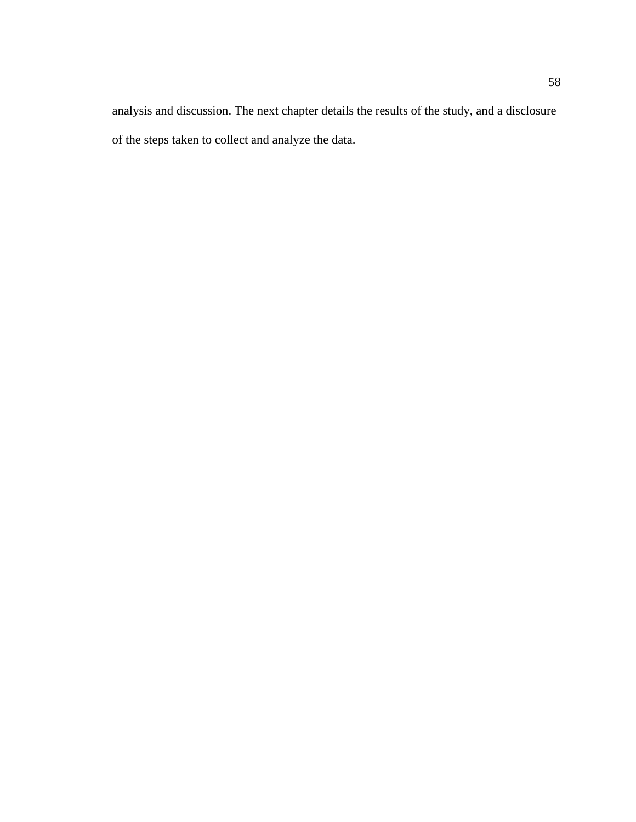analysis and discussion. The next chapter details the results of the study, and a disclosure of the steps taken to collect and analyze the data.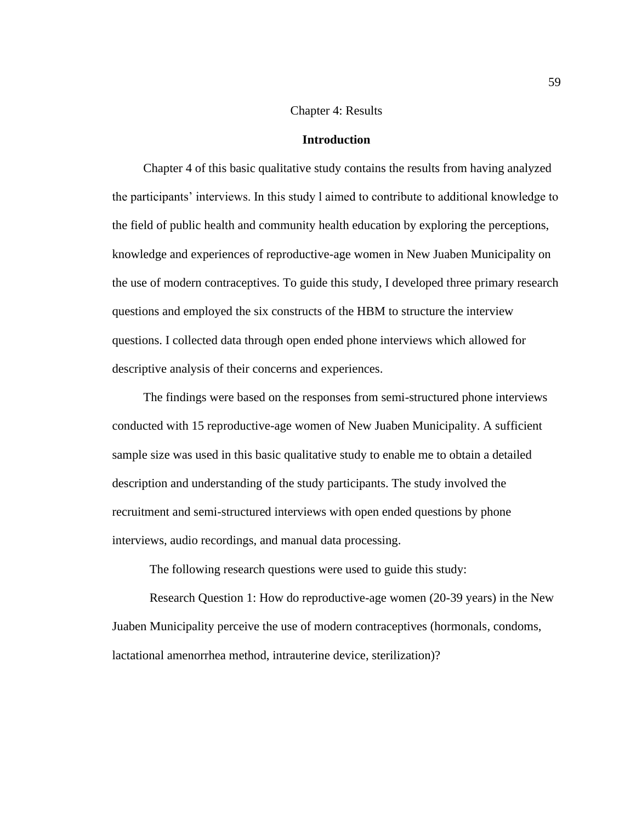# Chapter 4: Results

### **Introduction**

 Chapter 4 of this basic qualitative study contains the results from having analyzed the participants' interviews. In this study l aimed to contribute to additional knowledge to the field of public health and community health education by exploring the perceptions, knowledge and experiences of reproductive-age women in New Juaben Municipality on the use of modern contraceptives. To guide this study, I developed three primary research questions and employed the six constructs of the HBM to structure the interview questions. I collected data through open ended phone interviews which allowed for descriptive analysis of their concerns and experiences.

 The findings were based on the responses from semi-structured phone interviews conducted with 15 reproductive-age women of New Juaben Municipality. A sufficient sample size was used in this basic qualitative study to enable me to obtain a detailed description and understanding of the study participants. The study involved the recruitment and semi-structured interviews with open ended questions by phone interviews, audio recordings, and manual data processing.

The following research questions were used to guide this study:

 Research Question 1: How do reproductive-age women (20-39 years) in the New Juaben Municipality perceive the use of modern contraceptives (hormonals, condoms, lactational amenorrhea method, intrauterine device, sterilization)?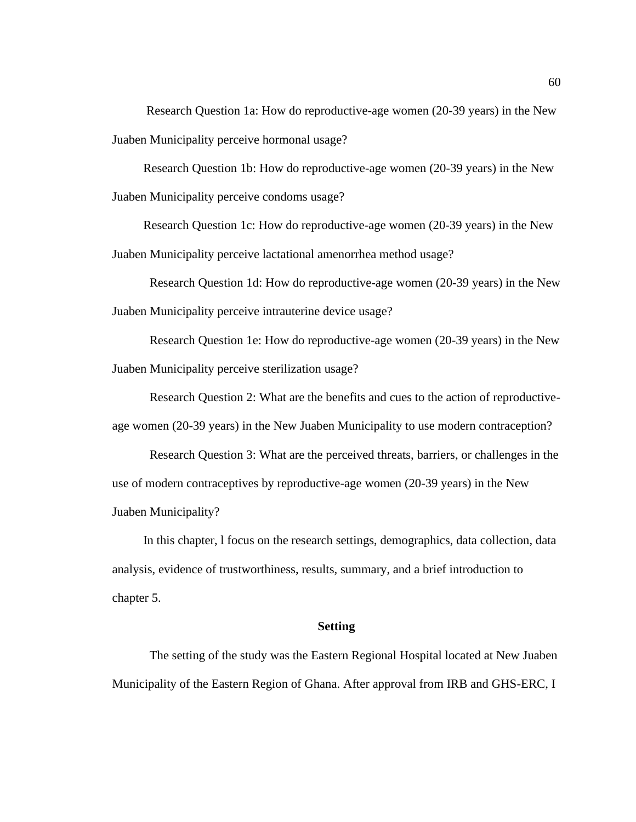Research Question 1a: How do reproductive-age women (20-39 years) in the New Juaben Municipality perceive hormonal usage?

 Research Question 1b: How do reproductive-age women (20-39 years) in the New Juaben Municipality perceive condoms usage?

 Research Question 1c: How do reproductive-age women (20-39 years) in the New Juaben Municipality perceive lactational amenorrhea method usage?

Research Question 1d: How do reproductive-age women (20-39 years) in the New Juaben Municipality perceive intrauterine device usage?

Research Question 1e: How do reproductive-age women (20-39 years) in the New Juaben Municipality perceive sterilization usage?

Research Question 2: What are the benefits and cues to the action of reproductive-

age women (20-39 years) in the New Juaben Municipality to use modern contraception?

Research Question 3: What are the perceived threats, barriers, or challenges in the use of modern contraceptives by reproductive-age women (20-39 years) in the New Juaben Municipality?

 In this chapter, l focus on the research settings, demographics, data collection, data analysis, evidence of trustworthiness, results, summary, and a brief introduction to chapter 5.

### **Setting**

The setting of the study was the Eastern Regional Hospital located at New Juaben Municipality of the Eastern Region of Ghana. After approval from IRB and GHS-ERC, I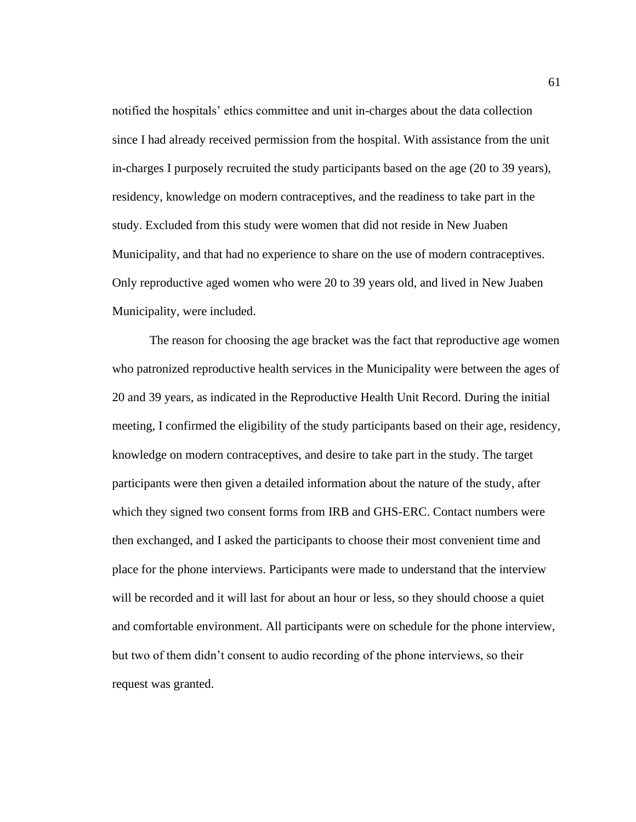notified the hospitals' ethics committee and unit in-charges about the data collection since I had already received permission from the hospital. With assistance from the unit in-charges I purposely recruited the study participants based on the age (20 to 39 years), residency, knowledge on modern contraceptives, and the readiness to take part in the study. Excluded from this study were women that did not reside in New Juaben Municipality, and that had no experience to share on the use of modern contraceptives. Only reproductive aged women who were 20 to 39 years old, and lived in New Juaben Municipality, were included.

The reason for choosing the age bracket was the fact that reproductive age women who patronized reproductive health services in the Municipality were between the ages of 20 and 39 years, as indicated in the Reproductive Health Unit Record. During the initial meeting, I confirmed the eligibility of the study participants based on their age, residency, knowledge on modern contraceptives, and desire to take part in the study. The target participants were then given a detailed information about the nature of the study, after which they signed two consent forms from IRB and GHS-ERC. Contact numbers were then exchanged, and I asked the participants to choose their most convenient time and place for the phone interviews. Participants were made to understand that the interview will be recorded and it will last for about an hour or less, so they should choose a quiet and comfortable environment. All participants were on schedule for the phone interview, but two of them didn't consent to audio recording of the phone interviews, so their request was granted.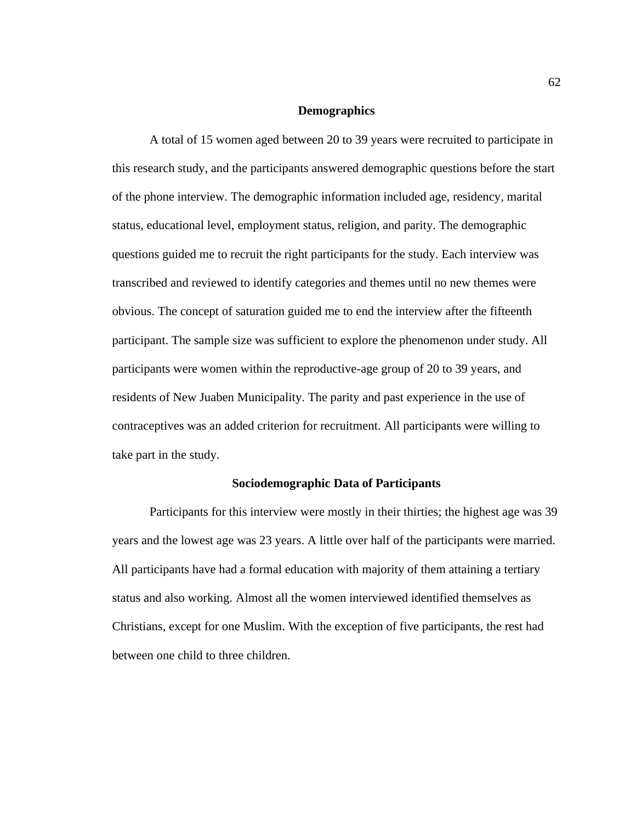# **Demographics**

A total of 15 women aged between 20 to 39 years were recruited to participate in this research study, and the participants answered demographic questions before the start of the phone interview. The demographic information included age, residency, marital status, educational level, employment status, religion, and parity. The demographic questions guided me to recruit the right participants for the study. Each interview was transcribed and reviewed to identify categories and themes until no new themes were obvious. The concept of saturation guided me to end the interview after the fifteenth participant. The sample size was sufficient to explore the phenomenon under study. All participants were women within the reproductive-age group of 20 to 39 years, and residents of New Juaben Municipality. The parity and past experience in the use of contraceptives was an added criterion for recruitment. All participants were willing to take part in the study.

# **Sociodemographic Data of Participants**

Participants for this interview were mostly in their thirties; the highest age was 39 years and the lowest age was 23 years. A little over half of the participants were married. All participants have had a formal education with majority of them attaining a tertiary status and also working. Almost all the women interviewed identified themselves as Christians, except for one Muslim. With the exception of five participants, the rest had between one child to three children.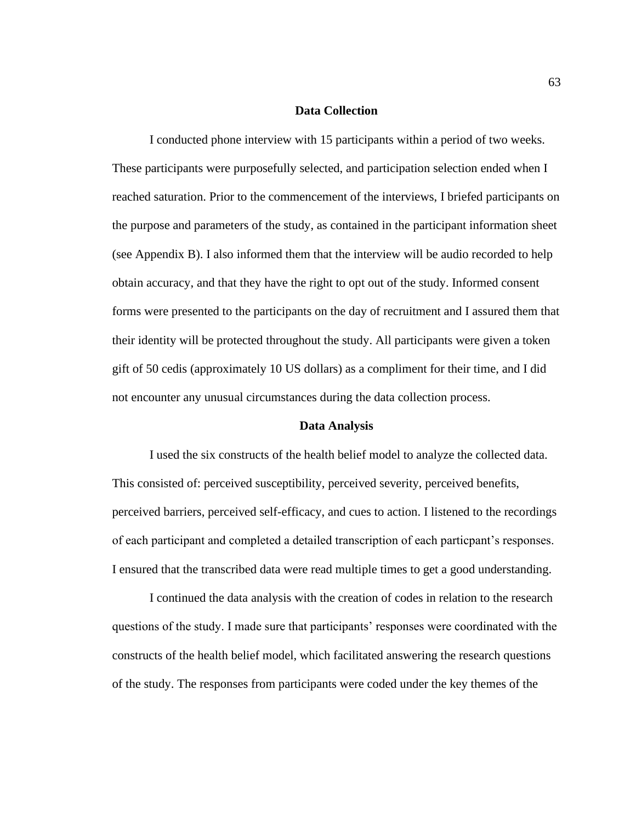# **Data Collection**

I conducted phone interview with 15 participants within a period of two weeks. These participants were purposefully selected, and participation selection ended when I reached saturation. Prior to the commencement of the interviews, I briefed participants on the purpose and parameters of the study, as contained in the participant information sheet (see Appendix B). I also informed them that the interview will be audio recorded to help obtain accuracy, and that they have the right to opt out of the study. Informed consent forms were presented to the participants on the day of recruitment and I assured them that their identity will be protected throughout the study. All participants were given a token gift of 50 cedis (approximately 10 US dollars) as a compliment for their time, and I did not encounter any unusual circumstances during the data collection process.

### **Data Analysis**

I used the six constructs of the health belief model to analyze the collected data. This consisted of: perceived susceptibility, perceived severity, perceived benefits, perceived barriers, perceived self-efficacy, and cues to action. I listened to the recordings of each participant and completed a detailed transcription of each particpant's responses. I ensured that the transcribed data were read multiple times to get a good understanding.

I continued the data analysis with the creation of codes in relation to the research questions of the study. I made sure that participants' responses were coordinated with the constructs of the health belief model, which facilitated answering the research questions of the study. The responses from participants were coded under the key themes of the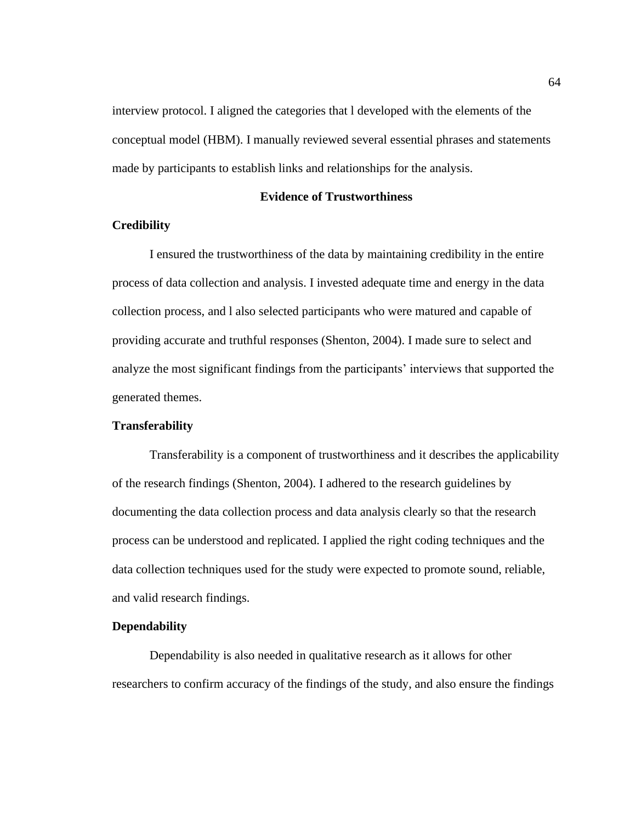interview protocol. I aligned the categories that l developed with the elements of the conceptual model (HBM). I manually reviewed several essential phrases and statements made by participants to establish links and relationships for the analysis.

# **Evidence of Trustworthiness**

# **Credibility**

I ensured the trustworthiness of the data by maintaining credibility in the entire process of data collection and analysis. I invested adequate time and energy in the data collection process, and l also selected participants who were matured and capable of providing accurate and truthful responses (Shenton, 2004). I made sure to select and analyze the most significant findings from the participants' interviews that supported the generated themes.

# **Transferability**

Transferability is a component of trustworthiness and it describes the applicability of the research findings (Shenton, 2004). I adhered to the research guidelines by documenting the data collection process and data analysis clearly so that the research process can be understood and replicated. I applied the right coding techniques and the data collection techniques used for the study were expected to promote sound, reliable, and valid research findings.

# **Dependability**

Dependability is also needed in qualitative research as it allows for other researchers to confirm accuracy of the findings of the study, and also ensure the findings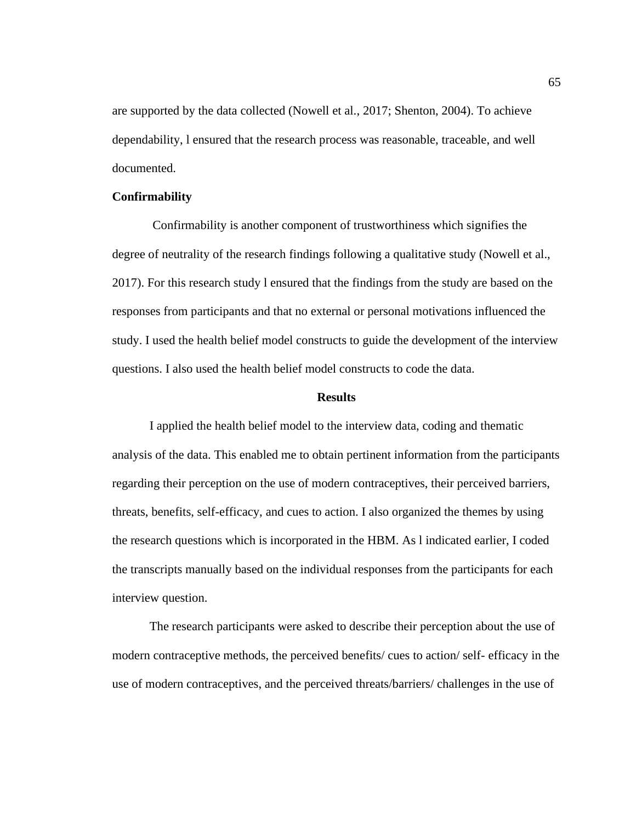are supported by the data collected (Nowell et al., 2017; Shenton, 2004). To achieve dependability, l ensured that the research process was reasonable, traceable, and well documented.

# **Confirmability**

Confirmability is another component of trustworthiness which signifies the degree of neutrality of the research findings following a qualitative study (Nowell et al., 2017). For this research study l ensured that the findings from the study are based on the responses from participants and that no external or personal motivations influenced the study. I used the health belief model constructs to guide the development of the interview questions. I also used the health belief model constructs to code the data.

### **Results**

I applied the health belief model to the interview data, coding and thematic analysis of the data. This enabled me to obtain pertinent information from the participants regarding their perception on the use of modern contraceptives, their perceived barriers, threats, benefits, self-efficacy, and cues to action. I also organized the themes by using the research questions which is incorporated in the HBM. As l indicated earlier, I coded the transcripts manually based on the individual responses from the participants for each interview question.

The research participants were asked to describe their perception about the use of modern contraceptive methods, the perceived benefits/ cues to action/ self- efficacy in the use of modern contraceptives, and the perceived threats/barriers/ challenges in the use of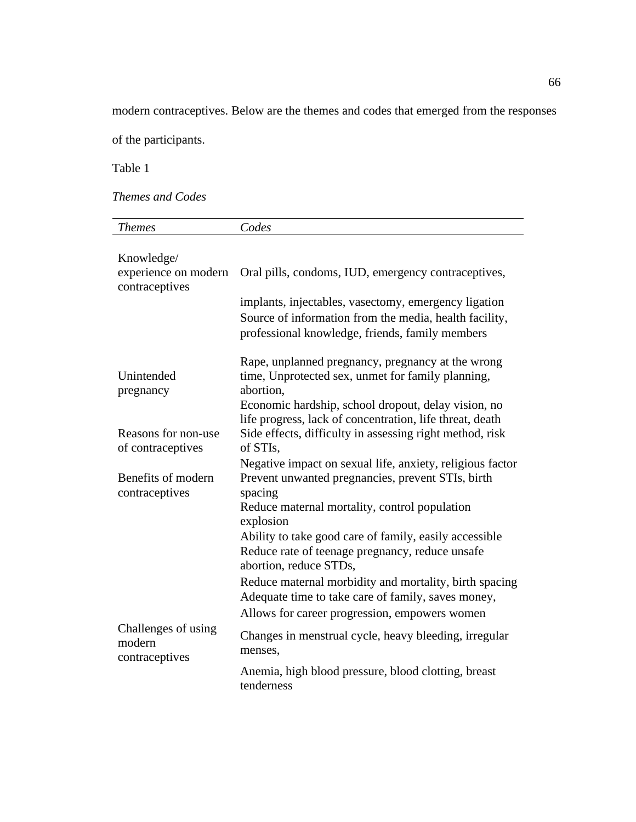modern contraceptives. Below are the themes and codes that emerged from the responses

of the participants.

Table 1

*Themes and Codes*

| <b>Themes</b>                                        | Codes                                                                                                                                                                                                                                                                                                                                                                                                                                                                                           |
|------------------------------------------------------|-------------------------------------------------------------------------------------------------------------------------------------------------------------------------------------------------------------------------------------------------------------------------------------------------------------------------------------------------------------------------------------------------------------------------------------------------------------------------------------------------|
| Knowledge/<br>experience on modern<br>contraceptives | Oral pills, condoms, IUD, emergency contraceptives,<br>implants, injectables, vasectomy, emergency ligation<br>Source of information from the media, health facility,<br>professional knowledge, friends, family members                                                                                                                                                                                                                                                                        |
| Unintended<br>pregnancy                              | Rape, unplanned pregnancy, pregnancy at the wrong<br>time, Unprotected sex, unmet for family planning,<br>abortion,<br>Economic hardship, school dropout, delay vision, no<br>life progress, lack of concentration, life threat, death                                                                                                                                                                                                                                                          |
| Reasons for non-use<br>of contraceptives             | Side effects, difficulty in assessing right method, risk<br>of STIs,                                                                                                                                                                                                                                                                                                                                                                                                                            |
| Benefits of modern<br>contraceptives                 | Negative impact on sexual life, anxiety, religious factor<br>Prevent unwanted pregnancies, prevent STIs, birth<br>spacing<br>Reduce maternal mortality, control population<br>explosion<br>Ability to take good care of family, easily accessible<br>Reduce rate of teenage pregnancy, reduce unsafe<br>abortion, reduce STDs,<br>Reduce maternal morbidity and mortality, birth spacing<br>Adequate time to take care of family, saves money,<br>Allows for career progression, empowers women |
| Challenges of using<br>modern<br>contraceptives      | Changes in menstrual cycle, heavy bleeding, irregular<br>menses,                                                                                                                                                                                                                                                                                                                                                                                                                                |
|                                                      | Anemia, high blood pressure, blood clotting, breast<br>tenderness                                                                                                                                                                                                                                                                                                                                                                                                                               |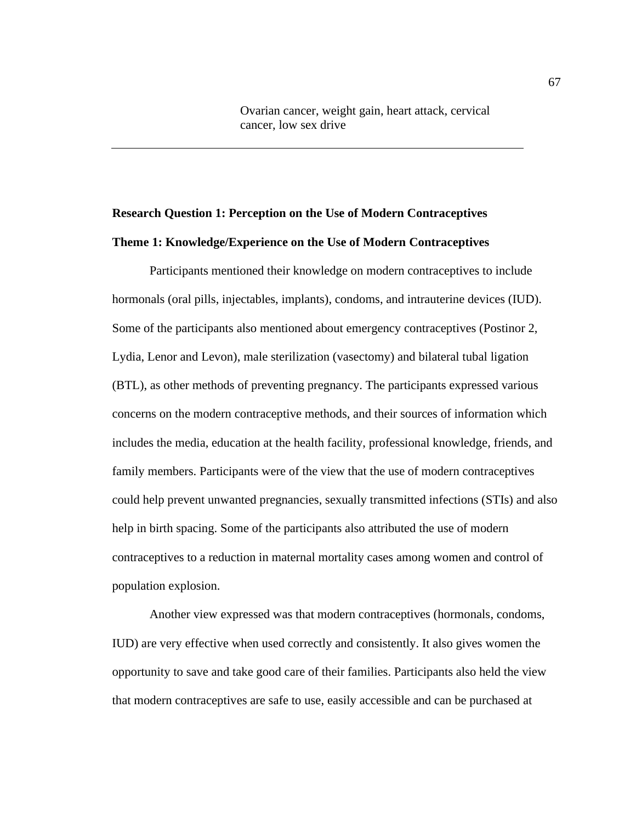Ovarian cancer, weight gain, heart attack, cervical cancer, low sex drive

# **Research Question 1: Perception on the Use of Modern Contraceptives Theme 1: Knowledge/Experience on the Use of Modern Contraceptives**

 Participants mentioned their knowledge on modern contraceptives to include hormonals (oral pills, injectables, implants), condoms, and intrauterine devices (IUD). Some of the participants also mentioned about emergency contraceptives (Postinor 2, Lydia, Lenor and Levon), male sterilization (vasectomy) and bilateral tubal ligation (BTL), as other methods of preventing pregnancy. The participants expressed various concerns on the modern contraceptive methods, and their sources of information which includes the media, education at the health facility, professional knowledge, friends, and family members. Participants were of the view that the use of modern contraceptives could help prevent unwanted pregnancies, sexually transmitted infections (STIs) and also help in birth spacing. Some of the participants also attributed the use of modern contraceptives to a reduction in maternal mortality cases among women and control of population explosion.

 Another view expressed was that modern contraceptives (hormonals, condoms, IUD) are very effective when used correctly and consistently. It also gives women the opportunity to save and take good care of their families. Participants also held the view that modern contraceptives are safe to use, easily accessible and can be purchased at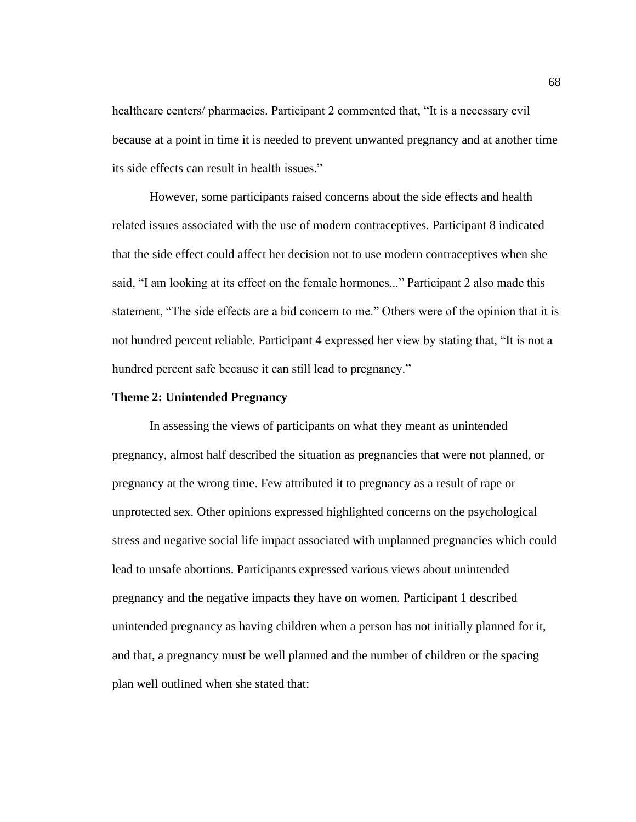healthcare centers/ pharmacies. Participant 2 commented that, "It is a necessary evil because at a point in time it is needed to prevent unwanted pregnancy and at another time its side effects can result in health issues."

 However, some participants raised concerns about the side effects and health related issues associated with the use of modern contraceptives. Participant 8 indicated that the side effect could affect her decision not to use modern contraceptives when she said, "I am looking at its effect on the female hormones..." Participant 2 also made this statement, "The side effects are a bid concern to me." Others were of the opinion that it is not hundred percent reliable. Participant 4 expressed her view by stating that, "It is not a hundred percent safe because it can still lead to pregnancy."

### **Theme 2: Unintended Pregnancy**

 In assessing the views of participants on what they meant as unintended pregnancy, almost half described the situation as pregnancies that were not planned, or pregnancy at the wrong time. Few attributed it to pregnancy as a result of rape or unprotected sex. Other opinions expressed highlighted concerns on the psychological stress and negative social life impact associated with unplanned pregnancies which could lead to unsafe abortions. Participants expressed various views about unintended pregnancy and the negative impacts they have on women. Participant 1 described unintended pregnancy as having children when a person has not initially planned for it, and that, a pregnancy must be well planned and the number of children or the spacing plan well outlined when she stated that: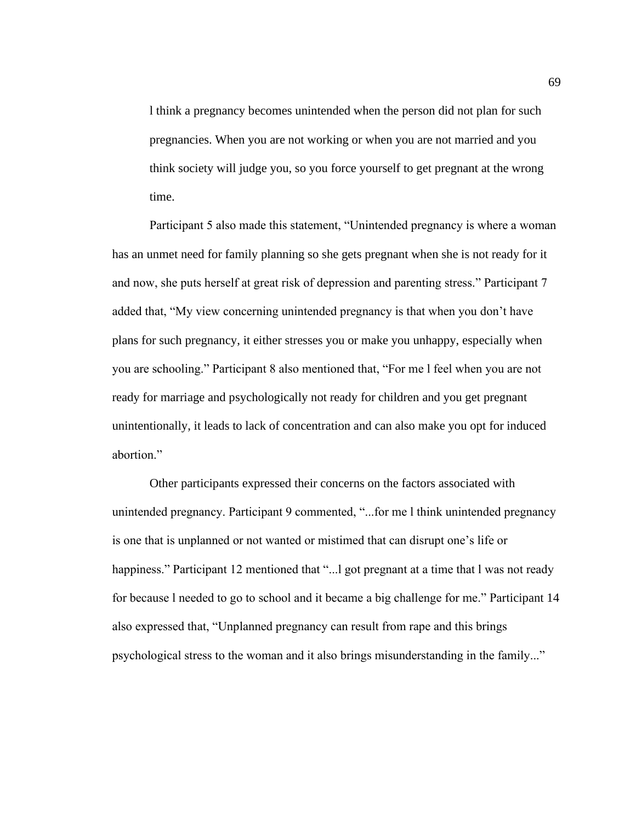l think a pregnancy becomes unintended when the person did not plan for such pregnancies. When you are not working or when you are not married and you think society will judge you, so you force yourself to get pregnant at the wrong time.

 Participant 5 also made this statement, "Unintended pregnancy is where a woman has an unmet need for family planning so she gets pregnant when she is not ready for it and now, she puts herself at great risk of depression and parenting stress." Participant 7 added that, "My view concerning unintended pregnancy is that when you don't have plans for such pregnancy, it either stresses you or make you unhappy, especially when you are schooling." Participant 8 also mentioned that, "For me l feel when you are not ready for marriage and psychologically not ready for children and you get pregnant unintentionally, it leads to lack of concentration and can also make you opt for induced abortion."

Other participants expressed their concerns on the factors associated with unintended pregnancy. Participant 9 commented, "...for me l think unintended pregnancy is one that is unplanned or not wanted or mistimed that can disrupt one's life or happiness." Participant 12 mentioned that "... l got pregnant at a time that l was not ready for because l needed to go to school and it became a big challenge for me." Participant 14 also expressed that, "Unplanned pregnancy can result from rape and this brings psychological stress to the woman and it also brings misunderstanding in the family..."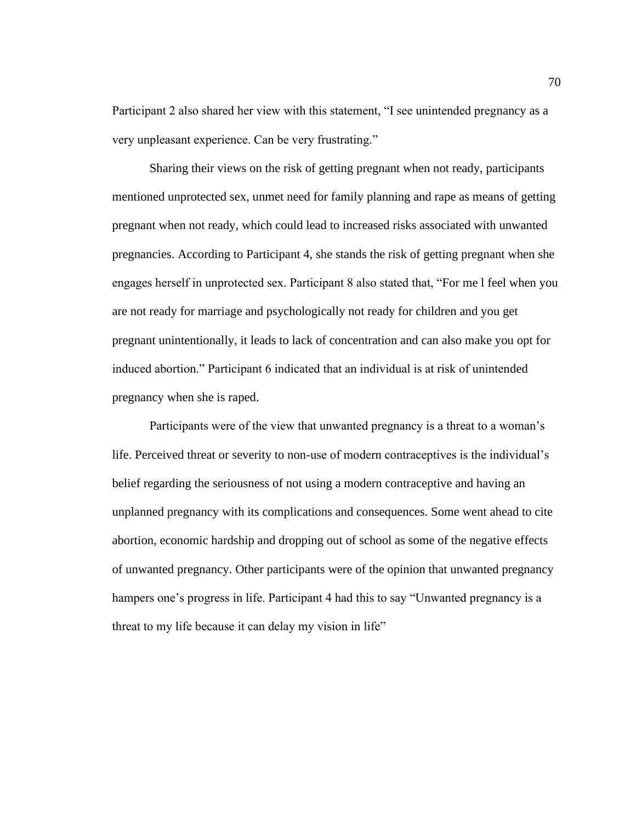Participant 2 also shared her view with this statement, "I see unintended pregnancy as a very unpleasant experience. Can be very frustrating."

 Sharing their views on the risk of getting pregnant when not ready, participants mentioned unprotected sex, unmet need for family planning and rape as means of getting pregnant when not ready, which could lead to increased risks associated with unwanted pregnancies. According to Participant 4, she stands the risk of getting pregnant when she engages herself in unprotected sex. Participant 8 also stated that, "For me l feel when you are not ready for marriage and psychologically not ready for children and you get pregnant unintentionally, it leads to lack of concentration and can also make you opt for induced abortion." Participant 6 indicated that an individual is at risk of unintended pregnancy when she is raped.

 Participants were of the view that unwanted pregnancy is a threat to a woman's life. Perceived threat or severity to non-use of modern contraceptives is the individual's belief regarding the seriousness of not using a modern contraceptive and having an unplanned pregnancy with its complications and consequences. Some went ahead to cite abortion, economic hardship and dropping out of school as some of the negative effects of unwanted pregnancy. Other participants were of the opinion that unwanted pregnancy hampers one's progress in life. Participant 4 had this to say "Unwanted pregnancy is a threat to my life because it can delay my vision in life"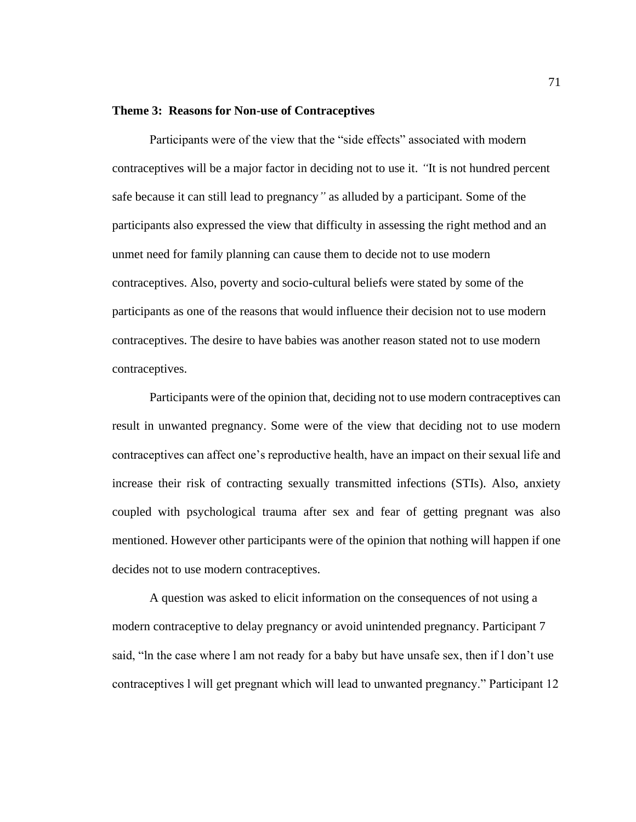# **Theme 3: Reasons for Non-use of Contraceptives**

 Participants were of the view that the "side effects" associated with modern contraceptives will be a major factor in deciding not to use it. *"*It is not hundred percent safe because it can still lead to pregnancy*"* as alluded by a participant*.* Some of the participants also expressed the view that difficulty in assessing the right method and an unmet need for family planning can cause them to decide not to use modern contraceptives. Also, poverty and socio-cultural beliefs were stated by some of the participants as one of the reasons that would influence their decision not to use modern contraceptives. The desire to have babies was another reason stated not to use modern contraceptives.

 Participants were of the opinion that, deciding not to use modern contraceptives can result in unwanted pregnancy. Some were of the view that deciding not to use modern contraceptives can affect one's reproductive health, have an impact on their sexual life and increase their risk of contracting sexually transmitted infections (STIs). Also, anxiety coupled with psychological trauma after sex and fear of getting pregnant was also mentioned. However other participants were of the opinion that nothing will happen if one decides not to use modern contraceptives.

A question was asked to elicit information on the consequences of not using a modern contraceptive to delay pregnancy or avoid unintended pregnancy. Participant 7 said, "ln the case where l am not ready for a baby but have unsafe sex, then if l don't use contraceptives l will get pregnant which will lead to unwanted pregnancy." Participant 12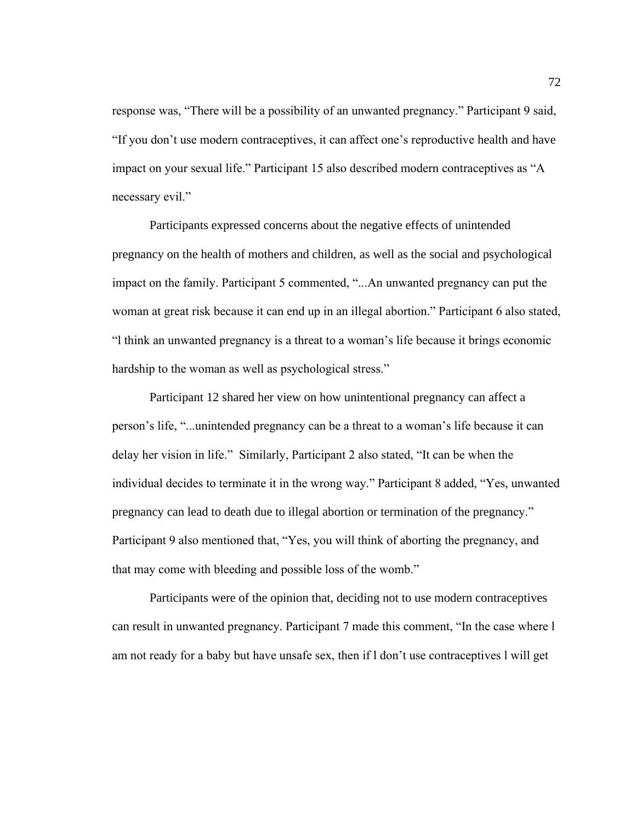response was, "There will be a possibility of an unwanted pregnancy." Participant 9 said, "If you don't use modern contraceptives, it can affect one's reproductive health and have impact on your sexual life." Participant 15 also described modern contraceptives as "A necessary evil."

Participants expressed concerns about the negative effects of unintended pregnancy on the health of mothers and children, as well as the social and psychological impact on the family. Participant 5 commented, "...An unwanted pregnancy can put the woman at great risk because it can end up in an illegal abortion." Participant 6 also stated, "l think an unwanted pregnancy is a threat to a woman's life because it brings economic hardship to the woman as well as psychological stress."

Participant 12 shared her view on how unintentional pregnancy can affect a person's life, "...unintended pregnancy can be a threat to a woman's life because it can delay her vision in life." Similarly, Participant 2 also stated, "It can be when the individual decides to terminate it in the wrong way." Participant 8 added, "Yes, unwanted pregnancy can lead to death due to illegal abortion or termination of the pregnancy." Participant 9 also mentioned that, "Yes, you will think of aborting the pregnancy, and that may come with bleeding and possible loss of the womb."

 Participants were of the opinion that, deciding not to use modern contraceptives can result in unwanted pregnancy. Participant 7 made this comment, "In the case where l am not ready for a baby but have unsafe sex, then if l don't use contraceptives l will get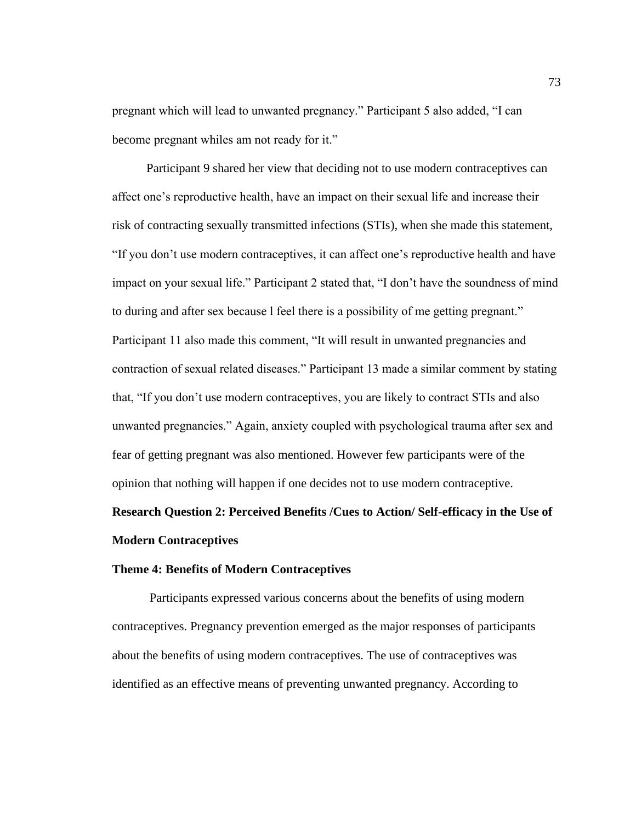pregnant which will lead to unwanted pregnancy." Participant 5 also added, "I can become pregnant whiles am not ready for it."

 Participant 9 shared her view that deciding not to use modern contraceptives can affect one's reproductive health, have an impact on their sexual life and increase their risk of contracting sexually transmitted infections (STIs), when she made this statement, "If you don't use modern contraceptives, it can affect one's reproductive health and have impact on your sexual life." Participant 2 stated that, "I don't have the soundness of mind to during and after sex because l feel there is a possibility of me getting pregnant." Participant 11 also made this comment, "It will result in unwanted pregnancies and contraction of sexual related diseases." Participant 13 made a similar comment by stating that, "If you don't use modern contraceptives, you are likely to contract STIs and also unwanted pregnancies." Again, anxiety coupled with psychological trauma after sex and fear of getting pregnant was also mentioned. However few participants were of the opinion that nothing will happen if one decides not to use modern contraceptive.

# **Research Question 2: Perceived Benefits /Cues to Action/ Self-efficacy in the Use of Modern Contraceptives**

## **Theme 4: Benefits of Modern Contraceptives**

 Participants expressed various concerns about the benefits of using modern contraceptives. Pregnancy prevention emerged as the major responses of participants about the benefits of using modern contraceptives. The use of contraceptives was identified as an effective means of preventing unwanted pregnancy. According to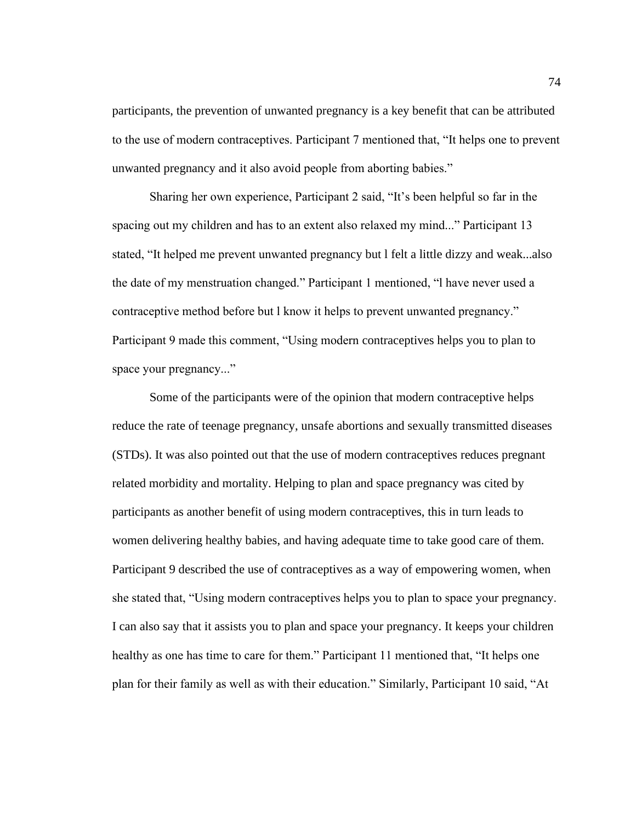participants, the prevention of unwanted pregnancy is a key benefit that can be attributed to the use of modern contraceptives. Participant 7 mentioned that, "It helps one to prevent unwanted pregnancy and it also avoid people from aborting babies."

 Sharing her own experience, Participant 2 said, "It's been helpful so far in the spacing out my children and has to an extent also relaxed my mind..." Participant 13 stated, "It helped me prevent unwanted pregnancy but l felt a little dizzy and weak...also the date of my menstruation changed." Participant 1 mentioned, "l have never used a contraceptive method before but l know it helps to prevent unwanted pregnancy." Participant 9 made this comment, "Using modern contraceptives helps you to plan to space your pregnancy..."

Some of the participants were of the opinion that modern contraceptive helps reduce the rate of teenage pregnancy, unsafe abortions and sexually transmitted diseases (STDs). It was also pointed out that the use of modern contraceptives reduces pregnant related morbidity and mortality. Helping to plan and space pregnancy was cited by participants as another benefit of using modern contraceptives, this in turn leads to women delivering healthy babies, and having adequate time to take good care of them. Participant 9 described the use of contraceptives as a way of empowering women, when she stated that, "Using modern contraceptives helps you to plan to space your pregnancy. I can also say that it assists you to plan and space your pregnancy. It keeps your children healthy as one has time to care for them." Participant 11 mentioned that, "It helps one plan for their family as well as with their education." Similarly, Participant 10 said, "At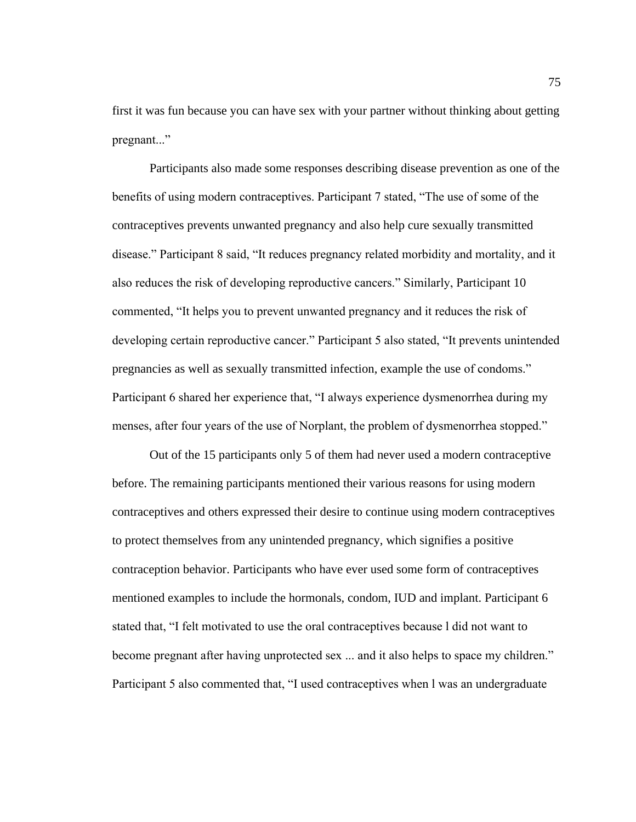first it was fun because you can have sex with your partner without thinking about getting pregnant..."

Participants also made some responses describing disease prevention as one of the benefits of using modern contraceptives. Participant 7 stated, "The use of some of the contraceptives prevents unwanted pregnancy and also help cure sexually transmitted disease." Participant 8 said, "It reduces pregnancy related morbidity and mortality, and it also reduces the risk of developing reproductive cancers." Similarly, Participant 10 commented, "It helps you to prevent unwanted pregnancy and it reduces the risk of developing certain reproductive cancer." Participant 5 also stated, "It prevents unintended pregnancies as well as sexually transmitted infection, example the use of condoms." Participant 6 shared her experience that, "I always experience dysmenorrhea during my menses, after four years of the use of Norplant, the problem of dysmenorrhea stopped."

Out of the 15 participants only 5 of them had never used a modern contraceptive before. The remaining participants mentioned their various reasons for using modern contraceptives and others expressed their desire to continue using modern contraceptives to protect themselves from any unintended pregnancy, which signifies a positive contraception behavior. Participants who have ever used some form of contraceptives mentioned examples to include the hormonals, condom, IUD and implant. Participant 6 stated that, "I felt motivated to use the oral contraceptives because l did not want to become pregnant after having unprotected sex ... and it also helps to space my children." Participant 5 also commented that, "I used contraceptives when l was an undergraduate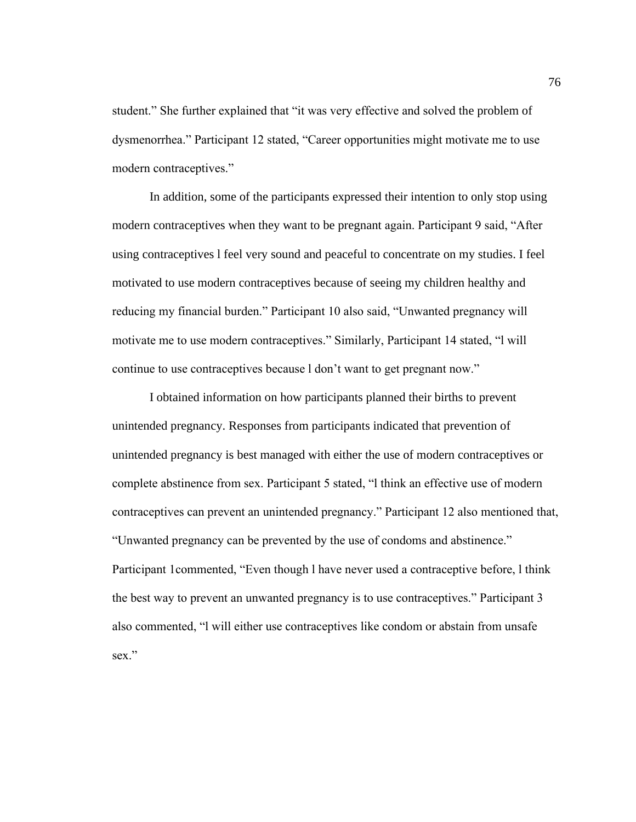student." She further explained that "it was very effective and solved the problem of dysmenorrhea." Participant 12 stated, "Career opportunities might motivate me to use modern contraceptives."

In addition, some of the participants expressed their intention to only stop using modern contraceptives when they want to be pregnant again. Participant 9 said, "After using contraceptives l feel very sound and peaceful to concentrate on my studies. I feel motivated to use modern contraceptives because of seeing my children healthy and reducing my financial burden." Participant 10 also said, "Unwanted pregnancy will motivate me to use modern contraceptives." Similarly, Participant 14 stated, "l will continue to use contraceptives because l don't want to get pregnant now."

I obtained information on how participants planned their births to prevent unintended pregnancy. Responses from participants indicated that prevention of unintended pregnancy is best managed with either the use of modern contraceptives or complete abstinence from sex. Participant 5 stated, "l think an effective use of modern contraceptives can prevent an unintended pregnancy." Participant 12 also mentioned that, "Unwanted pregnancy can be prevented by the use of condoms and abstinence." Participant 1commented, "Even though l have never used a contraceptive before, l think the best way to prevent an unwanted pregnancy is to use contraceptives." Participant 3 also commented, "l will either use contraceptives like condom or abstain from unsafe sex."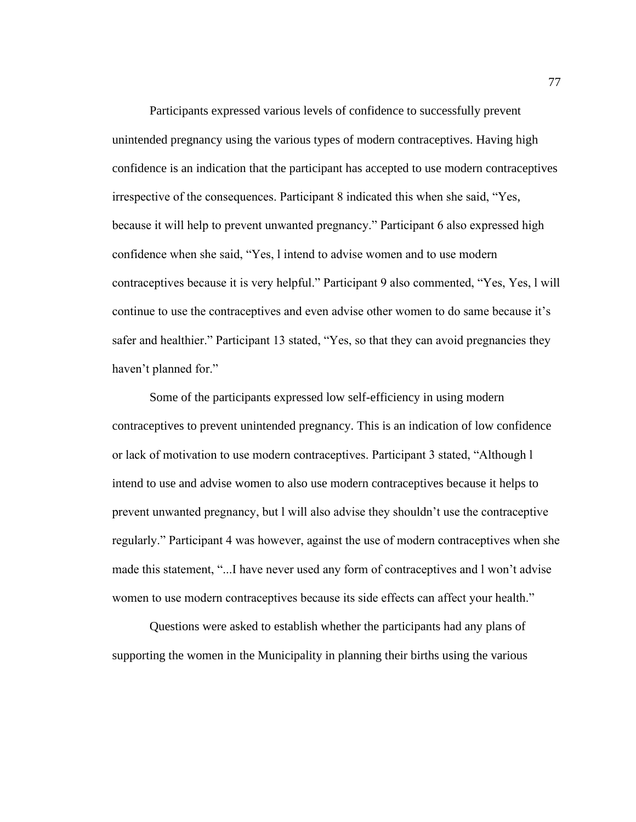Participants expressed various levels of confidence to successfully prevent unintended pregnancy using the various types of modern contraceptives. Having high confidence is an indication that the participant has accepted to use modern contraceptives irrespective of the consequences. Participant 8 indicated this when she said, "Yes, because it will help to prevent unwanted pregnancy." Participant 6 also expressed high confidence when she said, "Yes, l intend to advise women and to use modern contraceptives because it is very helpful." Participant 9 also commented, "Yes, Yes, l will continue to use the contraceptives and even advise other women to do same because it's safer and healthier." Participant 13 stated, "Yes, so that they can avoid pregnancies they haven't planned for."

Some of the participants expressed low self-efficiency in using modern contraceptives to prevent unintended pregnancy. This is an indication of low confidence or lack of motivation to use modern contraceptives. Participant 3 stated, "Although l intend to use and advise women to also use modern contraceptives because it helps to prevent unwanted pregnancy, but l will also advise they shouldn't use the contraceptive regularly." Participant 4 was however, against the use of modern contraceptives when she made this statement, "...I have never used any form of contraceptives and l won't advise women to use modern contraceptives because its side effects can affect your health."

Questions were asked to establish whether the participants had any plans of supporting the women in the Municipality in planning their births using the various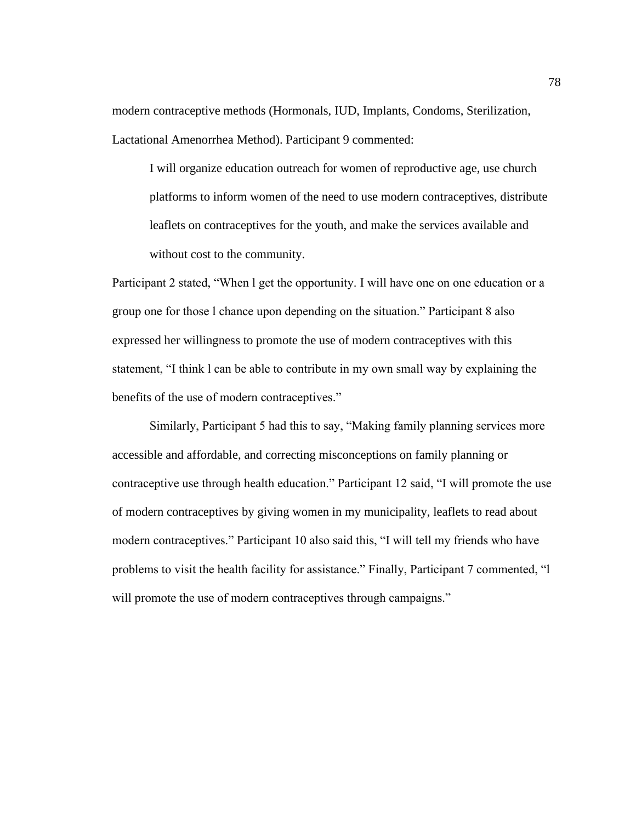modern contraceptive methods (Hormonals, IUD, Implants, Condoms, Sterilization, Lactational Amenorrhea Method). Participant 9 commented:

I will organize education outreach for women of reproductive age, use church platforms to inform women of the need to use modern contraceptives, distribute leaflets on contraceptives for the youth, and make the services available and without cost to the community.

Participant 2 stated, "When l get the opportunity. I will have one on one education or a group one for those l chance upon depending on the situation." Participant 8 also expressed her willingness to promote the use of modern contraceptives with this statement, "I think l can be able to contribute in my own small way by explaining the benefits of the use of modern contraceptives."

Similarly, Participant 5 had this to say, "Making family planning services more accessible and affordable, and correcting misconceptions on family planning or contraceptive use through health education." Participant 12 said, "I will promote the use of modern contraceptives by giving women in my municipality, leaflets to read about modern contraceptives." Participant 10 also said this, "I will tell my friends who have problems to visit the health facility for assistance." Finally, Participant 7 commented, "l will promote the use of modern contraceptives through campaigns."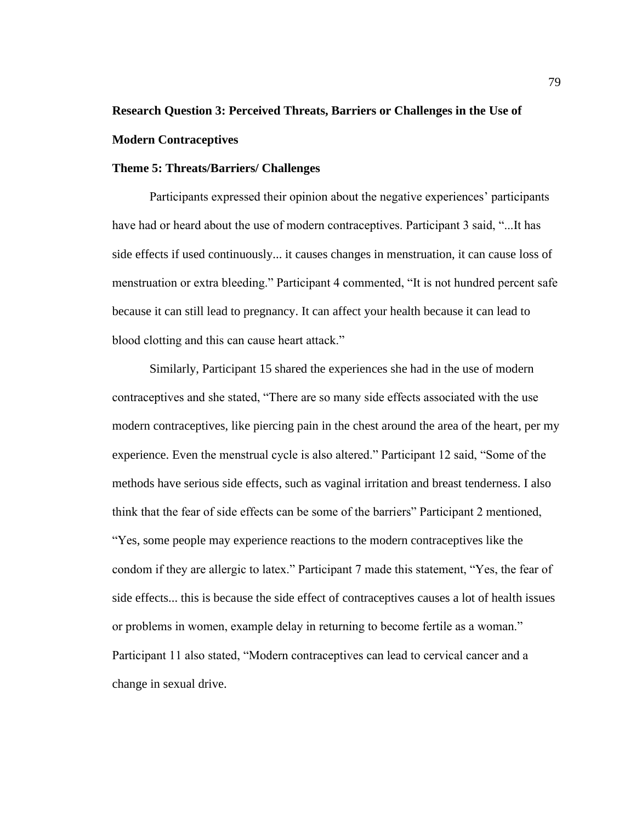# **Research Question 3: Perceived Threats, Barriers or Challenges in the Use of Modern Contraceptives**

# **Theme 5: Threats/Barriers/ Challenges**

Participants expressed their opinion about the negative experiences' participants have had or heard about the use of modern contraceptives. Participant 3 said, "...It has side effects if used continuously... it causes changes in menstruation, it can cause loss of menstruation or extra bleeding." Participant 4 commented, "It is not hundred percent safe because it can still lead to pregnancy. It can affect your health because it can lead to blood clotting and this can cause heart attack."

Similarly, Participant 15 shared the experiences she had in the use of modern contraceptives and she stated, "There are so many side effects associated with the use modern contraceptives, like piercing pain in the chest around the area of the heart, per my experience. Even the menstrual cycle is also altered." Participant 12 said, "Some of the methods have serious side effects, such as vaginal irritation and breast tenderness. I also think that the fear of side effects can be some of the barriers" Participant 2 mentioned, "Yes, some people may experience reactions to the modern contraceptives like the condom if they are allergic to latex." Participant 7 made this statement, "Yes, the fear of side effects... this is because the side effect of contraceptives causes a lot of health issues or problems in women, example delay in returning to become fertile as a woman." Participant 11 also stated, "Modern contraceptives can lead to cervical cancer and a change in sexual drive.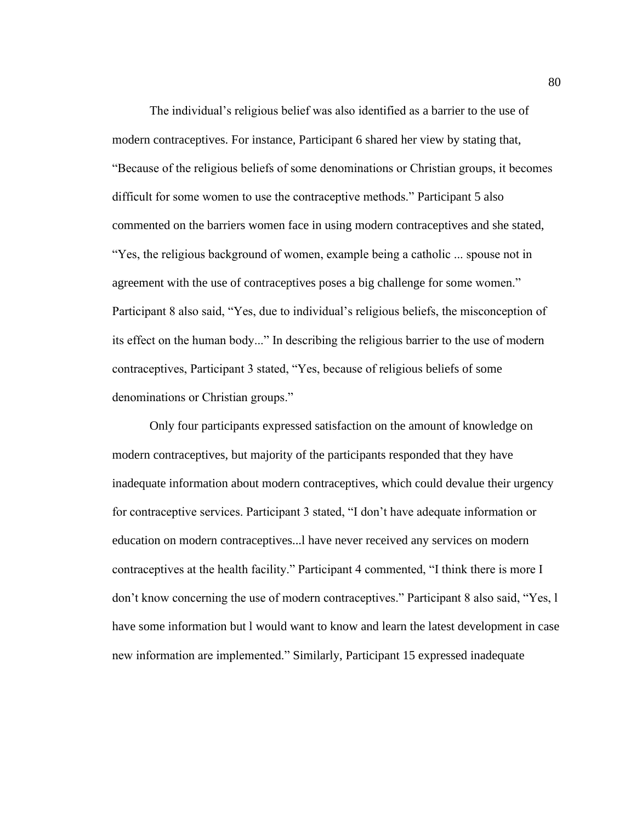The individual's religious belief was also identified as a barrier to the use of modern contraceptives. For instance, Participant 6 shared her view by stating that, "Because of the religious beliefs of some denominations or Christian groups, it becomes difficult for some women to use the contraceptive methods." Participant 5 also commented on the barriers women face in using modern contraceptives and she stated, "Yes, the religious background of women, example being a catholic ... spouse not in agreement with the use of contraceptives poses a big challenge for some women." Participant 8 also said, "Yes, due to individual's religious beliefs, the misconception of its effect on the human body..." In describing the religious barrier to the use of modern contraceptives, Participant 3 stated, "Yes, because of religious beliefs of some denominations or Christian groups."

Only four participants expressed satisfaction on the amount of knowledge on modern contraceptives, but majority of the participants responded that they have inadequate information about modern contraceptives, which could devalue their urgency for contraceptive services. Participant 3 stated, "I don't have adequate information or education on modern contraceptives...l have never received any services on modern contraceptives at the health facility." Participant 4 commented, "I think there is more I don't know concerning the use of modern contraceptives." Participant 8 also said, "Yes, l have some information but l would want to know and learn the latest development in case new information are implemented." Similarly, Participant 15 expressed inadequate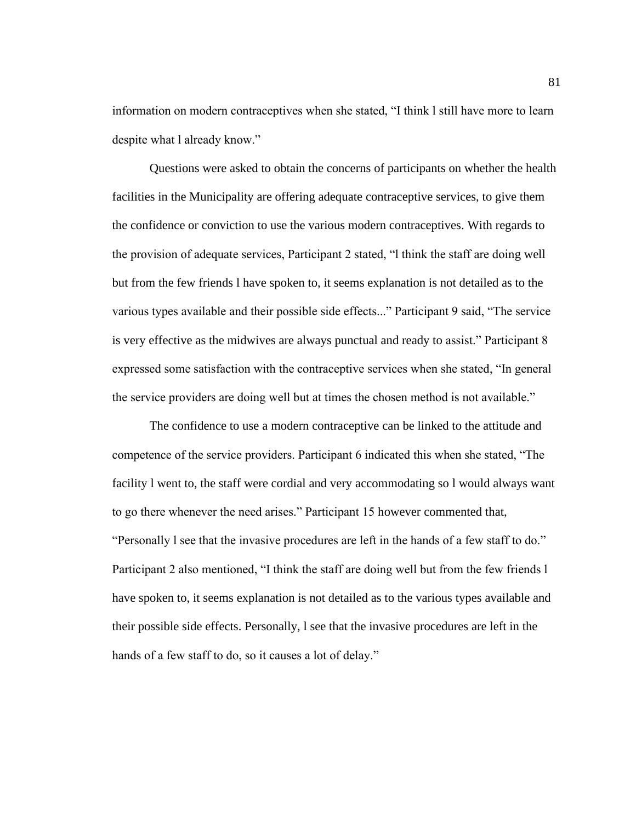information on modern contraceptives when she stated, "I think l still have more to learn despite what l already know."

Questions were asked to obtain the concerns of participants on whether the health facilities in the Municipality are offering adequate contraceptive services, to give them the confidence or conviction to use the various modern contraceptives. With regards to the provision of adequate services, Participant 2 stated, "l think the staff are doing well but from the few friends l have spoken to, it seems explanation is not detailed as to the various types available and their possible side effects..." Participant 9 said, "The service is very effective as the midwives are always punctual and ready to assist." Participant 8 expressed some satisfaction with the contraceptive services when she stated, "In general the service providers are doing well but at times the chosen method is not available."

The confidence to use a modern contraceptive can be linked to the attitude and competence of the service providers. Participant 6 indicated this when she stated, "The facility l went to, the staff were cordial and very accommodating so l would always want to go there whenever the need arises." Participant 15 however commented that, "Personally l see that the invasive procedures are left in the hands of a few staff to do." Participant 2 also mentioned, "I think the staff are doing well but from the few friends l have spoken to, it seems explanation is not detailed as to the various types available and their possible side effects. Personally, l see that the invasive procedures are left in the hands of a few staff to do, so it causes a lot of delay."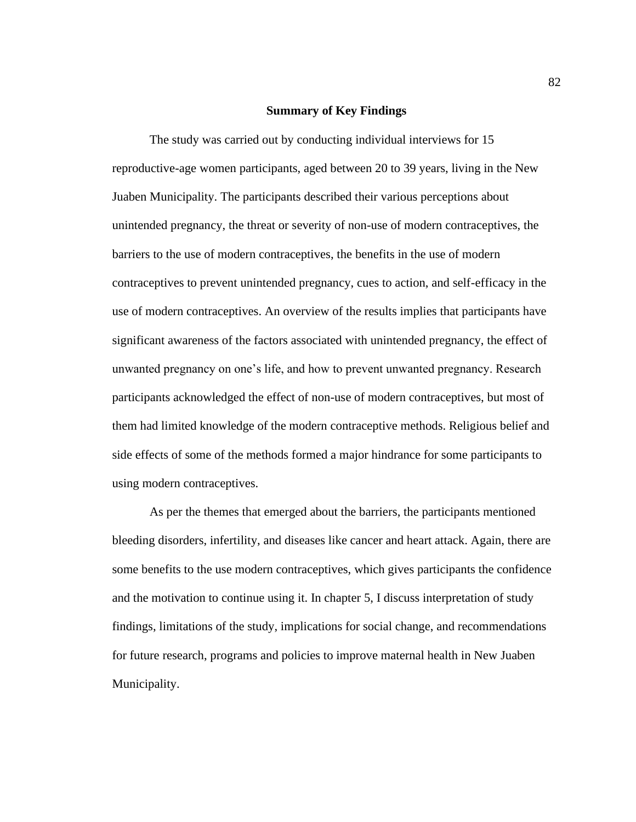# **Summary of Key Findings**

The study was carried out by conducting individual interviews for 15 reproductive-age women participants, aged between 20 to 39 years, living in the New Juaben Municipality. The participants described their various perceptions about unintended pregnancy, the threat or severity of non-use of modern contraceptives, the barriers to the use of modern contraceptives, the benefits in the use of modern contraceptives to prevent unintended pregnancy, cues to action, and self-efficacy in the use of modern contraceptives. An overview of the results implies that participants have significant awareness of the factors associated with unintended pregnancy, the effect of unwanted pregnancy on one's life, and how to prevent unwanted pregnancy. Research participants acknowledged the effect of non-use of modern contraceptives, but most of them had limited knowledge of the modern contraceptive methods. Religious belief and side effects of some of the methods formed a major hindrance for some participants to using modern contraceptives.

As per the themes that emerged about the barriers, the participants mentioned bleeding disorders, infertility, and diseases like cancer and heart attack. Again, there are some benefits to the use modern contraceptives, which gives participants the confidence and the motivation to continue using it. In chapter 5, I discuss interpretation of study findings, limitations of the study, implications for social change, and recommendations for future research, programs and policies to improve maternal health in New Juaben Municipality.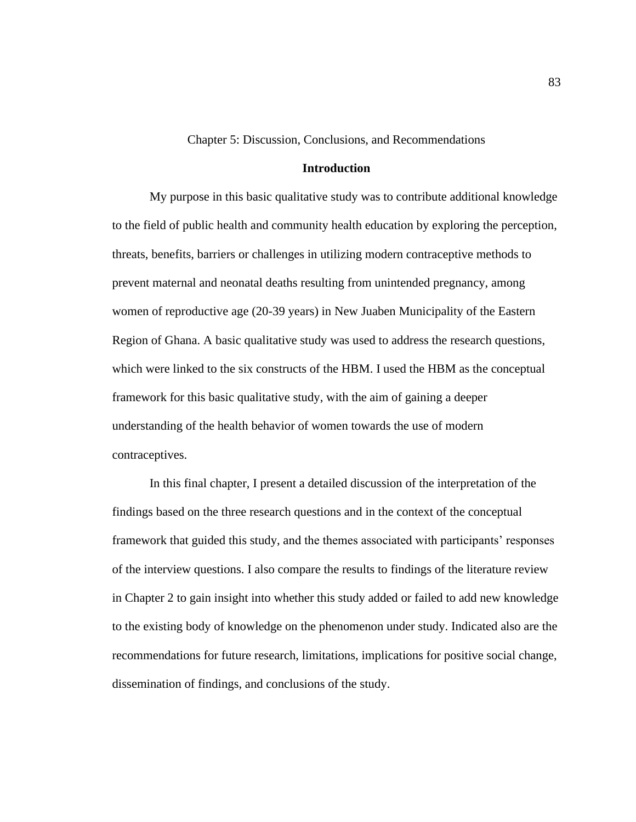Chapter 5: Discussion, Conclusions, and Recommendations

# **Introduction**

My purpose in this basic qualitative study was to contribute additional knowledge to the field of public health and community health education by exploring the perception, threats, benefits, barriers or challenges in utilizing modern contraceptive methods to prevent maternal and neonatal deaths resulting from unintended pregnancy, among women of reproductive age (20-39 years) in New Juaben Municipality of the Eastern Region of Ghana. A basic qualitative study was used to address the research questions, which were linked to the six constructs of the HBM. I used the HBM as the conceptual framework for this basic qualitative study, with the aim of gaining a deeper understanding of the health behavior of women towards the use of modern contraceptives.

In this final chapter, I present a detailed discussion of the interpretation of the findings based on the three research questions and in the context of the conceptual framework that guided this study, and the themes associated with participants' responses of the interview questions. I also compare the results to findings of the literature review in Chapter 2 to gain insight into whether this study added or failed to add new knowledge to the existing body of knowledge on the phenomenon under study. Indicated also are the recommendations for future research, limitations, implications for positive social change, dissemination of findings, and conclusions of the study.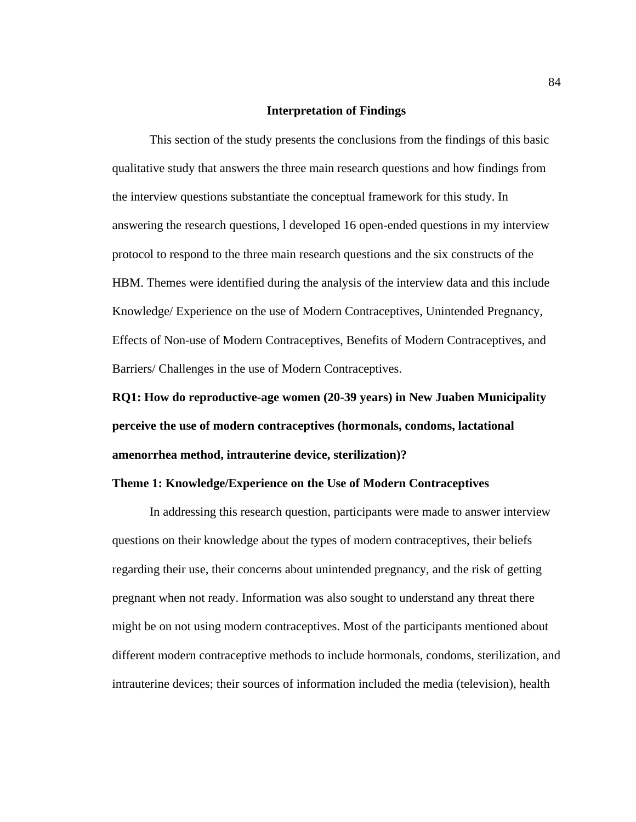# **Interpretation of Findings**

This section of the study presents the conclusions from the findings of this basic qualitative study that answers the three main research questions and how findings from the interview questions substantiate the conceptual framework for this study. In answering the research questions, l developed 16 open-ended questions in my interview protocol to respond to the three main research questions and the six constructs of the HBM. Themes were identified during the analysis of the interview data and this include Knowledge/ Experience on the use of Modern Contraceptives, Unintended Pregnancy, Effects of Non-use of Modern Contraceptives, Benefits of Modern Contraceptives, and Barriers/ Challenges in the use of Modern Contraceptives.

**RQ1: How do reproductive-age women (20-39 years) in New Juaben Municipality perceive the use of modern contraceptives (hormonals, condoms, lactational amenorrhea method, intrauterine device, sterilization)?**

# **Theme 1: Knowledge/Experience on the Use of Modern Contraceptives**

In addressing this research question, participants were made to answer interview questions on their knowledge about the types of modern contraceptives, their beliefs regarding their use, their concerns about unintended pregnancy, and the risk of getting pregnant when not ready. Information was also sought to understand any threat there might be on not using modern contraceptives. Most of the participants mentioned about different modern contraceptive methods to include hormonals, condoms, sterilization, and intrauterine devices; their sources of information included the media (television), health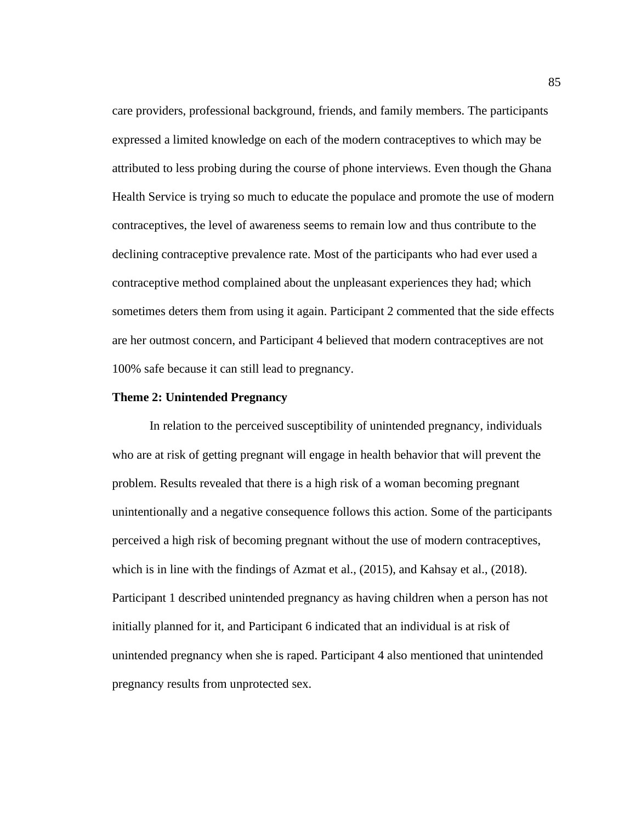care providers, professional background, friends, and family members. The participants expressed a limited knowledge on each of the modern contraceptives to which may be attributed to less probing during the course of phone interviews. Even though the Ghana Health Service is trying so much to educate the populace and promote the use of modern contraceptives, the level of awareness seems to remain low and thus contribute to the declining contraceptive prevalence rate. Most of the participants who had ever used a contraceptive method complained about the unpleasant experiences they had; which sometimes deters them from using it again. Participant 2 commented that the side effects are her outmost concern, and Participant 4 believed that modern contraceptives are not 100% safe because it can still lead to pregnancy.

### **Theme 2: Unintended Pregnancy**

 In relation to the perceived susceptibility of unintended pregnancy, individuals who are at risk of getting pregnant will engage in health behavior that will prevent the problem. Results revealed that there is a high risk of a woman becoming pregnant unintentionally and a negative consequence follows this action. Some of the participants perceived a high risk of becoming pregnant without the use of modern contraceptives, which is in line with the findings of Azmat et al., (2015), and Kahsay et al., (2018). Participant 1 described unintended pregnancy as having children when a person has not initially planned for it, and Participant 6 indicated that an individual is at risk of unintended pregnancy when she is raped. Participant 4 also mentioned that unintended pregnancy results from unprotected sex.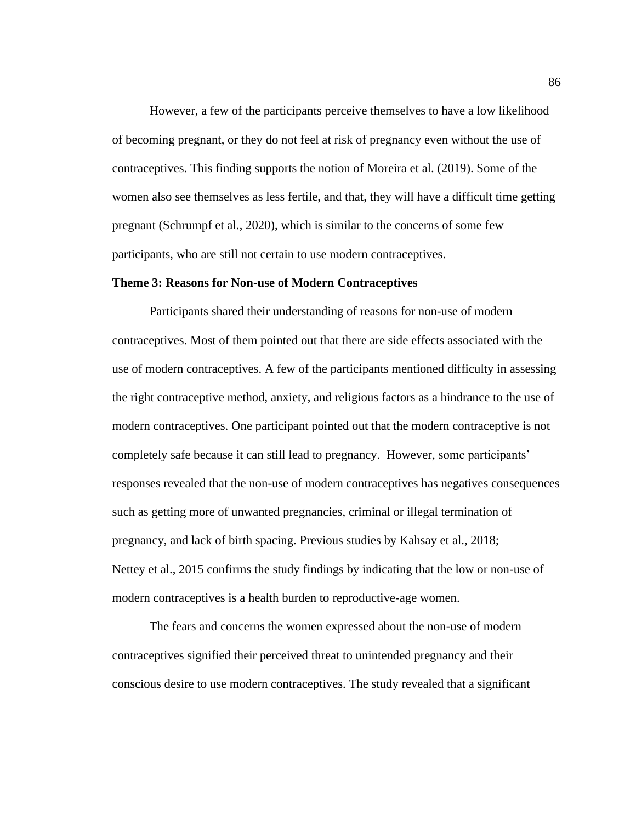However, a few of the participants perceive themselves to have a low likelihood of becoming pregnant, or they do not feel at risk of pregnancy even without the use of contraceptives. This finding supports the notion of Moreira et al. (2019). Some of the women also see themselves as less fertile, and that, they will have a difficult time getting pregnant (Schrumpf et al., 2020), which is similar to the concerns of some few participants, who are still not certain to use modern contraceptives.

### **Theme 3: Reasons for Non-use of Modern Contraceptives**

Participants shared their understanding of reasons for non-use of modern contraceptives. Most of them pointed out that there are side effects associated with the use of modern contraceptives. A few of the participants mentioned difficulty in assessing the right contraceptive method, anxiety, and religious factors as a hindrance to the use of modern contraceptives. One participant pointed out that the modern contraceptive is not completely safe because it can still lead to pregnancy. However, some participants' responses revealed that the non-use of modern contraceptives has negatives consequences such as getting more of unwanted pregnancies, criminal or illegal termination of pregnancy, and lack of birth spacing. Previous studies by Kahsay et al., 2018; Nettey et al., 2015 confirms the study findings by indicating that the low or non-use of modern contraceptives is a health burden to reproductive-age women.

The fears and concerns the women expressed about the non-use of modern contraceptives signified their perceived threat to unintended pregnancy and their conscious desire to use modern contraceptives. The study revealed that a significant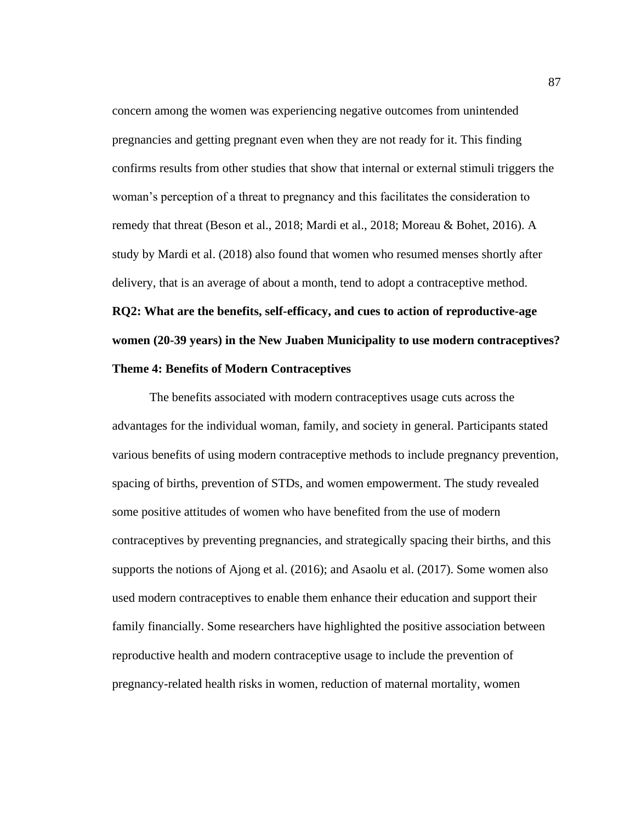concern among the women was experiencing negative outcomes from unintended pregnancies and getting pregnant even when they are not ready for it. This finding confirms results from other studies that show that internal or external stimuli triggers the woman's perception of a threat to pregnancy and this facilitates the consideration to remedy that threat (Beson et al., 2018; Mardi et al., 2018; Moreau & Bohet, 2016). A study by Mardi et al. (2018) also found that women who resumed menses shortly after delivery, that is an average of about a month, tend to adopt a contraceptive method.

**RQ2: What are the benefits, self-efficacy, and cues to action of reproductive-age women (20-39 years) in the New Juaben Municipality to use modern contraceptives? Theme 4: Benefits of Modern Contraceptives**

The benefits associated with modern contraceptives usage cuts across the advantages for the individual woman, family, and society in general. Participants stated various benefits of using modern contraceptive methods to include pregnancy prevention, spacing of births, prevention of STDs, and women empowerment. The study revealed some positive attitudes of women who have benefited from the use of modern contraceptives by preventing pregnancies, and strategically spacing their births, and this supports the notions of Ajong et al. (2016); and Asaolu et al. (2017). Some women also used modern contraceptives to enable them enhance their education and support their family financially. Some researchers have highlighted the positive association between reproductive health and modern contraceptive usage to include the prevention of pregnancy-related health risks in women, reduction of maternal mortality, women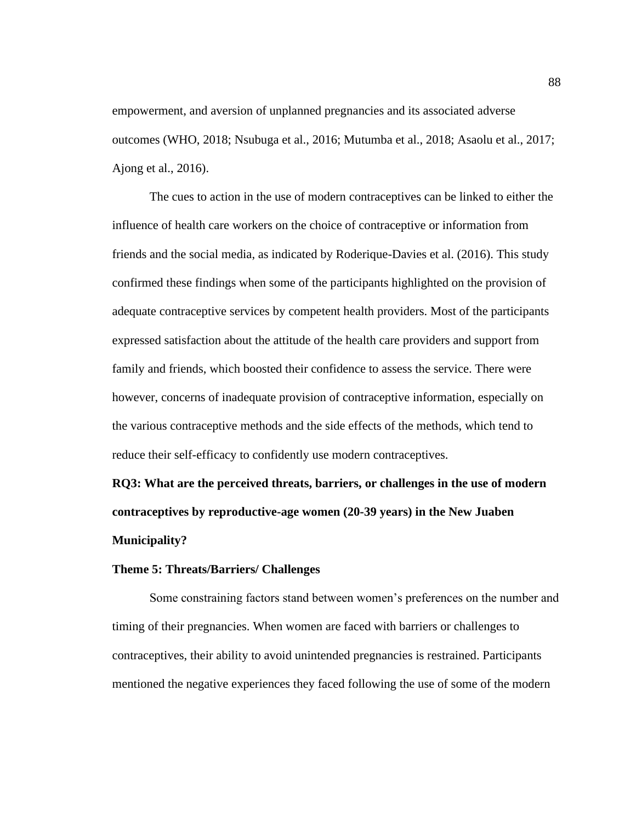empowerment, and aversion of unplanned pregnancies and its associated adverse outcomes (WHO, 2018; Nsubuga et al., 2016; Mutumba et al., 2018; Asaolu et al., 2017; Ajong et al., 2016).

The cues to action in the use of modern contraceptives can be linked to either the influence of health care workers on the choice of contraceptive or information from friends and the social media, as indicated by Roderique-Davies et al. (2016). This study confirmed these findings when some of the participants highlighted on the provision of adequate contraceptive services by competent health providers. Most of the participants expressed satisfaction about the attitude of the health care providers and support from family and friends, which boosted their confidence to assess the service. There were however, concerns of inadequate provision of contraceptive information, especially on the various contraceptive methods and the side effects of the methods, which tend to reduce their self-efficacy to confidently use modern contraceptives.

**RQ3: What are the perceived threats, barriers, or challenges in the use of modern contraceptives by reproductive-age women (20-39 years) in the New Juaben Municipality?**

## **Theme 5: Threats/Barriers/ Challenges**

Some constraining factors stand between women's preferences on the number and timing of their pregnancies. When women are faced with barriers or challenges to contraceptives, their ability to avoid unintended pregnancies is restrained. Participants mentioned the negative experiences they faced following the use of some of the modern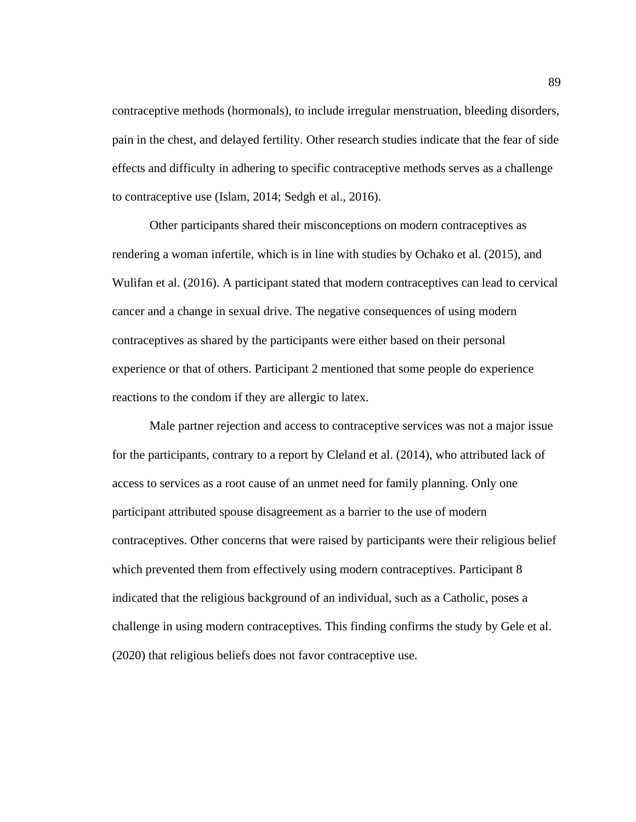contraceptive methods (hormonals), to include irregular menstruation, bleeding disorders, pain in the chest, and delayed fertility. Other research studies indicate that the fear of side effects and difficulty in adhering to specific contraceptive methods serves as a challenge to contraceptive use (Islam, 2014; Sedgh et al., 2016).

Other participants shared their misconceptions on modern contraceptives as rendering a woman infertile, which is in line with studies by Ochako et al. (2015), and Wulifan et al. (2016). A participant stated that modern contraceptives can lead to cervical cancer and a change in sexual drive. The negative consequences of using modern contraceptives as shared by the participants were either based on their personal experience or that of others. Participant 2 mentioned that some people do experience reactions to the condom if they are allergic to latex.

Male partner rejection and access to contraceptive services was not a major issue for the participants, contrary to a report by Cleland et al. (2014), who attributed lack of access to services as a root cause of an unmet need for family planning. Only one participant attributed spouse disagreement as a barrier to the use of modern contraceptives. Other concerns that were raised by participants were their religious belief which prevented them from effectively using modern contraceptives. Participant 8 indicated that the religious background of an individual, such as a Catholic, poses a challenge in using modern contraceptives. This finding confirms the study by Gele et al. (2020) that religious beliefs does not favor contraceptive use.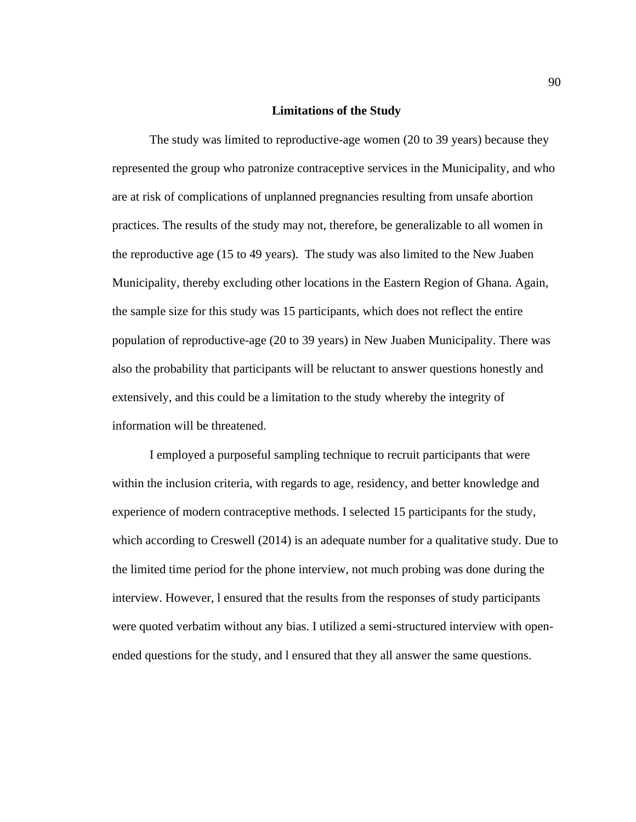## **Limitations of the Study**

The study was limited to reproductive-age women (20 to 39 years) because they represented the group who patronize contraceptive services in the Municipality, and who are at risk of complications of unplanned pregnancies resulting from unsafe abortion practices. The results of the study may not, therefore, be generalizable to all women in the reproductive age (15 to 49 years). The study was also limited to the New Juaben Municipality, thereby excluding other locations in the Eastern Region of Ghana. Again, the sample size for this study was 15 participants, which does not reflect the entire population of reproductive-age (20 to 39 years) in New Juaben Municipality. There was also the probability that participants will be reluctant to answer questions honestly and extensively, and this could be a limitation to the study whereby the integrity of information will be threatened.

I employed a purposeful sampling technique to recruit participants that were within the inclusion criteria, with regards to age, residency, and better knowledge and experience of modern contraceptive methods. I selected 15 participants for the study, which according to Creswell (2014) is an adequate number for a qualitative study. Due to the limited time period for the phone interview, not much probing was done during the interview. However, l ensured that the results from the responses of study participants were quoted verbatim without any bias. I utilized a semi-structured interview with openended questions for the study, and l ensured that they all answer the same questions.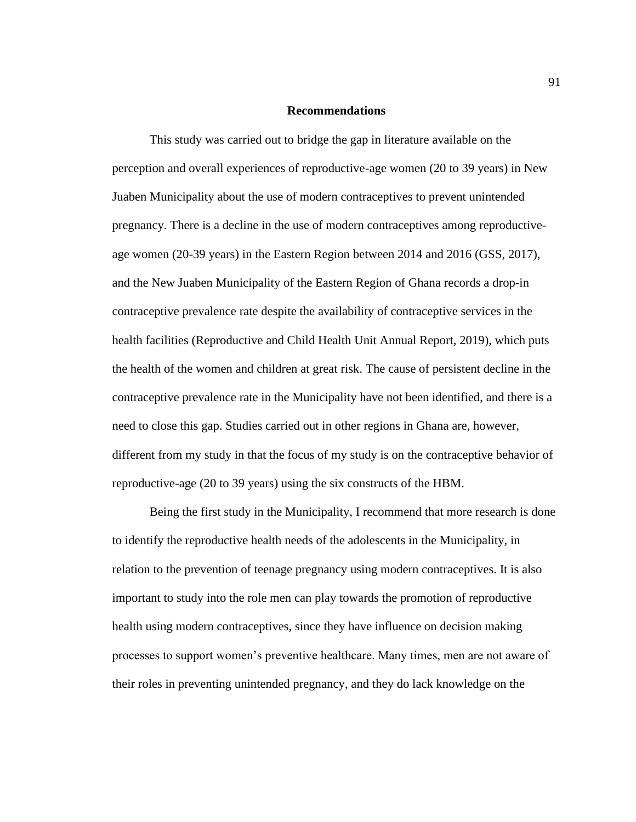## **Recommendations**

This study was carried out to bridge the gap in literature available on the perception and overall experiences of reproductive-age women (20 to 39 years) in New Juaben Municipality about the use of modern contraceptives to prevent unintended pregnancy. There is a decline in the use of modern contraceptives among reproductiveage women (20-39 years) in the Eastern Region between 2014 and 2016 (GSS, 2017), and the New Juaben Municipality of the Eastern Region of Ghana records a drop-in contraceptive prevalence rate despite the availability of contraceptive services in the health facilities (Reproductive and Child Health Unit Annual Report, 2019), which puts the health of the women and children at great risk. The cause of persistent decline in the contraceptive prevalence rate in the Municipality have not been identified, and there is a need to close this gap. Studies carried out in other regions in Ghana are, however, different from my study in that the focus of my study is on the contraceptive behavior of reproductive-age (20 to 39 years) using the six constructs of the HBM.

Being the first study in the Municipality, I recommend that more research is done to identify the reproductive health needs of the adolescents in the Municipality, in relation to the prevention of teenage pregnancy using modern contraceptives. It is also important to study into the role men can play towards the promotion of reproductive health using modern contraceptives, since they have influence on decision making processes to support women's preventive healthcare. Many times, men are not aware of their roles in preventing unintended pregnancy, and they do lack knowledge on the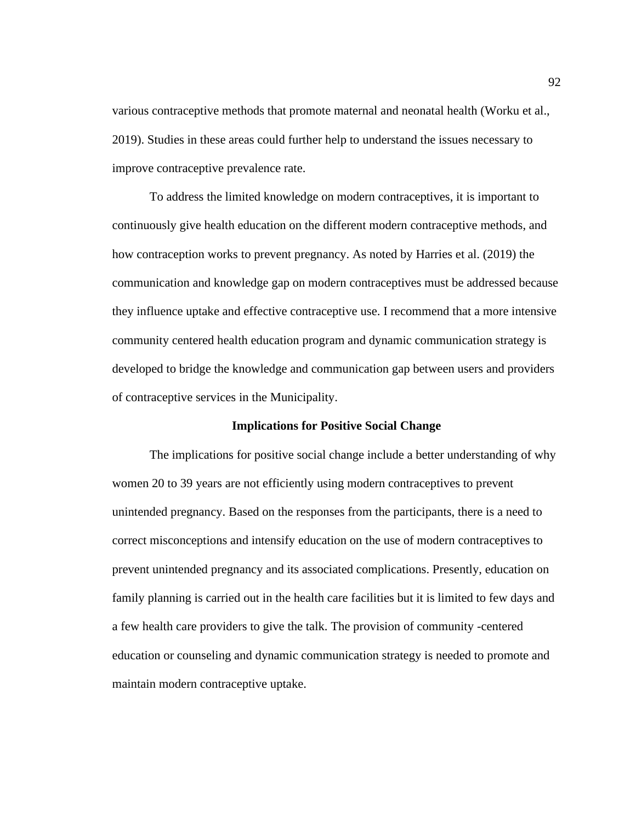various contraceptive methods that promote maternal and neonatal health (Worku et al., 2019). Studies in these areas could further help to understand the issues necessary to improve contraceptive prevalence rate.

To address the limited knowledge on modern contraceptives, it is important to continuously give health education on the different modern contraceptive methods, and how contraception works to prevent pregnancy. As noted by Harries et al. (2019) the communication and knowledge gap on modern contraceptives must be addressed because they influence uptake and effective contraceptive use. I recommend that a more intensive community centered health education program and dynamic communication strategy is developed to bridge the knowledge and communication gap between users and providers of contraceptive services in the Municipality.

# **Implications for Positive Social Change**

The implications for positive social change include a better understanding of why women 20 to 39 years are not efficiently using modern contraceptives to prevent unintended pregnancy. Based on the responses from the participants, there is a need to correct misconceptions and intensify education on the use of modern contraceptives to prevent unintended pregnancy and its associated complications. Presently, education on family planning is carried out in the health care facilities but it is limited to few days and a few health care providers to give the talk. The provision of community -centered education or counseling and dynamic communication strategy is needed to promote and maintain modern contraceptive uptake.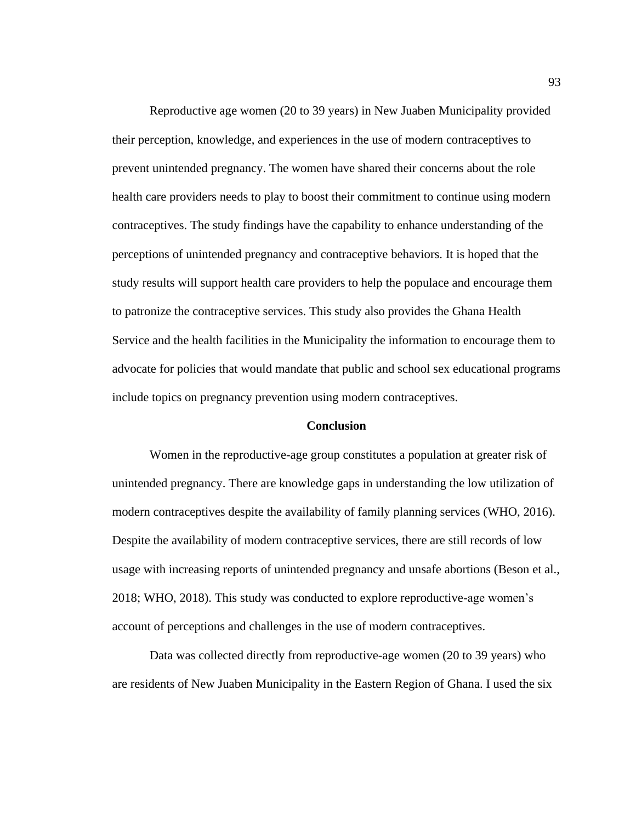Reproductive age women (20 to 39 years) in New Juaben Municipality provided their perception, knowledge, and experiences in the use of modern contraceptives to prevent unintended pregnancy. The women have shared their concerns about the role health care providers needs to play to boost their commitment to continue using modern contraceptives. The study findings have the capability to enhance understanding of the perceptions of unintended pregnancy and contraceptive behaviors. It is hoped that the study results will support health care providers to help the populace and encourage them to patronize the contraceptive services. This study also provides the Ghana Health Service and the health facilities in the Municipality the information to encourage them to advocate for policies that would mandate that public and school sex educational programs include topics on pregnancy prevention using modern contraceptives.

### **Conclusion**

Women in the reproductive-age group constitutes a population at greater risk of unintended pregnancy. There are knowledge gaps in understanding the low utilization of modern contraceptives despite the availability of family planning services (WHO, 2016). Despite the availability of modern contraceptive services, there are still records of low usage with increasing reports of unintended pregnancy and unsafe abortions (Beson et al., 2018; WHO, 2018). This study was conducted to explore reproductive-age women's account of perceptions and challenges in the use of modern contraceptives.

Data was collected directly from reproductive-age women (20 to 39 years) who are residents of New Juaben Municipality in the Eastern Region of Ghana. I used the six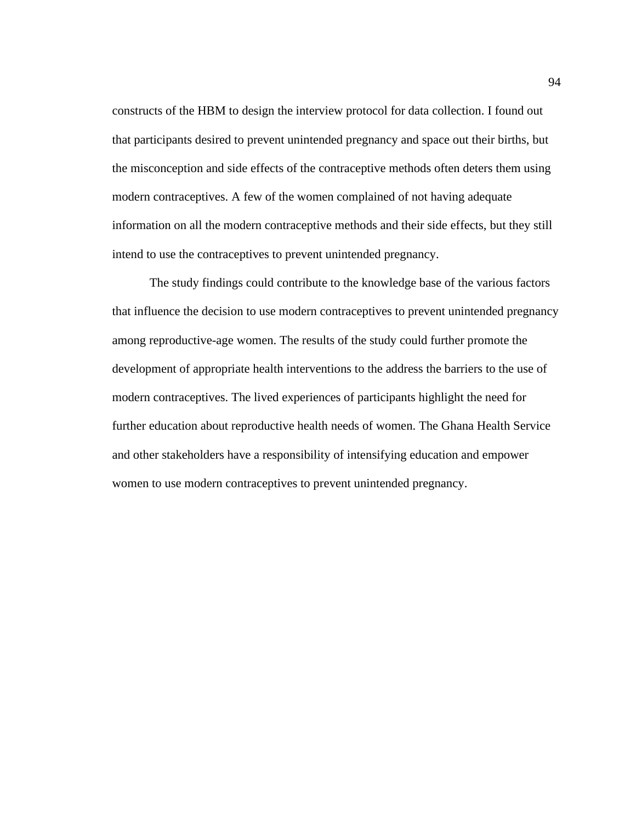constructs of the HBM to design the interview protocol for data collection. I found out that participants desired to prevent unintended pregnancy and space out their births, but the misconception and side effects of the contraceptive methods often deters them using modern contraceptives. A few of the women complained of not having adequate information on all the modern contraceptive methods and their side effects, but they still intend to use the contraceptives to prevent unintended pregnancy.

The study findings could contribute to the knowledge base of the various factors that influence the decision to use modern contraceptives to prevent unintended pregnancy among reproductive-age women. The results of the study could further promote the development of appropriate health interventions to the address the barriers to the use of modern contraceptives. The lived experiences of participants highlight the need for further education about reproductive health needs of women. The Ghana Health Service and other stakeholders have a responsibility of intensifying education and empower women to use modern contraceptives to prevent unintended pregnancy.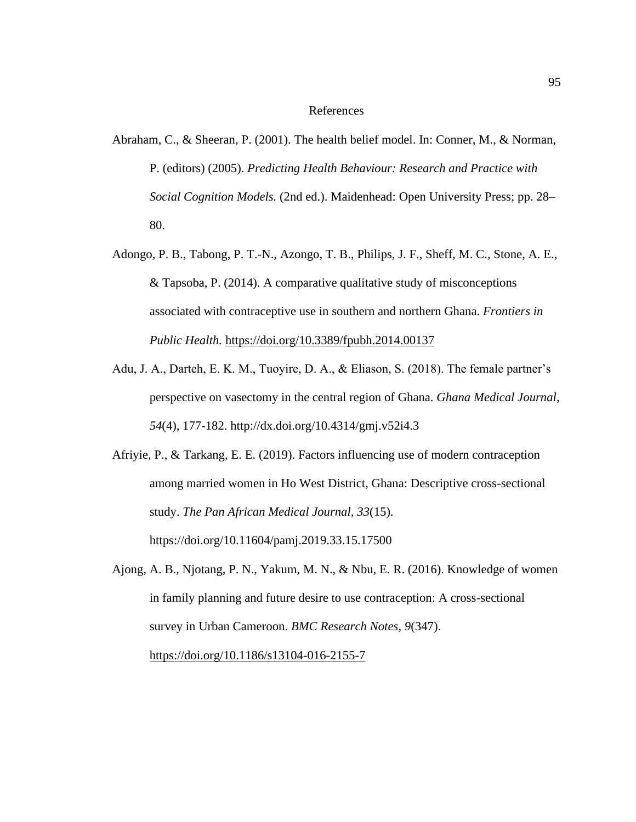### References

- Abraham, C., & Sheeran, P. (2001). The health belief model. In: Conner, M., & Norman, P. (editors) (2005). *Predicting Health Behaviour: Research and Practice with Social Cognition Models.* (2nd ed.). Maidenhead: Open University Press; pp. 28– 80.
- Adongo, P. B., Tabong, P. T.-N., Azongo, T. B., Philips, J. F., Sheff, M. C., Stone, A. E., & Tapsoba, P. (2014). A comparative qualitative study of misconceptions associated with contraceptive use in southern and northern Ghana. *Frontiers in Public Health.* <https://doi.org/10.3389/fpubh.2014.00137>
- Adu, J. A., Darteh, E. K. M., Tuoyire, D. A., & Eliason, S. (2018). The female partner's perspective on vasectomy in the central region of Ghana. *Ghana Medical Journal, 54*(4), 177-182. http://dx.doi.org/10.4314/gmj.v52i4.3
- Afriyie, P., & Tarkang, E. E. (2019). Factors influencing use of modern contraception among married women in Ho West District, Ghana: Descriptive cross-sectional study. *The Pan African Medical Journal, 33*(15). https://doi.org/10.11604/pamj.2019.33.15.17500
- Ajong, A. B., Njotang, P. N., Yakum, M. N., & Nbu, E. R. (2016). Knowledge of women in family planning and future desire to use contraception: A cross-sectional survey in Urban Cameroon. *BMC Research Notes, 9*(347).

<https://doi.org/10.1186/s13104-016-2155-7>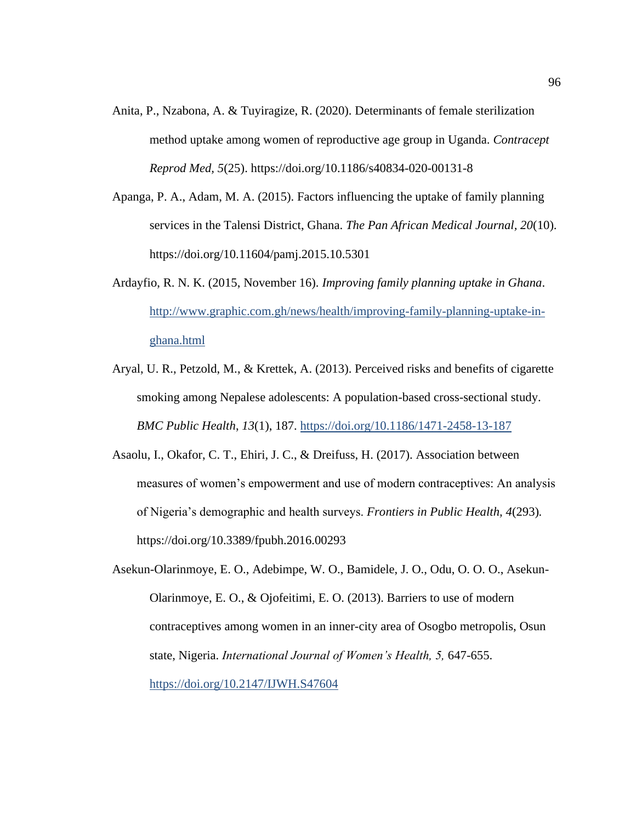- Anita, P., Nzabona, A. & Tuyiragize, R. (2020). Determinants of female sterilization method uptake among women of reproductive age group in Uganda. *Contracept Reprod Med, 5*(25). https://doi.org/10.1186/s40834-020-00131-8
- Apanga, P. A., Adam, M. A. (2015). Factors influencing the uptake of family planning services in the Talensi District, Ghana. *The Pan African Medical Journal, 20*(10). https://doi.org/10.11604/pamj.2015.10.5301
- Ardayfio, R. N. K. (2015, November 16). *Improving family planning uptake in Ghana*. [http://www.graphic.com.gh/news/health/improving-family-planning-uptake-in](http://www.graphic.com.gh/news/health/improving-family-planning-uptake-in-ghana.html)[ghana.html](http://www.graphic.com.gh/news/health/improving-family-planning-uptake-in-ghana.html)
- Aryal, U. R., Petzold, M., & Krettek, A. (2013). Perceived risks and benefits of cigarette smoking among Nepalese adolescents: A population-based cross-sectional study. *BMC Public Health*, *13*(1), 187.<https://doi.org/10.1186/1471-2458-13-187>
- Asaolu, I., Okafor, C. T., Ehiri, J. C., & Dreifuss, H. (2017). Association between measures of women's empowerment and use of modern contraceptives: An analysis of Nigeria's demographic and health surveys. *Frontiers in Public Health, 4*(293)*.*  https://doi.org/10.3389/fpubh.2016.00293
- Asekun-Olarinmoye, E. O., Adebimpe, W. O., Bamidele, J. O., Odu, O. O. O., Asekun-Olarinmoye, E. O., & Ojofeitimi, E. O. (2013). Barriers to use of modern contraceptives among women in an inner-city area of Osogbo metropolis, Osun state, Nigeria. *International Journal of Women's Health, 5,* 647-655. <https://doi.org/10.2147/IJWH.S47604>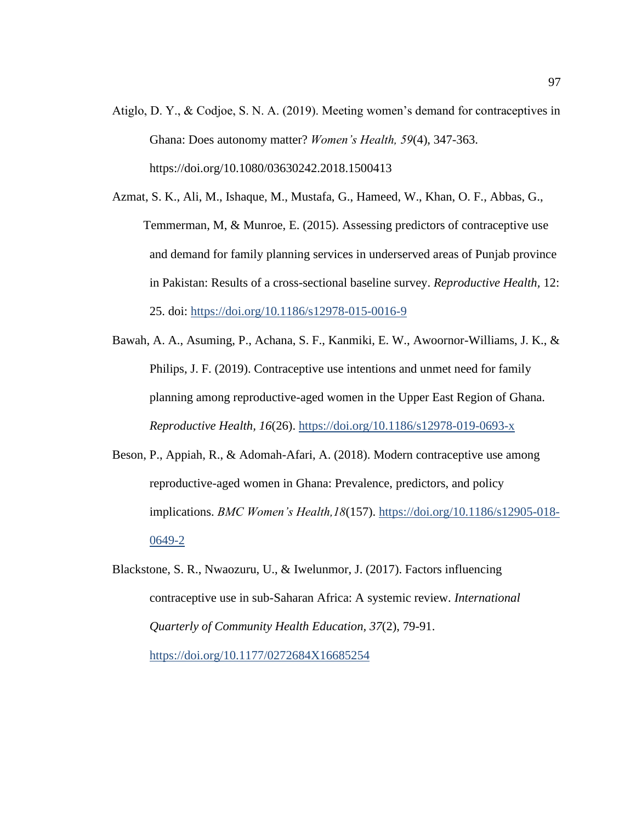- Atiglo, D. Y., & Codjoe, S. N. A. (2019). Meeting women's demand for contraceptives in Ghana: Does autonomy matter? *Women's Health, 59*(4), 347-363. https://doi.org/10.1080/03630242.2018.1500413
- Azmat, S. K., Ali, M., Ishaque, M., Mustafa, G., Hameed, W., Khan, O. F., Abbas, G., Temmerman, M, & Munroe, E. (2015). Assessing predictors of contraceptive use and demand for family planning services in underserved areas of Punjab province in Pakistan: Results of a cross-sectional baseline survey. *Reproductive Health,* 12: 25. doi:<https://doi.org/10.1186/s12978-015-0016-9>
- Bawah, A. A., Asuming, P., Achana, S. F., Kanmiki, E. W., Awoornor-Williams, J. K., & Philips, J. F. (2019). Contraceptive use intentions and unmet need for family planning among reproductive-aged women in the Upper East Region of Ghana. *Reproductive Health, 16*(26).<https://doi.org/10.1186/s12978-019-0693-x>
- Beson, P., Appiah, R., & Adomah-Afari, A. (2018). Modern contraceptive use among reproductive-aged women in Ghana: Prevalence, predictors, and policy implications. *BMC Women's Health,18*(157). [https://doi.org/10.1186/s12905-018-](https://doi.org/10.1186/s12905-018-0649-2) [0649-2](https://doi.org/10.1186/s12905-018-0649-2)
- Blackstone, S. R., Nwaozuru, U., & Iwelunmor, J. (2017). Factors influencing contraceptive use in sub-Saharan Africa: A systemic review. *International Quarterly of Community Health Education, 37*(2), 79-91.

<https://doi.org/10.1177/0272684X16685254>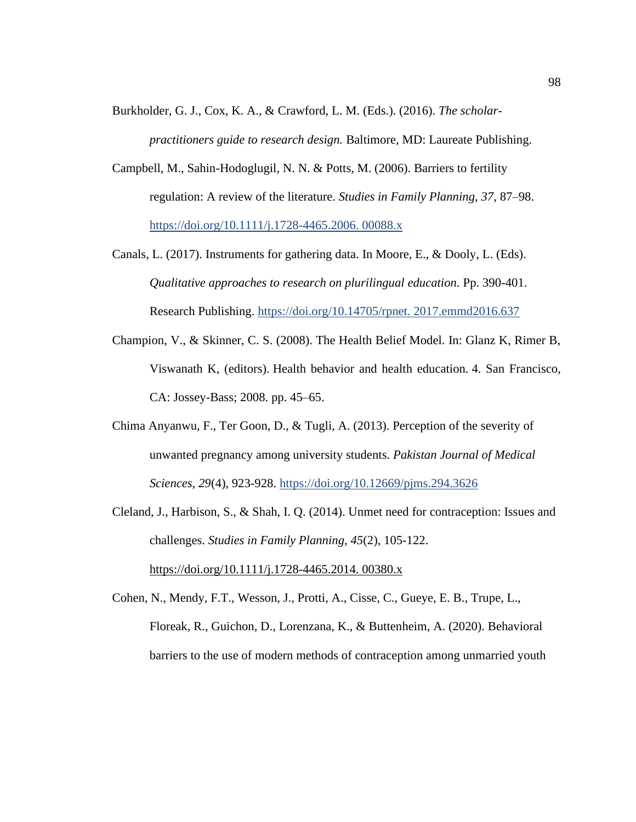Burkholder, G. J., Cox, K. A., & Crawford, L. M. (Eds.). (2016). *The scholar-*

*practitioners guide to research design.* Baltimore, MD: Laureate Publishing.

- Campbell, M., Sahin-Hodoglugil, N. N. & Potts, M. (2006). Barriers to fertility regulation: A review of the literature. *Studies in Family Planning, 37*, 87–98. [https://doi.org/10.1111/j.1728-4465.2006. 00088.x](https://doi.org/10.1111/j.1728-4465.2006.%2000088.x)
- Canals, L. (2017). Instruments for gathering data. In Moore, E., & Dooly, L. (Eds). *Qualitative approaches to research on plurilingual education.* Pp. 390-401. Research Publishing. [https://doi.org/10.14705/rpnet. 2017.emmd2016.637](https://doi.org/10.14705/rpnet.%202017.emmd2016.637)
- Champion, V., & Skinner, C. S. (2008). The Health Belief Model. In: Glanz K, Rimer B, Viswanath K, (editors). Health behavior and health education. 4. San Francisco, CA: Jossey-Bass; 2008. pp. 45–65.
- Chima Anyanwu, F., Ter Goon, D., & Tugli, A. (2013). Perception of the severity of unwanted pregnancy among university students. *Pakistan Journal of Medical Sciences*, *29*(4), 923-928.<https://doi.org/10.12669/pjms.294.3626>
- Cleland, J., Harbison, S., & Shah, I. Q. (2014). Unmet need for contraception: Issues and challenges. *Studies in Family Planning, 45*(2), 105-122. [https://doi.org/10.1111/j.1728-4465.2014. 00380.x](https://doi.org/10.1111/j.1728-4465.2014.%2000380.x)

Cohen, N., Mendy, F.T., Wesson, J., Protti, A., Cisse, C., Gueye, E. B., Trupe, L., Floreak, R., Guichon, D., Lorenzana, K., & Buttenheim, A. (2020). Behavioral barriers to the use of modern methods of contraception among unmarried youth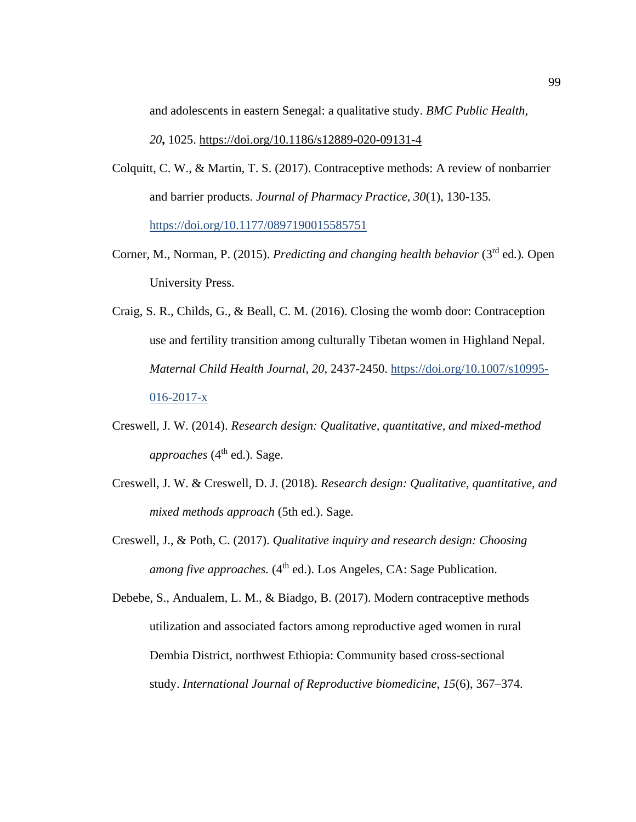and adolescents in eastern Senegal: a qualitative study. *BMC Public Health, 20***,** 1025.<https://doi.org/10.1186/s12889-020-09131-4>

- Colquitt, C. W., & Martin, T. S. (2017). Contraceptive methods: A review of nonbarrier and barrier products. *Journal of Pharmacy Practice, 30*(1), 130-135*.*  <https://doi.org/10.1177/0897190015585751>
- Corner, M., Norman, P. (2015). *Predicting and changing health behavior* (3<sup>rd</sup> ed.). Open University Press.
- Craig, S. R., Childs, G., & Beall, C. M. (2016). Closing the womb door: Contraception use and fertility transition among culturally Tibetan women in Highland Nepal. *Maternal Child Health Journal, 20*, 2437-2450. [https://doi.org/10.1007/s10995-](https://doi.org/10.1007/s10995-016-2017-x)  $016 - 2017 - x$
- Creswell, J. W. (2014). *Research design: Qualitative, quantitative, and mixed-method approaches* (4<sup>th</sup> ed.). Sage.
- Creswell, J. W. & Creswell, D. J. (2018). *Research design: Qualitative, quantitative, and mixed methods approach* (5th ed.). Sage.
- Creswell, J., & Poth, C. (2017). *Qualitative inquiry and research design: Choosing among five approaches.* (4<sup>th</sup> ed.). Los Angeles, CA: Sage Publication.

Debebe, S., Andualem, L. M., & Biadgo, B. (2017). Modern contraceptive methods utilization and associated factors among reproductive aged women in rural Dembia District, northwest Ethiopia: Community based cross-sectional study. *International Journal of Reproductive biomedicine*, *15*(6), 367–374.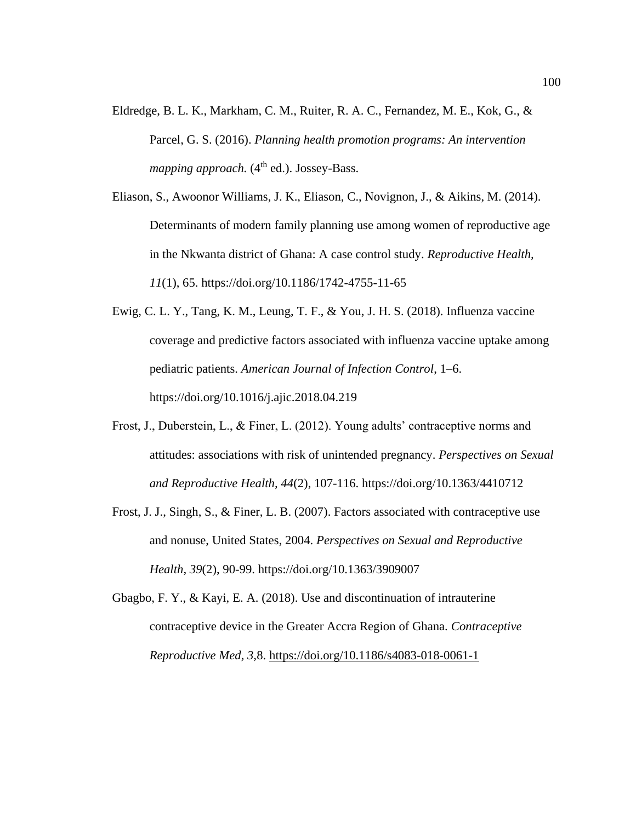- Eldredge, B. L. K., Markham, C. M., Ruiter, R. A. C., Fernandez, M. E., Kok, G., & Parcel, G. S. (2016). *Planning health promotion programs: An intervention mapping approach.* (4<sup>th</sup> ed.). Jossey-Bass.
- Eliason, S., Awoonor Williams, J. K., Eliason, C., Novignon, J., & Aikins, M. (2014). Determinants of modern family planning use among women of reproductive age in the Nkwanta district of Ghana: A case control study. *Reproductive Health, 11*(1), 65. https://doi.org/10.1186/1742-4755-11-65
- Ewig, C. L. Y., Tang, K. M., Leung, T. F., & You, J. H. S. (2018). Influenza vaccine coverage and predictive factors associated with influenza vaccine uptake among pediatric patients. *American Journal of Infection Control*, 1–6. https://doi.org/10.1016/j.ajic.2018.04.219
- Frost, J., Duberstein, L., & Finer, L. (2012). Young adults' contraceptive norms and attitudes: associations with risk of unintended pregnancy. *Perspectives on Sexual and Reproductive Health, 44*(2), 107-116. https://doi.org/10.1363/4410712
- Frost, J. J., Singh, S., & Finer, L. B. (2007). Factors associated with contraceptive use and nonuse, United States, 2004. *Perspectives on Sexual and Reproductive Health, 39*(2), 90-99. https://doi.org/10.1363/3909007
- Gbagbo, F. Y., & Kayi, E. A. (2018). Use and discontinuation of intrauterine contraceptive device in the Greater Accra Region of Ghana. *Contraceptive Reproductive Med, 3,*8.<https://doi.org/10.1186/s4083-018-0061-1>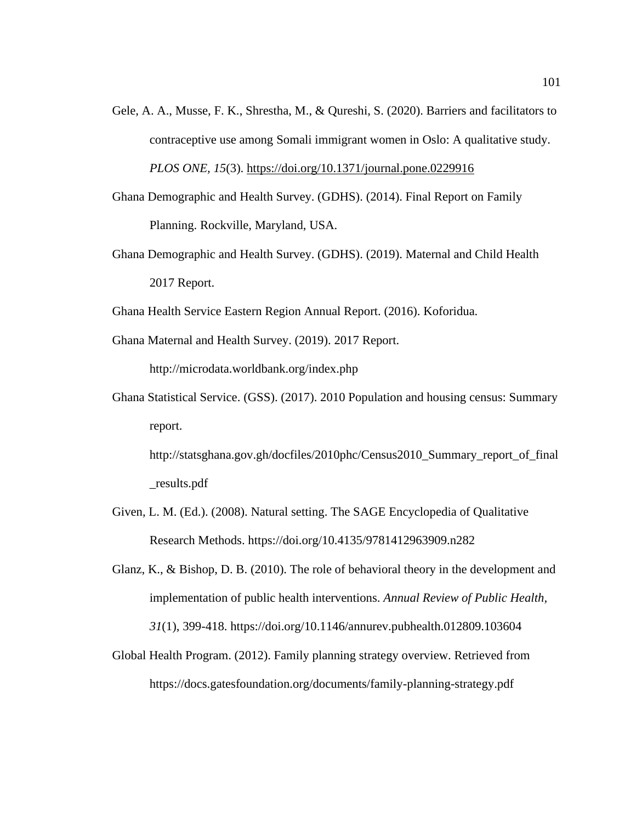- Gele, A. A., Musse, F. K., Shrestha, M., & Qureshi, S. (2020). Barriers and facilitators to contraceptive use among Somali immigrant women in Oslo: A qualitative study. *PLOS ONE, 15*(3).<https://doi.org/10.1371/journal.pone.0229916>
- Ghana Demographic and Health Survey. (GDHS). (2014). Final Report on Family Planning. Rockville, Maryland, USA.
- Ghana Demographic and Health Survey. (GDHS). (2019). Maternal and Child Health 2017 Report.

Ghana Health Service Eastern Region Annual Report. (2016). Koforidua.

Ghana Maternal and Health Survey. (2019). 2017 Report. http://microdata.worldbank.org/index.php

Ghana Statistical Service. (GSS). (2017). 2010 Population and housing census: Summary report.

http://statsghana.gov.gh/docfiles/2010phc/Census2010\_Summary\_report\_of\_final \_results.pdf

- Given, L. M. (Ed.). (2008). Natural setting. The SAGE Encyclopedia of Qualitative Research Methods. https://doi.org/10.4135/9781412963909.n282
- Glanz, K., & Bishop, D. B. (2010). The role of behavioral theory in the development and implementation of public health interventions. *Annual Review of Public Health, 31*(1), 399-418. https://doi.org/10.1146/annurev.pubhealth.012809.103604
- Global Health Program. (2012). Family planning strategy overview. Retrieved from https://docs.gatesfoundation.org/documents/family-planning-strategy.pdf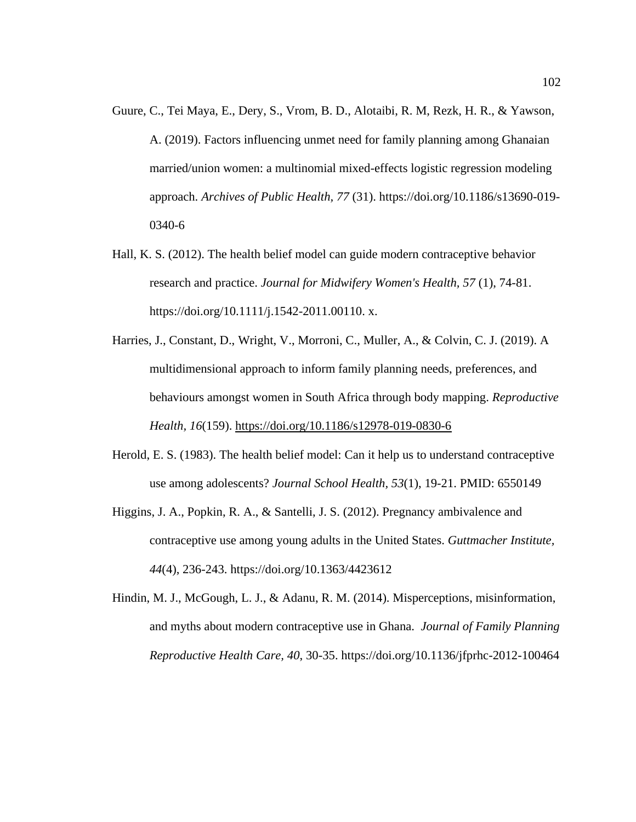- Guure, C., Tei Maya, E., Dery, S., Vrom, B. D., Alotaibi, R. M, Rezk, H. R., & Yawson, A. (2019). Factors influencing unmet need for family planning among Ghanaian married/union women: a multinomial mixed-effects logistic regression modeling approach. *Archives of Public Health, 77* (31). https://doi.org/10.1186/s13690-019- 0340-6
- Hall, K. S. (2012). The health belief model can guide modern contraceptive behavior research and practice. *Journal for Midwifery Women's Health, 57* (1), 74-81. https://doi.org/10.1111/j.1542-2011.00110. x.
- Harries, J., Constant, D., Wright, V., Morroni, C., Muller, A., & Colvin, C. J. (2019). A multidimensional approach to inform family planning needs, preferences, and behaviours amongst women in South Africa through body mapping. *Reproductive Health, 16*(159).<https://doi.org/10.1186/s12978-019-0830-6>
- Herold, E. S. (1983). The health belief model: Can it help us to understand contraceptive use among adolescents? *Journal School Health, 53*(1), 19-21. PMID: 6550149
- Higgins, J. A., Popkin, R. A., & Santelli, J. S. (2012). Pregnancy ambivalence and contraceptive use among young adults in the United States. *Guttmacher Institute, 44*(4), 236-243. https://doi.org/10.1363/4423612
- Hindin, M. J., McGough, L. J., & Adanu, R. M. (2014). Misperceptions, misinformation, and myths about modern contraceptive use in Ghana. *Journal of Family Planning Reproductive Health Care, 40*, 30-35. https://doi.org/10.1136/jfprhc-2012-100464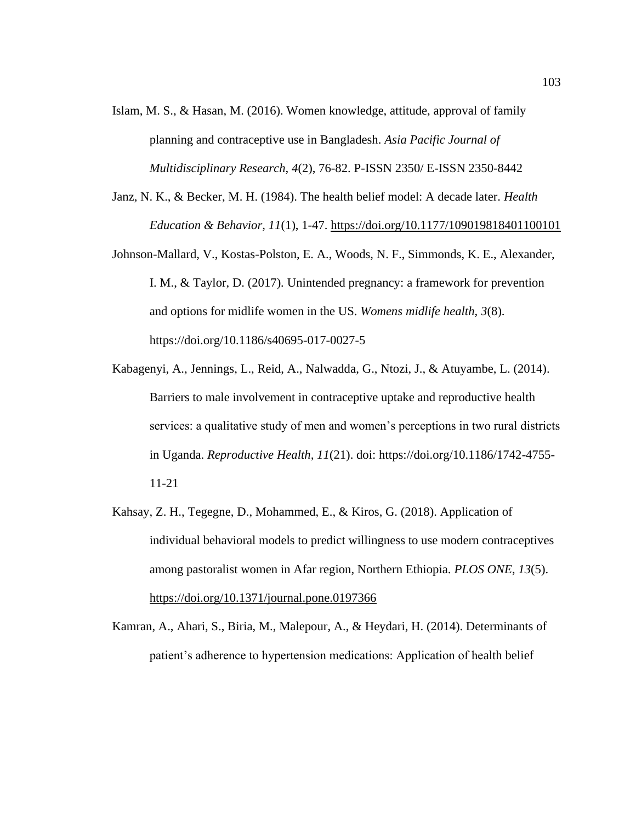- Islam, M. S., & Hasan, M. (2016). Women knowledge, attitude, approval of family planning and contraceptive use in Bangladesh. *Asia Pacific Journal of Multidisciplinary Research, 4*(2), 76-82. P-ISSN 2350/ E-ISSN 2350-8442
- Janz, N. K., & Becker, M. H. (1984). The health belief model: A decade later. *Health Education & Behavior, 11*(1), 1-47.<https://doi.org/10.1177/109019818401100101>
- Johnson-Mallard, V., Kostas-Polston, E. A., Woods, N. F., Simmonds, K. E., Alexander, I. M., & Taylor, D. (2017)*.* Unintended pregnancy: a framework for prevention and options for midlife women in the US. *Womens midlife health, 3*(8). https://doi.org/10.1186/s40695-017-0027-5
- Kabagenyi, A., Jennings, L., Reid, A., Nalwadda, G., Ntozi, J., & Atuyambe, L. (2014). Barriers to male involvement in contraceptive uptake and reproductive health services: a qualitative study of men and women's perceptions in two rural districts in Uganda. *Reproductive Health, 11*(21). doi: https://doi.org/10.1186/1742-4755- 11-21
- Kahsay, Z. H., Tegegne, D., Mohammed, E., & Kiros, G. (2018). Application of individual behavioral models to predict willingness to use modern contraceptives among pastoralist women in Afar region, Northern Ethiopia. *PLOS ONE*, *13*(5). <https://doi.org/10.1371/journal.pone.0197366>
- Kamran, A., Ahari, S., Biria, M., Malepour, A., & Heydari, H. (2014). Determinants of patient's adherence to hypertension medications: Application of health belief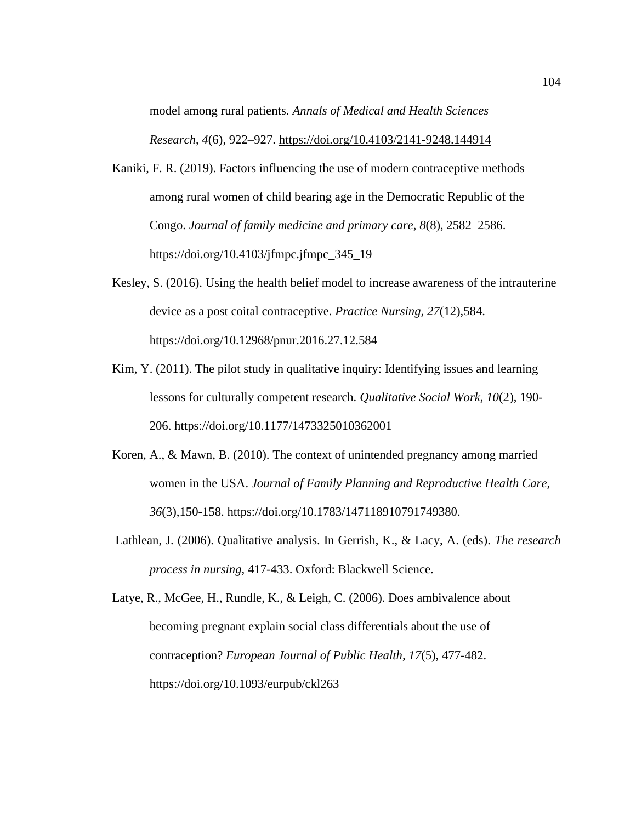model among rural patients. *Annals of Medical and Health Sciences Research*, *4*(6), 922–927.<https://doi.org/10.4103/2141-9248.144914>

- Kaniki, F. R. (2019). Factors influencing the use of modern contraceptive methods among rural women of child bearing age in the Democratic Republic of the Congo. *Journal of family medicine and primary care*, *8*(8), 2582–2586. https://doi.org/10.4103/jfmpc.jfmpc\_345\_19
- Kesley, S. (2016). Using the health belief model to increase awareness of the intrauterine device as a post coital contraceptive. *Practice Nursing, 27*(12)*,*584. https://doi.org/10.12968/pnur.2016.27.12.584
- Kim, Y. (2011). The pilot study in qualitative inquiry: Identifying issues and learning lessons for culturally competent research. *Qualitative Social Work, 10*(2), 190- 206. https://doi.org/10.1177/1473325010362001
- Koren, A., & Mawn, B. (2010). The context of unintended pregnancy among married women in the USA. *Journal of Family Planning and Reproductive Health Care, 36*(3),150-158. https://doi.org/10.1783/147118910791749380.
- Lathlean, J. (2006). Qualitative analysis. In Gerrish, K., & Lacy, A. (eds). *The research process in nursing,* 417-433. Oxford: Blackwell Science.

Latye, R., McGee, H., Rundle, K., & Leigh, C. (2006). Does ambivalence about becoming pregnant explain social class differentials about the use of contraception? *European Journal of Public Health, 17*(5), 477-482. https://doi.org/10.1093/eurpub/ckl263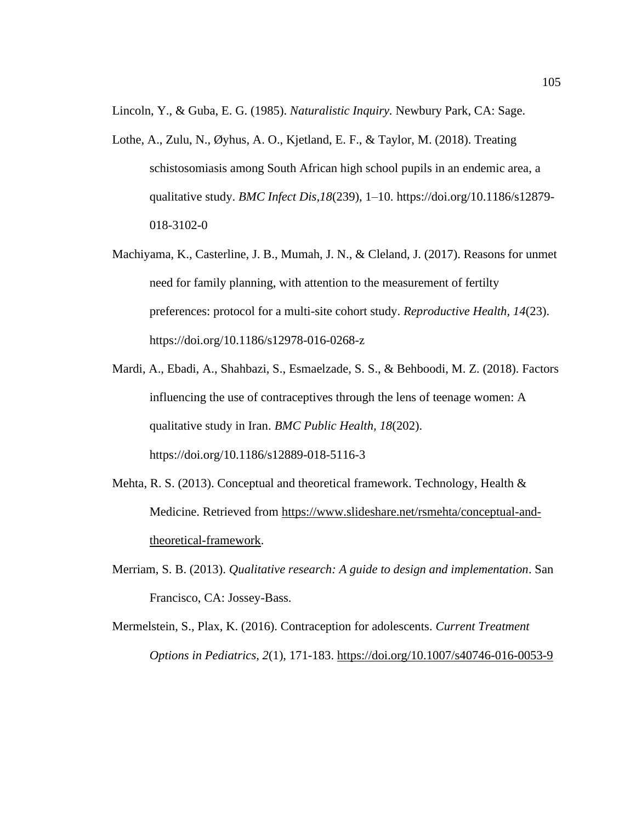Lincoln, Y., & Guba, E. G. (1985). *Naturalistic Inquiry.* Newbury Park, CA: Sage.

- Lothe, A., Zulu, N., Øyhus, A. O., Kjetland, E. F., & Taylor, M. (2018). Treating schistosomiasis among South African high school pupils in an endemic area, a qualitative study. *BMC Infect Dis,18*(239), 1–10. https://doi.org/10.1186/s12879- 018-3102-0
- Machiyama, K., Casterline, J. B., Mumah, J. N., & Cleland, J. (2017). Reasons for unmet need for family planning, with attention to the measurement of fertilty preferences: protocol for a multi-site cohort study. *Reproductive Health, 14*(23). https://doi.org/10.1186/s12978-016-0268-z
- Mardi, A., Ebadi, A., Shahbazi, S., Esmaelzade, S. S., & Behboodi, M. Z. (2018). Factors influencing the use of contraceptives through the lens of teenage women: A qualitative study in Iran. *BMC Public Health, 18*(202). https://doi.org/10.1186/s12889-018-5116-3
- Mehta, R. S. (2013). Conceptual and theoretical framework. Technology, Health & Medicine. Retrieved from [https://www.slideshare.net/rsmehta/conceptual-and](https://www.slideshare.net/rsmehta/conceptual-and-theoretical-framework)[theoretical-framework.](https://www.slideshare.net/rsmehta/conceptual-and-theoretical-framework)
- Merriam, S. B. (2013). *Qualitative research: A guide to design and implementation*. San Francisco, CA: Jossey-Bass.
- Mermelstein, S., Plax, K. (2016). Contraception for adolescents. *Current Treatment Options in Pediatrics, 2*(1), 171-183.<https://doi.org/10.1007/s40746-016-0053-9>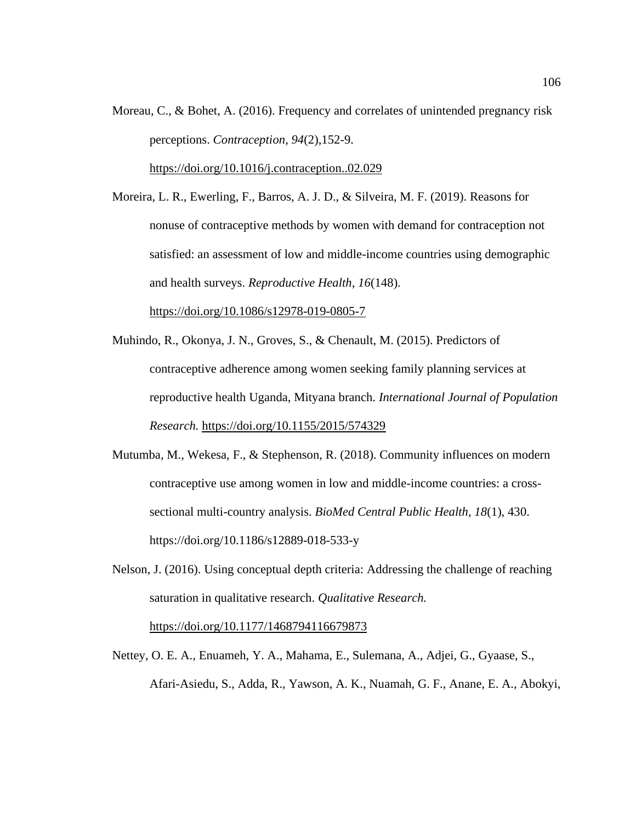Moreau, C., & Bohet, A. (2016). Frequency and correlates of unintended pregnancy risk perceptions. *Contraception, 94*(2),152-9.

<https://doi.org/10.1016/j.contraception..02.029>

Moreira, L. R., Ewerling, F., Barros, A. J. D., & Silveira, M. F. (2019). Reasons for nonuse of contraceptive methods by women with demand for contraception not satisfied: an assessment of low and middle-income countries using demographic and health surveys. *Reproductive Health, 16*(148)*.* <https://doi.org/10.1086/s12978-019-0805-7>

- Muhindo, R., Okonya, J. N., Groves, S., & Chenault, M. (2015). Predictors of contraceptive adherence among women seeking family planning services at reproductive health Uganda, Mityana branch. *International Journal of Population Research.* <https://doi.org/10.1155/2015/574329>
- Mutumba, M., Wekesa, F., & Stephenson, R. (2018). Community influences on modern contraceptive use among women in low and middle-income countries: a crosssectional multi-country analysis. *BioMed Central Public Health, 18*(1), 430. https://doi.org/10.1186/s12889-018-533-y
- Nelson, J. (2016). Using conceptual depth criteria: Addressing the challenge of reaching saturation in qualitative research. *Qualitative Research.*  <https://doi.org/10.1177/1468794116679873>
- Nettey, O. E. A., Enuameh, Y. A., Mahama, E., Sulemana, A., Adjei, G., Gyaase, S., Afari-Asiedu, S., Adda, R., Yawson, A. K., Nuamah, G. F., Anane, E. A., Abokyi,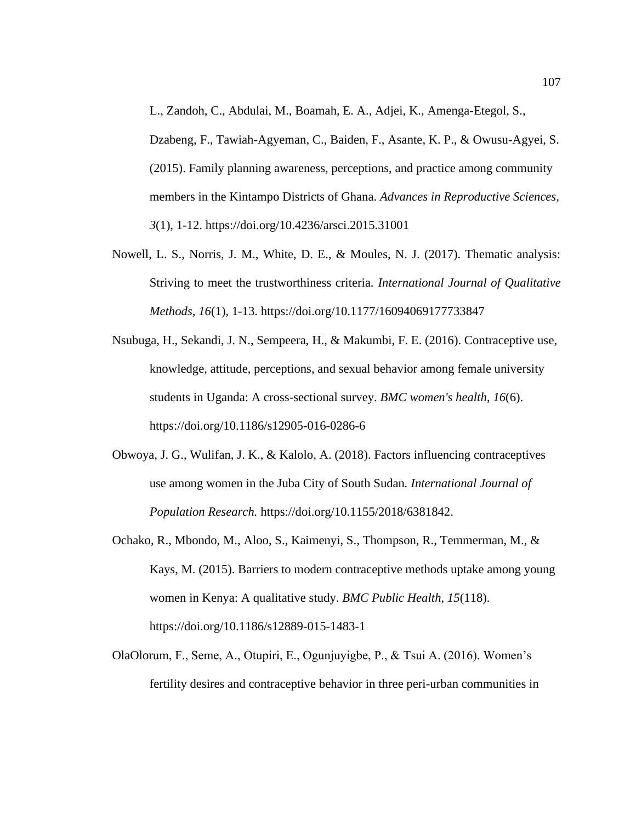L., Zandoh, C., Abdulai, M., Boamah, E. A., Adjei, K., Amenga-Etegol, S., Dzabeng, F., Tawiah-Agyeman, C., Baiden, F., Asante, K. P., & Owusu-Agyei, S. (2015). Family planning awareness, perceptions, and practice among community members in the Kintampo Districts of Ghana. *Advances in Reproductive Sciences, 3*(1), 1-12. https://doi.org/10.4236/arsci.2015.31001

- Nowell, L. S., Norris, J. M., White, D. E., & Moules, N. J. (2017). Thematic analysis: Striving to meet the trustworthiness criteria. *International Journal of Qualitative Methods, 16*(1), 1-13. https://doi.org/10.1177/16094069177733847
- Nsubuga, H., Sekandi, J. N., Sempeera, H., & Makumbi, F. E. (2016). Contraceptive use, knowledge, attitude, perceptions, and sexual behavior among female university students in Uganda: A cross-sectional survey. *BMC women's health*, *16*(6). https://doi.org/10.1186/s12905-016-0286-6
- Obwoya, J. G., Wulifan, J. K., & Kalolo, A. (2018). Factors influencing contraceptives use among women in the Juba City of South Sudan*. International Journal of Population Research.* https://doi.org/10.1155/2018/6381842.
- Ochako, R., Mbondo, M., Aloo, S., Kaimenyi, S., Thompson, R., Temmerman, M., & Kays, M. (2015). Barriers to modern contraceptive methods uptake among young women in Kenya: A qualitative study. *BMC Public Health, 15*(118). https://doi.org/10.1186/s12889-015-1483-1
- OlaOlorum, F., Seme, A., Otupiri, E., Ogunjuyigbe, P., & Tsui A. (2016). Women's fertility desires and contraceptive behavior in three peri-urban communities in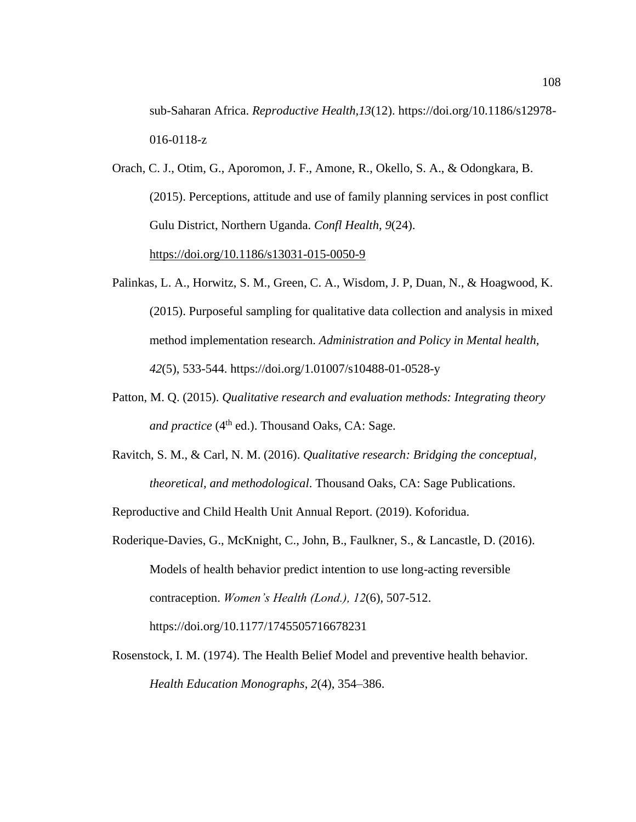sub-Saharan Africa. *Reproductive Health,13*(12). https://doi.org/10.1186/s12978- 016-0118-z

- Orach, C. J., Otim, G., Aporomon, J. F., Amone, R., Okello, S. A., & Odongkara, B. (2015). Perceptions, attitude and use of family planning services in post conflict Gulu District, Northern Uganda. *Confl Health, 9*(24). <https://doi.org/10.1186/s13031-015-0050-9>
- Palinkas, L. A., Horwitz, S. M., Green, C. A., Wisdom, J. P, Duan, N., & Hoagwood, K. (2015). Purposeful sampling for qualitative data collection and analysis in mixed method implementation research. *Administration and Policy in Mental health, 42*(5), 533-544. https://doi.org/1.01007/s10488-01-0528-y
- Patton, M. Q. (2015). *Qualitative research and evaluation methods: Integrating theory and practice* (4<sup>th</sup> ed.). Thousand Oaks, CA: Sage.
- Ravitch, S. M., & Carl, N. M. (2016). *Qualitative research: Bridging the conceptual, theoretical, and methodological*. Thousand Oaks, CA: Sage Publications.

Reproductive and Child Health Unit Annual Report. (2019). Koforidua.

- Roderique-Davies, G., McKnight, C., John, B., Faulkner, S., & Lancastle, D. (2016). Models of health behavior predict intention to use long-acting reversible contraception. *Women's Health (Lond.), 12*(6), 507-512. https://doi.org/10.1177/1745505716678231
- Rosenstock, I. M. (1974). The Health Belief Model and preventive health behavior. *Health Education Monographs*, *2*(4), 354–386.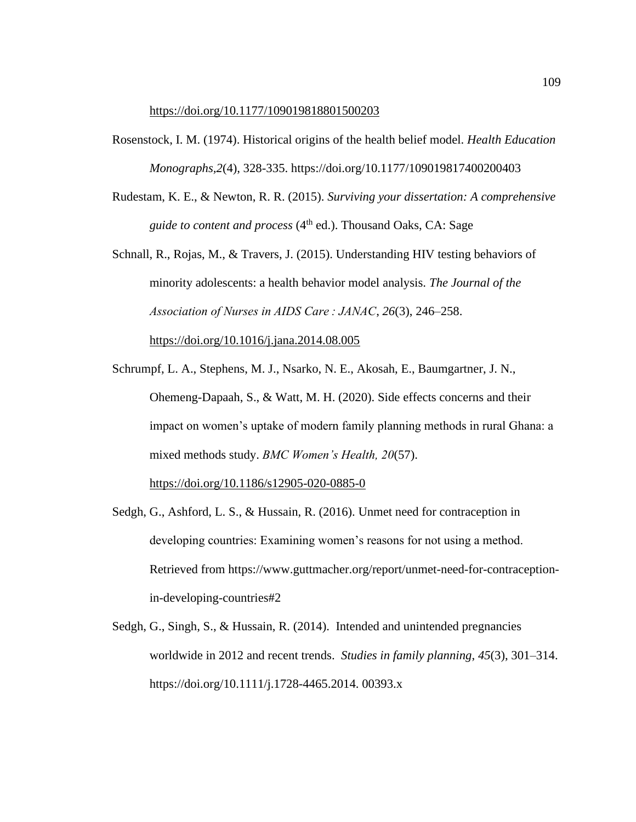#### <https://doi.org/10.1177/109019818801500203>

- Rosenstock, I. M. (1974). Historical origins of the health belief model. *Health Education Monographs,2*(4), 328-335. https://doi.org/10.1177/109019817400200403
- Rudestam, K. E., & Newton, R. R. (2015). *Surviving your dissertation: A comprehensive guide to content and process* (4<sup>th</sup> ed.). Thousand Oaks, CA: Sage
- Schnall, R., Rojas, M., & Travers, J. (2015). Understanding HIV testing behaviors of minority adolescents: a health behavior model analysis. *The Journal of the Association of Nurses in AIDS Care : JANAC*, *26*(3), 246–258. <https://doi.org/10.1016/j.jana.2014.08.005>
- Schrumpf, L. A., Stephens, M. J., Nsarko, N. E., Akosah, E., Baumgartner, J. N., Ohemeng-Dapaah, S., & Watt, M. H. (2020). Side effects concerns and their impact on women's uptake of modern family planning methods in rural Ghana: a mixed methods study. *BMC Women's Health, 20*(57).

<https://doi.org/10.1186/s12905-020-0885-0>

- Sedgh, G., Ashford, L. S., & Hussain, R. (2016). Unmet need for contraception in developing countries: Examining women's reasons for not using a method. Retrieved from https://www.guttmacher.org/report/unmet-need-for-contraceptionin-developing-countries#2
- Sedgh, G., Singh, S., & Hussain, R. (2014). Intended and unintended pregnancies worldwide in 2012 and recent trends. *Studies in family planning*, *45*(3), 301–314. https://doi.org/10.1111/j.1728-4465.2014. 00393.x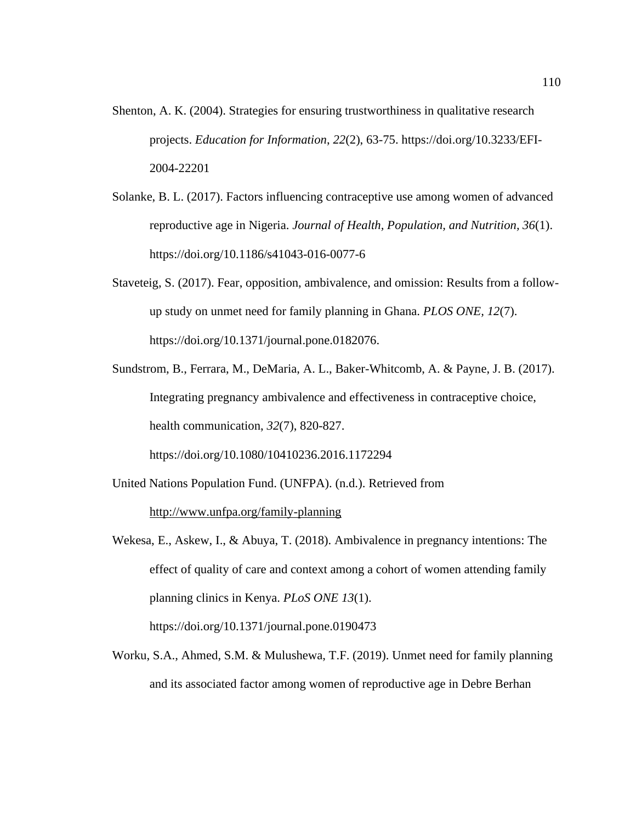- Shenton, A. K. (2004). Strategies for ensuring trustworthiness in qualitative research projects. *Education for Information*, *22*(2), 63-75. https://doi.org/10.3233/EFI-2004-22201
- Solanke, B. L. (2017). Factors influencing contraceptive use among women of advanced reproductive age in Nigeria. *Journal of Health, Population, and Nutrition, 36*(1). https://doi.org/10.1186/s41043-016-0077-6
- Staveteig, S. (2017). Fear, opposition, ambivalence, and omission: Results from a followup study on unmet need for family planning in Ghana. *PLOS ONE, 12*(7). https://doi.org/10.1371/journal.pone.0182076.
- Sundstrom, B., Ferrara, M., DeMaria, A. L., Baker-Whitcomb, A. & Payne, J. B. (2017). Integrating pregnancy ambivalence and effectiveness in contraceptive choice, health communication, *32*(7), 820-827. https://doi.org/10.1080/10410236.2016.1172294
- United Nations Population Fund. (UNFPA). (n.d.). Retrieved from <http://www.unfpa.org/family-planning>
- Wekesa, E., Askew, I., & Abuya, T. (2018). Ambivalence in pregnancy intentions: The effect of quality of care and context among a cohort of women attending family planning clinics in Kenya. *PLoS ONE 13*(1). https://doi.org/10.1371/journal.pone.0190473
- Worku, S.A., Ahmed, S.M. & Mulushewa, T.F. (2019). Unmet need for family planning and its associated factor among women of reproductive age in Debre Berhan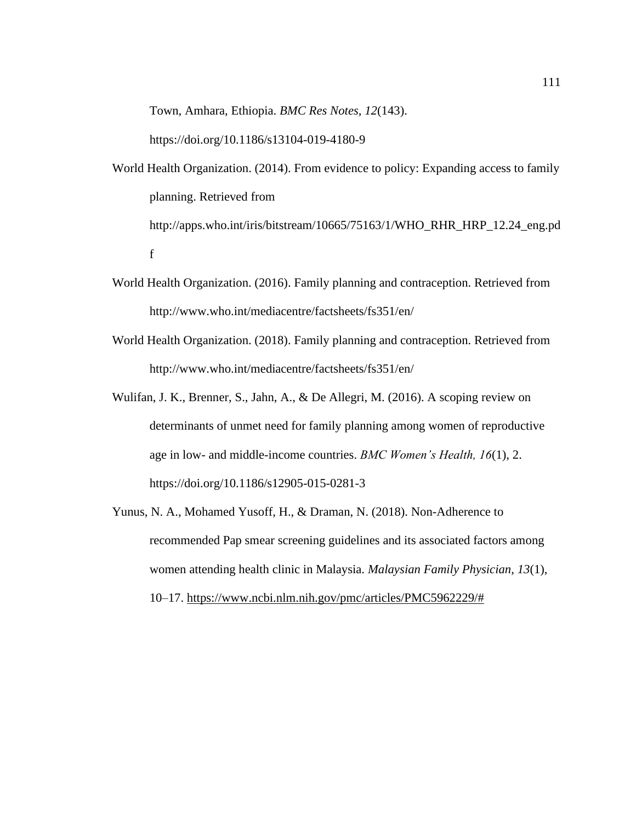Town, Amhara, Ethiopia. *BMC Res Notes, 12*(143).

https://doi.org/10.1186/s13104-019-4180-9

- World Health Organization. (2014). From evidence to policy: Expanding access to family planning. Retrieved from http://apps.who.int/iris/bitstream/10665/75163/1/WHO\_RHR\_HRP\_12.24\_eng.pd f
- World Health Organization. (2016). Family planning and contraception. Retrieved from http://www.who.int/mediacentre/factsheets/fs351/en/
- World Health Organization. (2018). Family planning and contraception. Retrieved from http://www.who.int/mediacentre/factsheets/fs351/en/
- Wulifan, J. K., Brenner, S., Jahn, A., & De Allegri, M. (2016). A scoping review on determinants of unmet need for family planning among women of reproductive age in low- and middle-income countries. *BMC Women's Health, 16*(1), 2. https://doi.org/10.1186/s12905-015-0281-3
- Yunus, N. A., Mohamed Yusoff, H., & Draman, N. (2018). Non-Adherence to recommended Pap smear screening guidelines and its associated factors among women attending health clinic in Malaysia. *Malaysian Family Physician*, *13*(1), 10–17. [https://www.ncbi.nlm.nih.gov/pmc/articles/PMC5962229/#](https://www.ncbi.nlm.nih.gov/pmc/articles/PMC5962229/)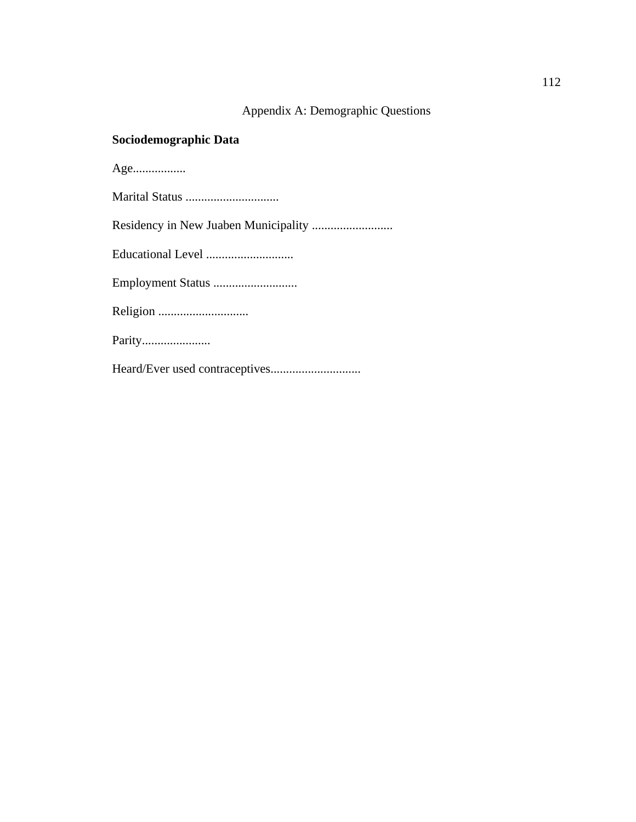## Appendix A: Demographic Questions

## **Sociodemographic Data**

| Age    |
|--------|
|        |
|        |
|        |
|        |
|        |
| Parity |
|        |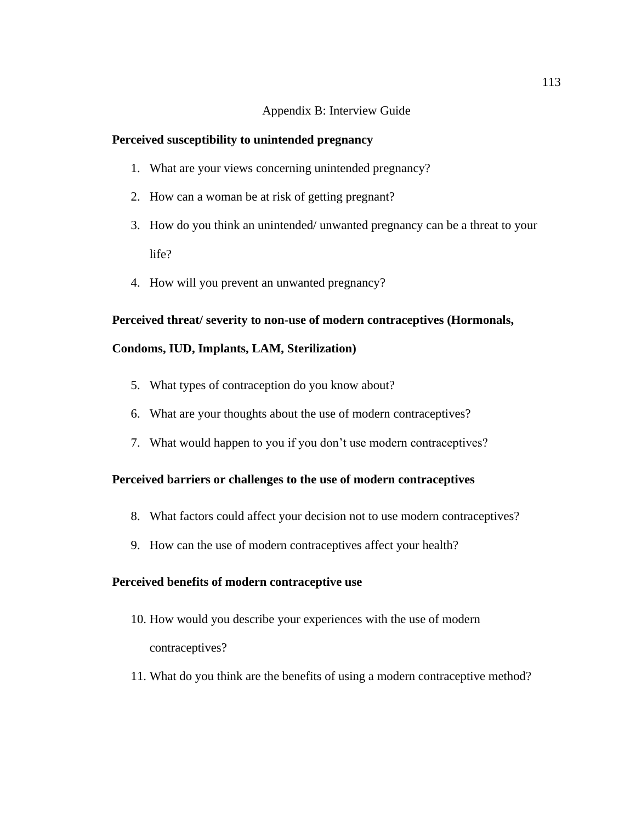## Appendix B: Interview Guide

## **Perceived susceptibility to unintended pregnancy**

- 1. What are your views concerning unintended pregnancy?
- 2. How can a woman be at risk of getting pregnant?
- 3. How do you think an unintended/ unwanted pregnancy can be a threat to your life?
- 4. How will you prevent an unwanted pregnancy?

## **Perceived threat/ severity to non-use of modern contraceptives (Hormonals,**

## **Condoms, IUD, Implants, LAM, Sterilization)**

- 5. What types of contraception do you know about?
- 6. What are your thoughts about the use of modern contraceptives?
- 7. What would happen to you if you don't use modern contraceptives?

## **Perceived barriers or challenges to the use of modern contraceptives**

- 8. What factors could affect your decision not to use modern contraceptives?
- 9. How can the use of modern contraceptives affect your health?

## **Perceived benefits of modern contraceptive use**

- 10. How would you describe your experiences with the use of modern contraceptives?
- 11. What do you think are the benefits of using a modern contraceptive method?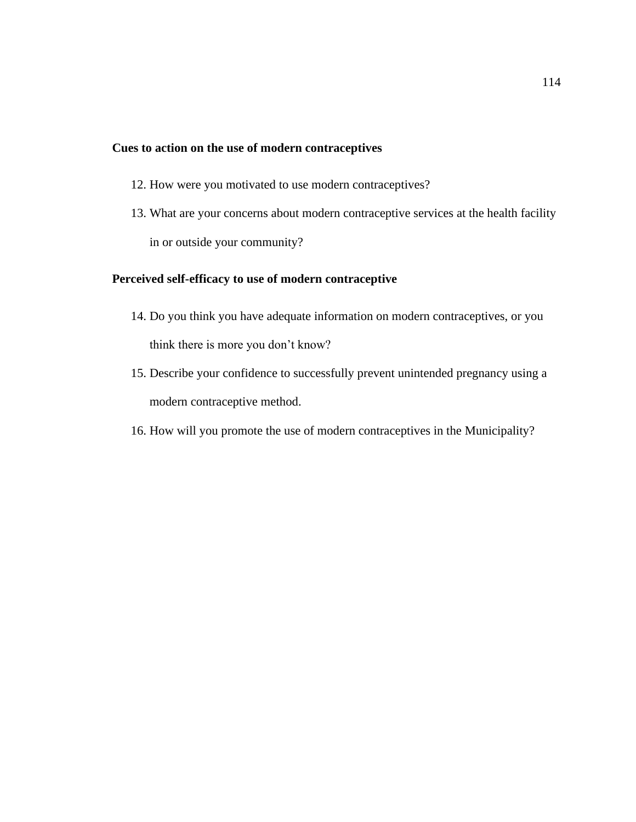## **Cues to action on the use of modern contraceptives**

- 12. How were you motivated to use modern contraceptives?
- 13. What are your concerns about modern contraceptive services at the health facility in or outside your community?

## **Perceived self-efficacy to use of modern contraceptive**

- 14. Do you think you have adequate information on modern contraceptives, or you think there is more you don't know?
- 15. Describe your confidence to successfully prevent unintended pregnancy using a modern contraceptive method.
- 16. How will you promote the use of modern contraceptives in the Municipality?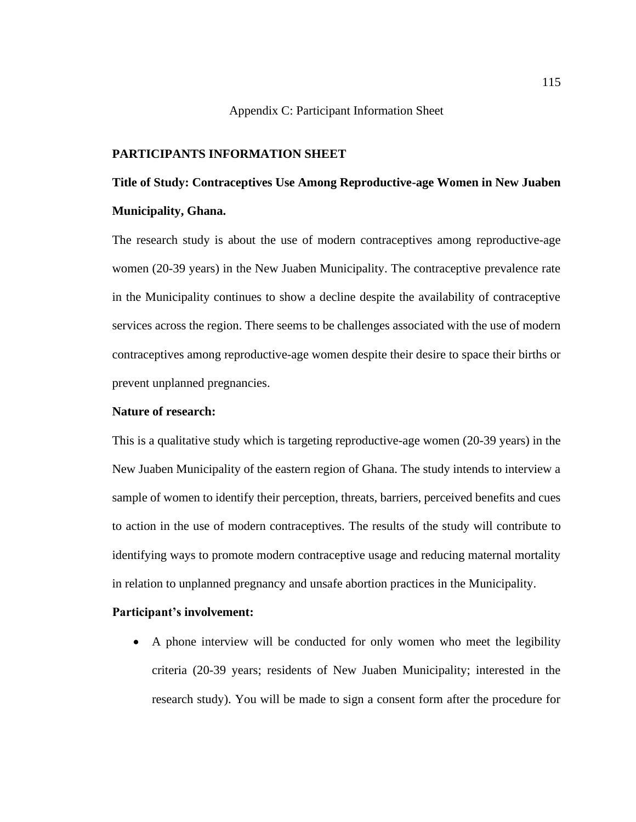## Appendix C: Participant Information Sheet

## **PARTICIPANTS INFORMATION SHEET**

# **Title of Study: Contraceptives Use Among Reproductive-age Women in New Juaben Municipality, Ghana.**

The research study is about the use of modern contraceptives among reproductive-age women (20-39 years) in the New Juaben Municipality. The contraceptive prevalence rate in the Municipality continues to show a decline despite the availability of contraceptive services across the region. There seems to be challenges associated with the use of modern contraceptives among reproductive-age women despite their desire to space their births or prevent unplanned pregnancies.

### **Nature of research:**

This is a qualitative study which is targeting reproductive-age women (20-39 years) in the New Juaben Municipality of the eastern region of Ghana. The study intends to interview a sample of women to identify their perception, threats, barriers, perceived benefits and cues to action in the use of modern contraceptives. The results of the study will contribute to identifying ways to promote modern contraceptive usage and reducing maternal mortality in relation to unplanned pregnancy and unsafe abortion practices in the Municipality.

## **Participant's involvement:**

• A phone interview will be conducted for only women who meet the legibility criteria (20-39 years; residents of New Juaben Municipality; interested in the research study). You will be made to sign a consent form after the procedure for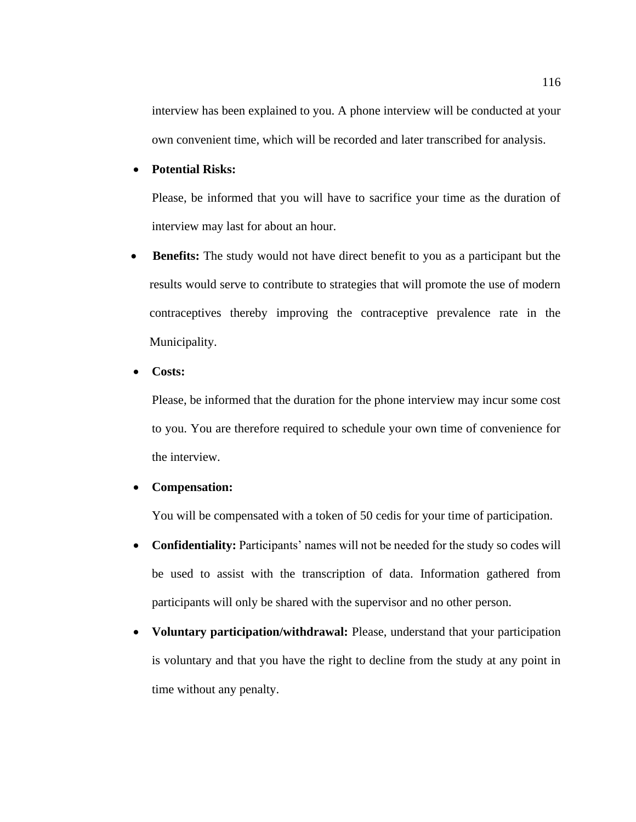interview has been explained to you. A phone interview will be conducted at your own convenient time, which will be recorded and later transcribed for analysis.

## • **Potential Risks:**

 Please, be informed that you will have to sacrifice your time as the duration of interview may last for about an hour.

• **Benefits:** The study would not have direct benefit to you as a participant but the results would serve to contribute to strategies that will promote the use of modern contraceptives thereby improving the contraceptive prevalence rate in the Municipality.

### • **Costs:**

 Please, be informed that the duration for the phone interview may incur some cost to you. You are therefore required to schedule your own time of convenience for the interview.

## • **Compensation:**

You will be compensated with a token of 50 cedis for your time of participation.

- **Confidentiality:** Participants' names will not be needed for the study so codes will be used to assist with the transcription of data. Information gathered from participants will only be shared with the supervisor and no other person.
- **Voluntary participation/withdrawal:** Please, understand that your participation is voluntary and that you have the right to decline from the study at any point in time without any penalty.